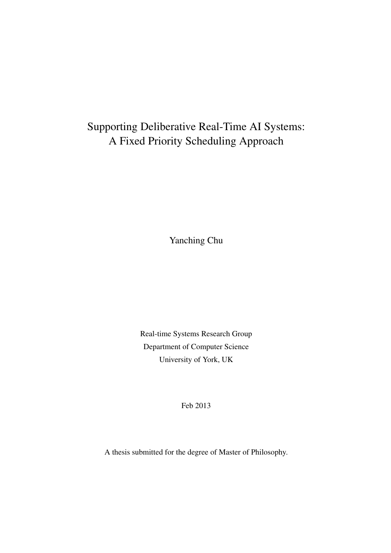### Supporting Deliberative Real-Time AI Systems: A Fixed Priority Scheduling Approach

Yanching Chu

Real-time Systems Research Group Department of Computer Science University of York, UK

Feb 2013

A thesis submitted for the degree of Master of Philosophy.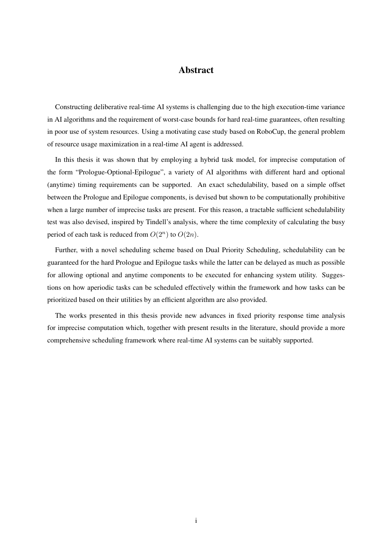#### Abstract

Constructing deliberative real-time AI systems is challenging due to the high execution-time variance in AI algorithms and the requirement of worst-case bounds for hard real-time guarantees, often resulting in poor use of system resources. Using a motivating case study based on RoboCup, the general problem of resource usage maximization in a real-time AI agent is addressed.

In this thesis it was shown that by employing a hybrid task model, for imprecise computation of the form "Prologue-Optional-Epilogue", a variety of AI algorithms with different hard and optional (anytime) timing requirements can be supported. An exact schedulability, based on a simple offset between the Prologue and Epilogue components, is devised but shown to be computationally prohibitive when a large number of imprecise tasks are present. For this reason, a tractable sufficient schedulability test was also devised, inspired by Tindell's analysis, where the time complexity of calculating the busy period of each task is reduced from  $O(2^n)$  to  $O(2n)$ .

Further, with a novel scheduling scheme based on Dual Priority Scheduling, schedulability can be guaranteed for the hard Prologue and Epilogue tasks while the latter can be delayed as much as possible for allowing optional and anytime components to be executed for enhancing system utility. Suggestions on how aperiodic tasks can be scheduled effectively within the framework and how tasks can be prioritized based on their utilities by an efficient algorithm are also provided.

The works presented in this thesis provide new advances in fixed priority response time analysis for imprecise computation which, together with present results in the literature, should provide a more comprehensive scheduling framework where real-time AI systems can be suitably supported.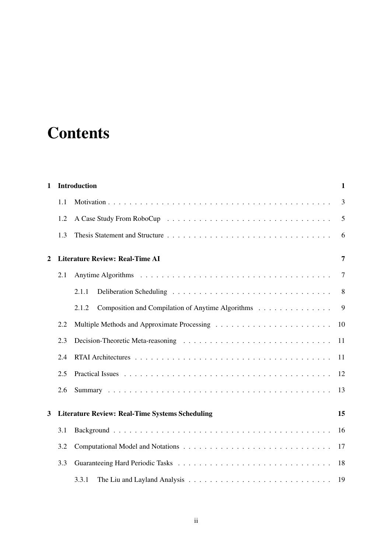## **Contents**

| 1 | <b>Introduction</b>                                          |                                                            |    |  |  |  |  |  |  |
|---|--------------------------------------------------------------|------------------------------------------------------------|----|--|--|--|--|--|--|
|   | 1.1                                                          |                                                            | 3  |  |  |  |  |  |  |
|   | 1.2                                                          |                                                            | 5  |  |  |  |  |  |  |
|   | 1.3                                                          |                                                            | 6  |  |  |  |  |  |  |
| 2 |                                                              | <b>Literature Review: Real-Time AI</b>                     | 7  |  |  |  |  |  |  |
|   | 2.1                                                          |                                                            | 7  |  |  |  |  |  |  |
|   |                                                              | 2.1.1                                                      | 8  |  |  |  |  |  |  |
|   |                                                              | 2.1.2<br>Composition and Compilation of Anytime Algorithms | 9  |  |  |  |  |  |  |
|   | 2.2                                                          |                                                            | 10 |  |  |  |  |  |  |
|   | 2.3                                                          |                                                            | 11 |  |  |  |  |  |  |
|   | 2.4                                                          |                                                            | 11 |  |  |  |  |  |  |
|   | 2.5                                                          |                                                            | 12 |  |  |  |  |  |  |
|   | 2.6                                                          |                                                            | 13 |  |  |  |  |  |  |
| 3 | <b>Literature Review: Real-Time Systems Scheduling</b><br>15 |                                                            |    |  |  |  |  |  |  |
|   | 3.1                                                          |                                                            | 16 |  |  |  |  |  |  |
|   | 3.2                                                          |                                                            | 17 |  |  |  |  |  |  |
|   | 3.3                                                          |                                                            | 18 |  |  |  |  |  |  |
|   |                                                              | 3.3.1                                                      | 19 |  |  |  |  |  |  |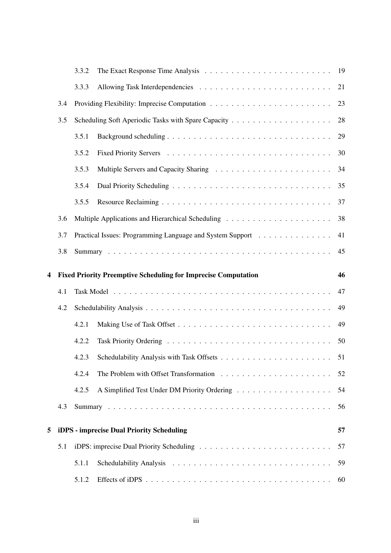|   |     | 3.3.2          |                                                                       | 19       |  |  |  |
|---|-----|----------------|-----------------------------------------------------------------------|----------|--|--|--|
|   |     | 3.3.3          |                                                                       | 21       |  |  |  |
|   | 3.4 |                |                                                                       | 23       |  |  |  |
|   | 3.5 |                |                                                                       | 28       |  |  |  |
|   |     | 3.5.1          |                                                                       | 29       |  |  |  |
|   |     | 3.5.2          |                                                                       | 30       |  |  |  |
|   |     | 3.5.3          |                                                                       | 34       |  |  |  |
|   |     | 3.5.4          |                                                                       | 35       |  |  |  |
|   |     | 3.5.5          |                                                                       | 37       |  |  |  |
|   | 3.6 |                |                                                                       | 38       |  |  |  |
|   | 3.7 |                | Practical Issues: Programming Language and System Support             | 41       |  |  |  |
|   | 3.8 |                |                                                                       | 45       |  |  |  |
| 4 |     |                | <b>Fixed Priority Preemptive Scheduling for Imprecise Computation</b> | 46       |  |  |  |
|   | 4.1 |                |                                                                       | 47       |  |  |  |
|   | 4.2 | 49             |                                                                       |          |  |  |  |
|   |     |                |                                                                       |          |  |  |  |
|   |     | 4.2.1          |                                                                       | 49       |  |  |  |
|   |     | 4.2.2          |                                                                       | 50       |  |  |  |
|   |     | 4.2.3          |                                                                       |          |  |  |  |
|   |     | 4.2.4          |                                                                       | 52       |  |  |  |
|   |     | 4.2.5          |                                                                       | 54       |  |  |  |
|   | 4.3 |                |                                                                       | 56       |  |  |  |
|   |     |                |                                                                       |          |  |  |  |
| 5 |     |                | iDPS - imprecise Dual Priority Scheduling                             | 57       |  |  |  |
|   | 5.1 |                |                                                                       | 57       |  |  |  |
|   |     | 5.1.1<br>5.1.2 |                                                                       | 59<br>60 |  |  |  |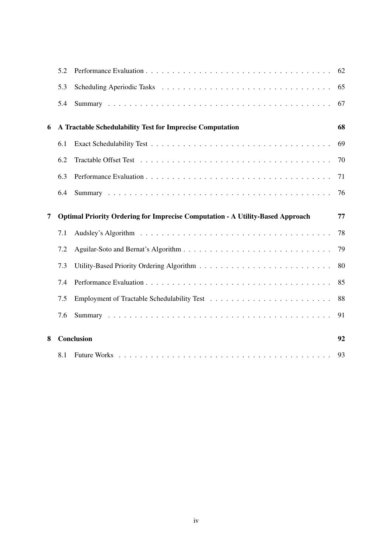|   | 5.2 |                                                                                       | 62 |
|---|-----|---------------------------------------------------------------------------------------|----|
|   | 5.3 |                                                                                       | 65 |
|   | 5.4 |                                                                                       | 67 |
| 6 |     | A Tractable Schedulability Test for Imprecise Computation                             | 68 |
|   | 6.1 |                                                                                       | 69 |
|   | 6.2 |                                                                                       | 70 |
|   | 6.3 |                                                                                       | 71 |
|   | 6.4 |                                                                                       | 76 |
| 7 |     | <b>Optimal Priority Ordering for Imprecise Computation - A Utility-Based Approach</b> | 77 |
|   | 7.1 |                                                                                       | 78 |
|   | 7.2 |                                                                                       | 79 |
|   | 7.3 |                                                                                       | 80 |
|   | 7.4 |                                                                                       | 85 |
|   | 7.5 |                                                                                       | 88 |
|   | 7.6 |                                                                                       | 91 |
| 8 |     | <b>Conclusion</b>                                                                     | 92 |
|   |     |                                                                                       |    |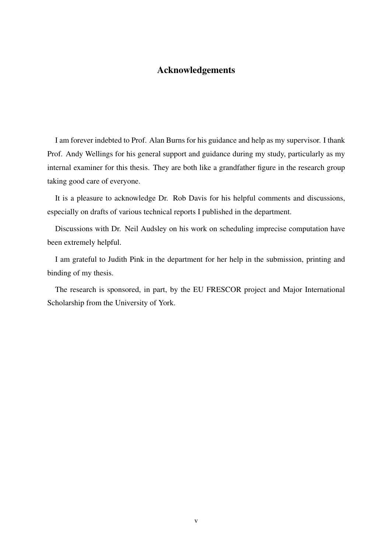#### Acknowledgements

I am forever indebted to Prof. Alan Burns for his guidance and help as my supervisor. I thank Prof. Andy Wellings for his general support and guidance during my study, particularly as my internal examiner for this thesis. They are both like a grandfather figure in the research group taking good care of everyone.

It is a pleasure to acknowledge Dr. Rob Davis for his helpful comments and discussions, especially on drafts of various technical reports I published in the department.

Discussions with Dr. Neil Audsley on his work on scheduling imprecise computation have been extremely helpful.

I am grateful to Judith Pink in the department for her help in the submission, printing and binding of my thesis.

The research is sponsored, in part, by the EU FRESCOR project and Major International Scholarship from the University of York.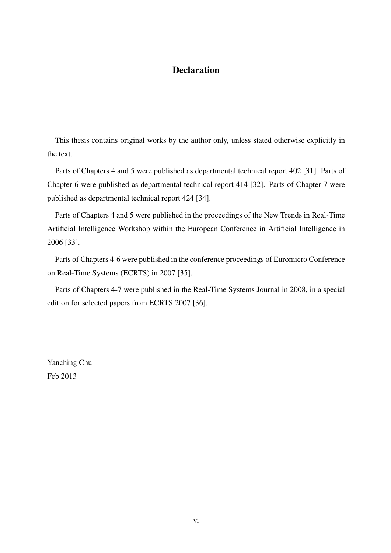#### **Declaration**

This thesis contains original works by the author only, unless stated otherwise explicitly in the text.

Parts of Chapters 4 and 5 were published as departmental technical report 402 [31]. Parts of Chapter 6 were published as departmental technical report 414 [32]. Parts of Chapter 7 were published as departmental technical report 424 [34].

Parts of Chapters 4 and 5 were published in the proceedings of the New Trends in Real-Time Artificial Intelligence Workshop within the European Conference in Artificial Intelligence in 2006 [33].

Parts of Chapters 4-6 were published in the conference proceedings of Euromicro Conference on Real-Time Systems (ECRTS) in 2007 [35].

Parts of Chapters 4-7 were published in the Real-Time Systems Journal in 2008, in a special edition for selected papers from ECRTS 2007 [36].

Yanching Chu Feb 2013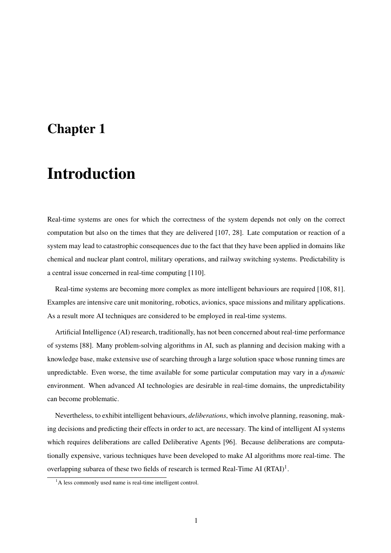### Chapter 1

### Introduction

Real-time systems are ones for which the correctness of the system depends not only on the correct computation but also on the times that they are delivered [107, 28]. Late computation or reaction of a system may lead to catastrophic consequences due to the fact that they have been applied in domains like chemical and nuclear plant control, military operations, and railway switching systems. Predictability is a central issue concerned in real-time computing [110].

Real-time systems are becoming more complex as more intelligent behaviours are required [108, 81]. Examples are intensive care unit monitoring, robotics, avionics, space missions and military applications. As a result more AI techniques are considered to be employed in real-time systems.

Artificial Intelligence (AI) research, traditionally, has not been concerned about real-time performance of systems [88]. Many problem-solving algorithms in AI, such as planning and decision making with a knowledge base, make extensive use of searching through a large solution space whose running times are unpredictable. Even worse, the time available for some particular computation may vary in a *dynamic* environment. When advanced AI technologies are desirable in real-time domains, the unpredictability can become problematic.

Nevertheless, to exhibit intelligent behaviours, *deliberations*, which involve planning, reasoning, making decisions and predicting their effects in order to act, are necessary. The kind of intelligent AI systems which requires deliberations are called Deliberative Agents [96]. Because deliberations are computationally expensive, various techniques have been developed to make AI algorithms more real-time. The overlapping subarea of these two fields of research is termed Real-Time AI  $(RTAI)^1$ .

<sup>&</sup>lt;sup>1</sup>A less commonly used name is real-time intelligent control.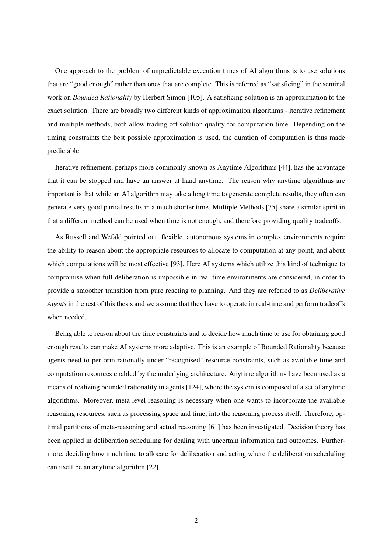One approach to the problem of unpredictable execution times of AI algorithms is to use solutions that are "good enough" rather than ones that are complete. This is referred as "satisficing" in the seminal work on *Bounded Rationality* by Herbert Simon [105]. A satisficing solution is an approximation to the exact solution. There are broadly two different kinds of approximation algorithms - iterative refinement and multiple methods, both allow trading off solution quality for computation time. Depending on the timing constraints the best possible approximation is used, the duration of computation is thus made predictable.

Iterative refinement, perhaps more commonly known as Anytime Algorithms [44], has the advantage that it can be stopped and have an answer at hand anytime. The reason why anytime algorithms are important is that while an AI algorithm may take a long time to generate complete results, they often can generate very good partial results in a much shorter time. Multiple Methods [75] share a similar spirit in that a different method can be used when time is not enough, and therefore providing quality tradeoffs.

As Russell and Wefald pointed out, flexible, autonomous systems in complex environments require the ability to reason about the appropriate resources to allocate to computation at any point, and about which computations will be most effective [93]. Here AI systems which utilize this kind of technique to compromise when full deliberation is impossible in real-time environments are considered, in order to provide a smoother transition from pure reacting to planning. And they are referred to as *Deliberative Agents* in the rest of this thesis and we assume that they have to operate in real-time and perform tradeoffs when needed.

Being able to reason about the time constraints and to decide how much time to use for obtaining good enough results can make AI systems more adaptive. This is an example of Bounded Rationality because agents need to perform rationally under "recognised" resource constraints, such as available time and computation resources enabled by the underlying architecture. Anytime algorithms have been used as a means of realizing bounded rationality in agents [124], where the system is composed of a set of anytime algorithms. Moreover, meta-level reasoning is necessary when one wants to incorporate the available reasoning resources, such as processing space and time, into the reasoning process itself. Therefore, optimal partitions of meta-reasoning and actual reasoning [61] has been investigated. Decision theory has been applied in deliberation scheduling for dealing with uncertain information and outcomes. Furthermore, deciding how much time to allocate for deliberation and acting where the deliberation scheduling can itself be an anytime algorithm [22].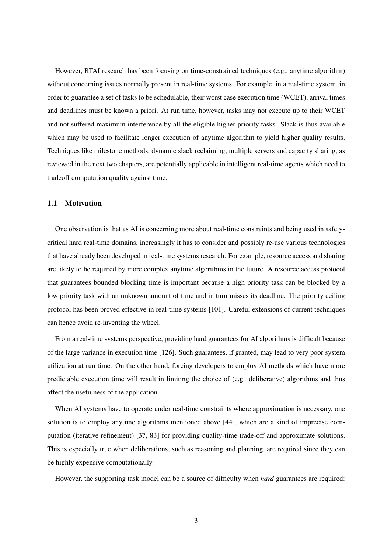However, RTAI research has been focusing on time-constrained techniques (e.g., anytime algorithm) without concerning issues normally present in real-time systems. For example, in a real-time system, in order to guarantee a set of tasks to be schedulable, their worst case execution time (WCET), arrival times and deadlines must be known a priori. At run time, however, tasks may not execute up to their WCET and not suffered maximum interference by all the eligible higher priority tasks. Slack is thus available which may be used to facilitate longer execution of anytime algorithm to yield higher quality results. Techniques like milestone methods, dynamic slack reclaiming, multiple servers and capacity sharing, as reviewed in the next two chapters, are potentially applicable in intelligent real-time agents which need to tradeoff computation quality against time.

#### 1.1 Motivation

One observation is that as AI is concerning more about real-time constraints and being used in safetycritical hard real-time domains, increasingly it has to consider and possibly re-use various technologies that have already been developed in real-time systems research. For example, resource access and sharing are likely to be required by more complex anytime algorithms in the future. A resource access protocol that guarantees bounded blocking time is important because a high priority task can be blocked by a low priority task with an unknown amount of time and in turn misses its deadline. The priority ceiling protocol has been proved effective in real-time systems [101]. Careful extensions of current techniques can hence avoid re-inventing the wheel.

From a real-time systems perspective, providing hard guarantees for AI algorithms is difficult because of the large variance in execution time [126]. Such guarantees, if granted, may lead to very poor system utilization at run time. On the other hand, forcing developers to employ AI methods which have more predictable execution time will result in limiting the choice of (e.g. deliberative) algorithms and thus affect the usefulness of the application.

When AI systems have to operate under real-time constraints where approximation is necessary, one solution is to employ anytime algorithms mentioned above [44], which are a kind of imprecise computation (iterative refinement) [37, 83] for providing quality-time trade-off and approximate solutions. This is especially true when deliberations, such as reasoning and planning, are required since they can be highly expensive computationally.

However, the supporting task model can be a source of difficulty when *hard* guarantees are required: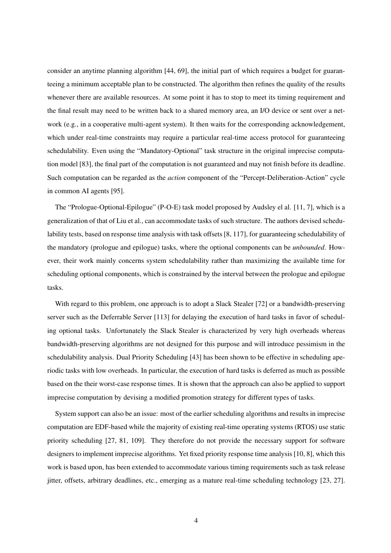consider an anytime planning algorithm [44, 69], the initial part of which requires a budget for guaranteeing a minimum acceptable plan to be constructed. The algorithm then refines the quality of the results whenever there are available resources. At some point it has to stop to meet its timing requirement and the final result may need to be written back to a shared memory area, an I/O device or sent over a network (e.g., in a cooperative multi-agent system). It then waits for the corresponding acknowledgement, which under real-time constraints may require a particular real-time access protocol for guaranteeing schedulability. Even using the "Mandatory-Optional" task structure in the original imprecise computation model [83], the final part of the computation is not guaranteed and may not finish before its deadline. Such computation can be regarded as the *action* component of the "Percept-Deliberation-Action" cycle in common AI agents [95].

The "Prologue-Optional-Epilogue" (P-O-E) task model proposed by Audsley el al. [11, 7], which is a generalization of that of Liu et al., can accommodate tasks of such structure. The authors devised schedulability tests, based on response time analysis with task offsets [8, 117], for guaranteeing schedulability of the mandatory (prologue and epilogue) tasks, where the optional components can be *unbounded*. However, their work mainly concerns system schedulability rather than maximizing the available time for scheduling optional components, which is constrained by the interval between the prologue and epilogue tasks.

With regard to this problem, one approach is to adopt a Slack Stealer [72] or a bandwidth-preserving server such as the Deferrable Server [113] for delaying the execution of hard tasks in favor of scheduling optional tasks. Unfortunately the Slack Stealer is characterized by very high overheads whereas bandwidth-preserving algorithms are not designed for this purpose and will introduce pessimism in the schedulability analysis. Dual Priority Scheduling [43] has been shown to be effective in scheduling aperiodic tasks with low overheads. In particular, the execution of hard tasks is deferred as much as possible based on the their worst-case response times. It is shown that the approach can also be applied to support imprecise computation by devising a modified promotion strategy for different types of tasks.

System support can also be an issue: most of the earlier scheduling algorithms and results in imprecise computation are EDF-based while the majority of existing real-time operating systems (RTOS) use static priority scheduling [27, 81, 109]. They therefore do not provide the necessary support for software designers to implement imprecise algorithms. Yet fixed priority response time analysis [10, 8], which this work is based upon, has been extended to accommodate various timing requirements such as task release jitter, offsets, arbitrary deadlines, etc., emerging as a mature real-time scheduling technology [23, 27].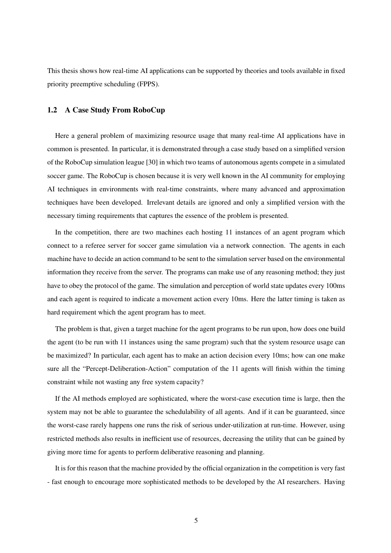This thesis shows how real-time AI applications can be supported by theories and tools available in fixed priority preemptive scheduling (FPPS).

#### 1.2 A Case Study From RoboCup

Here a general problem of maximizing resource usage that many real-time AI applications have in common is presented. In particular, it is demonstrated through a case study based on a simplified version of the RoboCup simulation league [30] in which two teams of autonomous agents compete in a simulated soccer game. The RoboCup is chosen because it is very well known in the AI community for employing AI techniques in environments with real-time constraints, where many advanced and approximation techniques have been developed. Irrelevant details are ignored and only a simplified version with the necessary timing requirements that captures the essence of the problem is presented.

In the competition, there are two machines each hosting 11 instances of an agent program which connect to a referee server for soccer game simulation via a network connection. The agents in each machine have to decide an action command to be sent to the simulation server based on the environmental information they receive from the server. The programs can make use of any reasoning method; they just have to obey the protocol of the game. The simulation and perception of world state updates every 100ms and each agent is required to indicate a movement action every 10ms. Here the latter timing is taken as hard requirement which the agent program has to meet.

The problem is that, given a target machine for the agent programs to be run upon, how does one build the agent (to be run with 11 instances using the same program) such that the system resource usage can be maximized? In particular, each agent has to make an action decision every 10ms; how can one make sure all the "Percept-Deliberation-Action" computation of the 11 agents will finish within the timing constraint while not wasting any free system capacity?

If the AI methods employed are sophisticated, where the worst-case execution time is large, then the system may not be able to guarantee the schedulability of all agents. And if it can be guaranteed, since the worst-case rarely happens one runs the risk of serious under-utilization at run-time. However, using restricted methods also results in inefficient use of resources, decreasing the utility that can be gained by giving more time for agents to perform deliberative reasoning and planning.

It is for this reason that the machine provided by the official organization in the competition is very fast - fast enough to encourage more sophisticated methods to be developed by the AI researchers. Having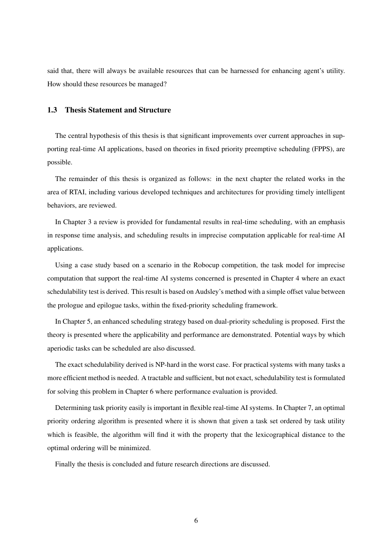said that, there will always be available resources that can be harnessed for enhancing agent's utility. How should these resources be managed?

#### 1.3 Thesis Statement and Structure

The central hypothesis of this thesis is that significant improvements over current approaches in supporting real-time AI applications, based on theories in fixed priority preemptive scheduling (FPPS), are possible.

The remainder of this thesis is organized as follows: in the next chapter the related works in the area of RTAI, including various developed techniques and architectures for providing timely intelligent behaviors, are reviewed.

In Chapter 3 a review is provided for fundamental results in real-time scheduling, with an emphasis in response time analysis, and scheduling results in imprecise computation applicable for real-time AI applications.

Using a case study based on a scenario in the Robocup competition, the task model for imprecise computation that support the real-time AI systems concerned is presented in Chapter 4 where an exact schedulability test is derived. This result is based on Audsley's method with a simple offset value between the prologue and epilogue tasks, within the fixed-priority scheduling framework.

In Chapter 5, an enhanced scheduling strategy based on dual-priority scheduling is proposed. First the theory is presented where the applicability and performance are demonstrated. Potential ways by which aperiodic tasks can be scheduled are also discussed.

The exact schedulability derived is NP-hard in the worst case. For practical systems with many tasks a more efficient method is needed. A tractable and sufficient, but not exact, schedulability test is formulated for solving this problem in Chapter 6 where performance evaluation is provided.

Determining task priority easily is important in flexible real-time AI systems. In Chapter 7, an optimal priority ordering algorithm is presented where it is shown that given a task set ordered by task utility which is feasible, the algorithm will find it with the property that the lexicographical distance to the optimal ordering will be minimized.

Finally the thesis is concluded and future research directions are discussed.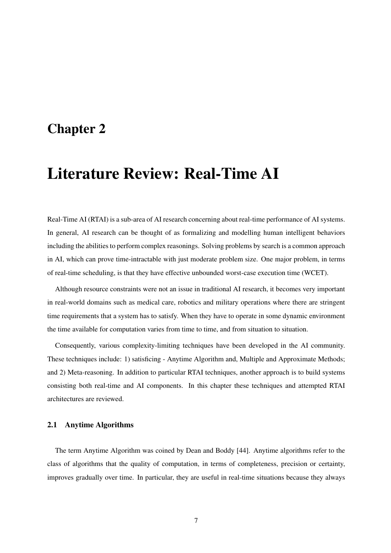### Chapter 2

### Literature Review: Real-Time AI

Real-Time AI (RTAI) is a sub-area of AI research concerning about real-time performance of AI systems. In general, AI research can be thought of as formalizing and modelling human intelligent behaviors including the abilities to perform complex reasonings. Solving problems by search is a common approach in AI, which can prove time-intractable with just moderate problem size. One major problem, in terms of real-time scheduling, is that they have effective unbounded worst-case execution time (WCET).

Although resource constraints were not an issue in traditional AI research, it becomes very important in real-world domains such as medical care, robotics and military operations where there are stringent time requirements that a system has to satisfy. When they have to operate in some dynamic environment the time available for computation varies from time to time, and from situation to situation.

Consequently, various complexity-limiting techniques have been developed in the AI community. These techniques include: 1) satisficing - Anytime Algorithm and, Multiple and Approximate Methods; and 2) Meta-reasoning. In addition to particular RTAI techniques, another approach is to build systems consisting both real-time and AI components. In this chapter these techniques and attempted RTAI architectures are reviewed.

#### 2.1 Anytime Algorithms

The term Anytime Algorithm was coined by Dean and Boddy [44]. Anytime algorithms refer to the class of algorithms that the quality of computation, in terms of completeness, precision or certainty, improves gradually over time. In particular, they are useful in real-time situations because they always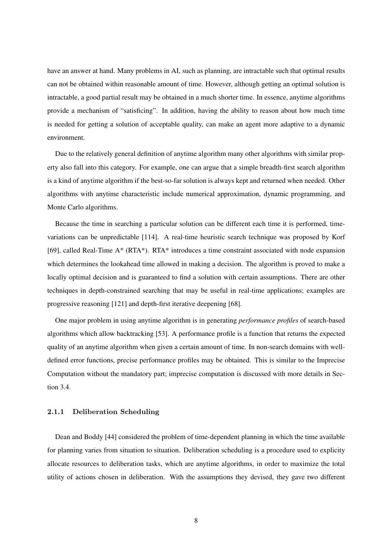have an answer at hand. Many problems in AI, such as planning, are intractable such that optimal results can not be obtained within reasonable amount of time. However, although getting an optimal solution is intractable, a good partial result may be obtained in a much shorter time. In essence, anytime algorithms provide a mechanism of "satisficing". In addition, having the ability to reason about how much time is needed for getting a solution of acceptable quality, can make an agent more adaptive to a dynamic environment.

Due to the relatively general definition of anytime algorithm many other algorithms with similar property also fall into this category. For example, one can argue that a simple breadth-first search algorithm is a kind of anytime algorithm if the best-so-far solution is always kept and returned when needed. Other algorithms with anytime characteristic include numerical approximation, dynamic programming, and Monte Carlo algorithms.

Because the time in searching a particular solution can be different each time it is performed, timevariations can be unpredictable [114]. A real-time heuristic search technique was proposed by Korf [69], called Real-Time A\* (RTA\*). RTA\* introduces a time constraint associated with node expansion which determines the lookahead time allowed in making a decision. The algorithm is proved to make a locally optimal decision and is guaranteed to find a solution with certain assumptions. There are other techniques in depth-constrained searching that may be useful in real-time applications; examples are progressive reasoning [121] and depth-first iterative deepening [68].

One major problem in using anytime algorithm is in generating *performance profiles* of search-based algorithms which allow backtracking [53]. A performance profile is a function that returns the expected quality of an anytime algorithm when given a certain amount of time. In non-search domains with welldefined error functions, precise performance profiles may be obtained. This is similar to the Imprecise Computation without the mandatory part; imprecise computation is discussed with more details in Section 3.4.

#### 2.1.1 Deliberation Scheduling

Dean and Boddy [44] considered the problem of time-dependent planning in which the time available for planning varies from situation to situation. Deliberation scheduling is a procedure used to explicity allocate resources to deliberation tasks, which are anytime algorithms, in order to maximize the total utility of actions chosen in deliberation. With the assumptions they devised, they gave two different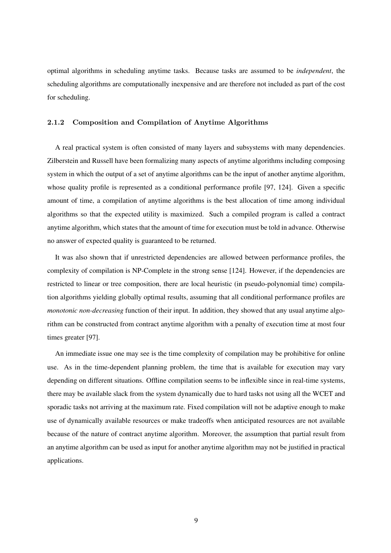optimal algorithms in scheduling anytime tasks. Because tasks are assumed to be *independent*, the scheduling algorithms are computationally inexpensive and are therefore not included as part of the cost for scheduling.

#### 2.1.2 Composition and Compilation of Anytime Algorithms

A real practical system is often consisted of many layers and subsystems with many dependencies. Zilberstein and Russell have been formalizing many aspects of anytime algorithms including composing system in which the output of a set of anytime algorithms can be the input of another anytime algorithm, whose quality profile is represented as a conditional performance profile [97, 124]. Given a specific amount of time, a compilation of anytime algorithms is the best allocation of time among individual algorithms so that the expected utility is maximized. Such a compiled program is called a contract anytime algorithm, which states that the amount of time for execution must be told in advance. Otherwise no answer of expected quality is guaranteed to be returned.

It was also shown that if unrestricted dependencies are allowed between performance profiles, the complexity of compilation is NP-Complete in the strong sense [124]. However, if the dependencies are restricted to linear or tree composition, there are local heuristic (in pseudo-polynomial time) compilation algorithms yielding globally optimal results, assuming that all conditional performance profiles are *monotonic non-decreasing* function of their input. In addition, they showed that any usual anytime algorithm can be constructed from contract anytime algorithm with a penalty of execution time at most four times greater [97].

An immediate issue one may see is the time complexity of compilation may be prohibitive for online use. As in the time-dependent planning problem, the time that is available for execution may vary depending on different situations. Offline compilation seems to be inflexible since in real-time systems, there may be available slack from the system dynamically due to hard tasks not using all the WCET and sporadic tasks not arriving at the maximum rate. Fixed compilation will not be adaptive enough to make use of dynamically available resources or make tradeoffs when anticipated resources are not available because of the nature of contract anytime algorithm. Moreover, the assumption that partial result from an anytime algorithm can be used as input for another anytime algorithm may not be justified in practical applications.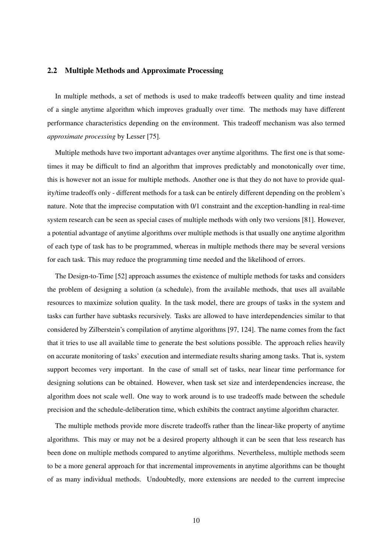#### 2.2 Multiple Methods and Approximate Processing

In multiple methods, a set of methods is used to make tradeoffs between quality and time instead of a single anytime algorithm which improves gradually over time. The methods may have different performance characteristics depending on the environment. This tradeoff mechanism was also termed *approximate processing* by Lesser [75].

Multiple methods have two important advantages over anytime algorithms. The first one is that sometimes it may be difficult to find an algorithm that improves predictably and monotonically over time, this is however not an issue for multiple methods. Another one is that they do not have to provide quality/time tradeoffs only - different methods for a task can be entirely different depending on the problem's nature. Note that the imprecise computation with 0/1 constraint and the exception-handling in real-time system research can be seen as special cases of multiple methods with only two versions [81]. However, a potential advantage of anytime algorithms over multiple methods is that usually one anytime algorithm of each type of task has to be programmed, whereas in multiple methods there may be several versions for each task. This may reduce the programming time needed and the likelihood of errors.

The Design-to-Time [52] approach assumes the existence of multiple methods for tasks and considers the problem of designing a solution (a schedule), from the available methods, that uses all available resources to maximize solution quality. In the task model, there are groups of tasks in the system and tasks can further have subtasks recursively. Tasks are allowed to have interdependencies similar to that considered by Zilberstein's compilation of anytime algorithms [97, 124]. The name comes from the fact that it tries to use all available time to generate the best solutions possible. The approach relies heavily on accurate monitoring of tasks' execution and intermediate results sharing among tasks. That is, system support becomes very important. In the case of small set of tasks, near linear time performance for designing solutions can be obtained. However, when task set size and interdependencies increase, the algorithm does not scale well. One way to work around is to use tradeoffs made between the schedule precision and the schedule-deliberation time, which exhibits the contract anytime algorithm character.

The multiple methods provide more discrete tradeoffs rather than the linear-like property of anytime algorithms. This may or may not be a desired property although it can be seen that less research has been done on multiple methods compared to anytime algorithms. Nevertheless, multiple methods seem to be a more general approach for that incremental improvements in anytime algorithms can be thought of as many individual methods. Undoubtedly, more extensions are needed to the current imprecise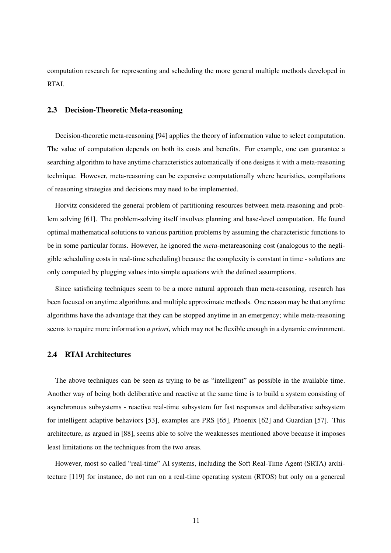computation research for representing and scheduling the more general multiple methods developed in RTAI.

#### 2.3 Decision-Theoretic Meta-reasoning

Decision-theoretic meta-reasoning [94] applies the theory of information value to select computation. The value of computation depends on both its costs and benefits. For example, one can guarantee a searching algorithm to have anytime characteristics automatically if one designs it with a meta-reasoning technique. However, meta-reasoning can be expensive computationally where heuristics, compilations of reasoning strategies and decisions may need to be implemented.

Horvitz considered the general problem of partitioning resources between meta-reasoning and problem solving [61]. The problem-solving itself involves planning and base-level computation. He found optimal mathematical solutions to various partition problems by assuming the characteristic functions to be in some particular forms. However, he ignored the *meta*-metareasoning cost (analogous to the negligible scheduling costs in real-time scheduling) because the complexity is constant in time - solutions are only computed by plugging values into simple equations with the defined assumptions.

Since satisficing techniques seem to be a more natural approach than meta-reasoning, research has been focused on anytime algorithms and multiple approximate methods. One reason may be that anytime algorithms have the advantage that they can be stopped anytime in an emergency; while meta-reasoning seems to require more information *a priori*, which may not be flexible enough in a dynamic environment.

#### 2.4 RTAI Architectures

The above techniques can be seen as trying to be as "intelligent" as possible in the available time. Another way of being both deliberative and reactive at the same time is to build a system consisting of asynchronous subsystems - reactive real-time subsystem for fast responses and deliberative subsystem for intelligent adaptive behaviors [53], examples are PRS [65], Phoenix [62] and Guardian [57]. This architecture, as argued in [88], seems able to solve the weaknesses mentioned above because it imposes least limitations on the techniques from the two areas.

However, most so called "real-time" AI systems, including the Soft Real-Time Agent (SRTA) architecture [119] for instance, do not run on a real-time operating system (RTOS) but only on a genereal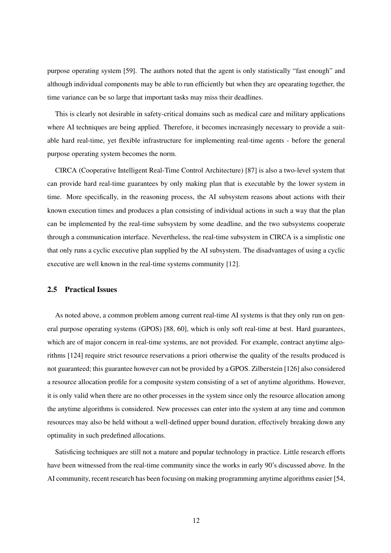purpose operating system [59]. The authors noted that the agent is only statistically "fast enough" and although individual components may be able to run efficiently but when they are opearating together, the time variance can be so large that important tasks may miss their deadlines.

This is clearly not desirable in safety-critical domains such as medical care and military applications where AI techniques are being applied. Therefore, it becomes increasingly necessary to provide a suitable hard real-time, yet flexible infrastructure for implementing real-time agents - before the general purpose operating system becomes the norm.

CIRCA (Cooperative Intelligent Real-Time Control Architecture) [87] is also a two-level system that can provide hard real-time guarantees by only making plan that is executable by the lower system in time. More specifically, in the reasoning process, the AI subsystem reasons about actions with their known execution times and produces a plan consisting of individual actions in such a way that the plan can be implemented by the real-time subsystem by some deadline, and the two subsystems cooperate through a communication interface. Nevertheless, the real-time subsystem in CIRCA is a simplistic one that only runs a cyclic executive plan supplied by the AI subsystem. The disadvantages of using a cyclic executive are well known in the real-time systems community [12].

#### 2.5 Practical Issues

As noted above, a common problem among current real-time AI systems is that they only run on general purpose operating systems (GPOS) [88, 60], which is only soft real-time at best. Hard guarantees, which are of major concern in real-time systems, are not provided. For example, contract anytime algorithms [124] require strict resource reservations a priori otherwise the quality of the results produced is not guaranteed; this guarantee however can not be provided by a GPOS. Zilberstein [126] also considered a resource allocation profile for a composite system consisting of a set of anytime algorithms. However, it is only valid when there are no other processes in the system since only the resource allocation among the anytime algorithms is considered. New processes can enter into the system at any time and common resources may also be held without a well-defined upper bound duration, effectively breaking down any optimality in such predefined allocations.

Satisficing techniques are still not a mature and popular technology in practice. Little research efforts have been witnessed from the real-time community since the works in early 90's discussed above. In the AI community, recent research has been focusing on making programming anytime algorithms easier [54,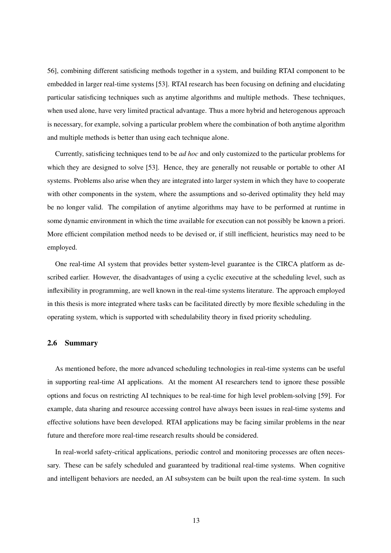56], combining different satisficing methods together in a system, and building RTAI component to be embedded in larger real-time systems [53]. RTAI research has been focusing on defining and elucidating particular satisficing techniques such as anytime algorithms and multiple methods. These techniques, when used alone, have very limited practical advantage. Thus a more hybrid and heterogenous approach is necessary, for example, solving a particular problem where the combination of both anytime algorithm and multiple methods is better than using each technique alone.

Currently, satisficing techniques tend to be *ad hoc* and only customized to the particular problems for which they are designed to solve [53]. Hence, they are generally not reusable or portable to other AI systems. Problems also arise when they are integrated into larger system in which they have to cooperate with other components in the system, where the assumptions and so-derived optimality they held may be no longer valid. The compilation of anytime algorithms may have to be performed at runtime in some dynamic environment in which the time available for execution can not possibly be known a priori. More efficient compilation method needs to be devised or, if still inefficient, heuristics may need to be employed.

One real-time AI system that provides better system-level guarantee is the CIRCA platform as described earlier. However, the disadvantages of using a cyclic executive at the scheduling level, such as inflexibility in programming, are well known in the real-time systems literature. The approach employed in this thesis is more integrated where tasks can be facilitated directly by more flexible scheduling in the operating system, which is supported with schedulability theory in fixed priority scheduling.

#### 2.6 Summary

As mentioned before, the more advanced scheduling technologies in real-time systems can be useful in supporting real-time AI applications. At the moment AI researchers tend to ignore these possible options and focus on restricting AI techniques to be real-time for high level problem-solving [59]. For example, data sharing and resource accessing control have always been issues in real-time systems and effective solutions have been developed. RTAI applications may be facing similar problems in the near future and therefore more real-time research results should be considered.

In real-world safety-critical applications, periodic control and monitoring processes are often necessary. These can be safely scheduled and guaranteed by traditional real-time systems. When cognitive and intelligent behaviors are needed, an AI subsystem can be built upon the real-time system. In such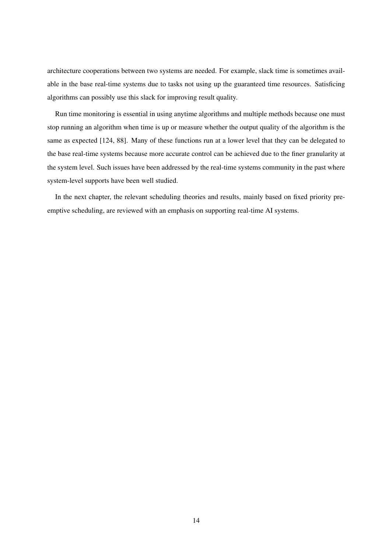architecture cooperations between two systems are needed. For example, slack time is sometimes available in the base real-time systems due to tasks not using up the guaranteed time resources. Satisficing algorithms can possibly use this slack for improving result quality.

Run time monitoring is essential in using anytime algorithms and multiple methods because one must stop running an algorithm when time is up or measure whether the output quality of the algorithm is the same as expected [124, 88]. Many of these functions run at a lower level that they can be delegated to the base real-time systems because more accurate control can be achieved due to the finer granularity at the system level. Such issues have been addressed by the real-time systems community in the past where system-level supports have been well studied.

In the next chapter, the relevant scheduling theories and results, mainly based on fixed priority preemptive scheduling, are reviewed with an emphasis on supporting real-time AI systems.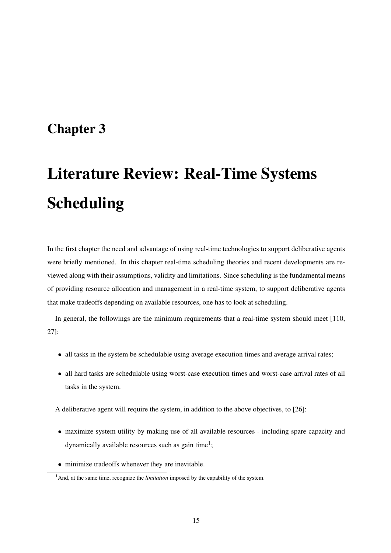### Chapter 3

# Literature Review: Real-Time Systems Scheduling

In the first chapter the need and advantage of using real-time technologies to support deliberative agents were briefly mentioned. In this chapter real-time scheduling theories and recent developments are reviewed along with their assumptions, validity and limitations. Since scheduling is the fundamental means of providing resource allocation and management in a real-time system, to support deliberative agents that make tradeoffs depending on available resources, one has to look at scheduling.

In general, the followings are the minimum requirements that a real-time system should meet [110, 27]:

- all tasks in the system be schedulable using average execution times and average arrival rates;
- all hard tasks are schedulable using worst-case execution times and worst-case arrival rates of all tasks in the system.

A deliberative agent will require the system, in addition to the above objectives, to [26]:

- maximize system utility by making use of all available resources including spare capacity and dynamically available resources such as gain time<sup>1</sup>;
- minimize tradeoffs whenever they are inevitable.

<sup>&</sup>lt;sup>1</sup>And, at the same time, recognize the *limitation* imposed by the capability of the system.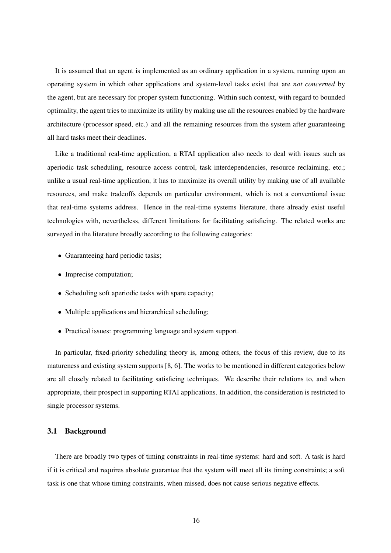It is assumed that an agent is implemented as an ordinary application in a system, running upon an operating system in which other applications and system-level tasks exist that are *not concerned* by the agent, but are necessary for proper system functioning. Within such context, with regard to bounded optimality, the agent tries to maximize its utility by making use all the resources enabled by the hardware architecture (processor speed, etc.) and all the remaining resources from the system after guaranteeing all hard tasks meet their deadlines.

Like a traditional real-time application, a RTAI application also needs to deal with issues such as aperiodic task scheduling, resource access control, task interdependencies, resource reclaiming, etc.; unlike a usual real-time application, it has to maximize its overall utility by making use of all available resources, and make tradeoffs depends on particular environment, which is not a conventional issue that real-time systems address. Hence in the real-time systems literature, there already exist useful technologies with, nevertheless, different limitations for facilitating satisficing. The related works are surveyed in the literature broadly according to the following categories:

- Guaranteeing hard periodic tasks;
- Imprecise computation;
- Scheduling soft aperiodic tasks with spare capacity;
- Multiple applications and hierarchical scheduling;
- Practical issues: programming language and system support.

In particular, fixed-priority scheduling theory is, among others, the focus of this review, due to its matureness and existing system supports [8, 6]. The works to be mentioned in different categories below are all closely related to facilitating satisficing techniques. We describe their relations to, and when appropriate, their prospect in supporting RTAI applications. In addition, the consideration is restricted to single processor systems.

#### 3.1 Background

There are broadly two types of timing constraints in real-time systems: hard and soft. A task is hard if it is critical and requires absolute guarantee that the system will meet all its timing constraints; a soft task is one that whose timing constraints, when missed, does not cause serious negative effects.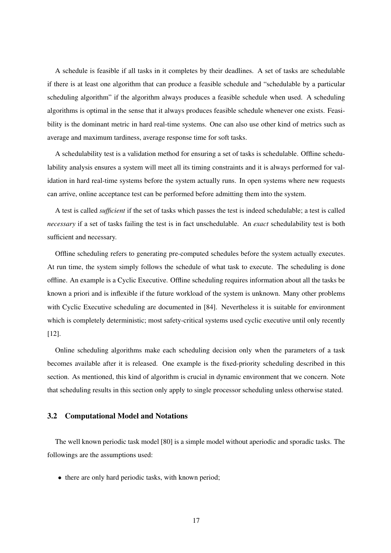A schedule is feasible if all tasks in it completes by their deadlines. A set of tasks are schedulable if there is at least one algorithm that can produce a feasible schedule and "schedulable by a particular scheduling algorithm" if the algorithm always produces a feasible schedule when used. A scheduling algorithms is optimal in the sense that it always produces feasible schedule whenever one exists. Feasibility is the dominant metric in hard real-time systems. One can also use other kind of metrics such as average and maximum tardiness, average response time for soft tasks.

A schedulability test is a validation method for ensuring a set of tasks is schedulable. Offline schedulability analysis ensures a system will meet all its timing constraints and it is always performed for validation in hard real-time systems before the system actually runs. In open systems where new requests can arrive, online acceptance test can be performed before admitting them into the system.

A test is called *sufficient* if the set of tasks which passes the test is indeed schedulable; a test is called *necessary* if a set of tasks failing the test is in fact unschedulable. An *exact* schedulability test is both sufficient and necessary.

Offline scheduling refers to generating pre-computed schedules before the system actually executes. At run time, the system simply follows the schedule of what task to execute. The scheduling is done offline. An example is a Cyclic Executive. Offline scheduling requires information about all the tasks be known a priori and is inflexible if the future workload of the system is unknown. Many other problems with Cyclic Executive scheduling are documented in [84]. Nevertheless it is suitable for environment which is completely deterministic; most safety-critical systems used cyclic executive until only recently [12].

Online scheduling algorithms make each scheduling decision only when the parameters of a task becomes available after it is released. One example is the fixed-priority scheduling described in this section. As mentioned, this kind of algorithm is crucial in dynamic environment that we concern. Note that scheduling results in this section only apply to single processor scheduling unless otherwise stated.

#### 3.2 Computational Model and Notations

The well known periodic task model [80] is a simple model without aperiodic and sporadic tasks. The followings are the assumptions used:

• there are only hard periodic tasks, with known period;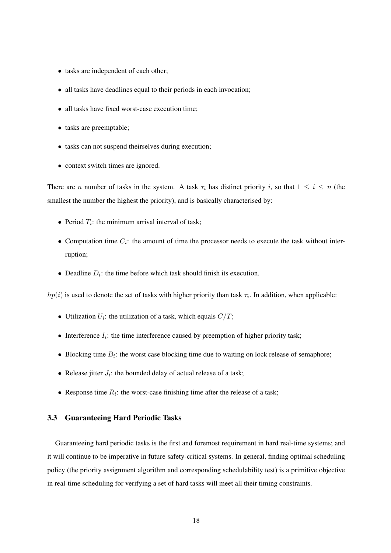- tasks are independent of each other;
- all tasks have deadlines equal to their periods in each invocation;
- all tasks have fixed worst-case execution time:
- tasks are preemptable;
- tasks can not suspend theirselves during execution;
- context switch times are ignored.

There are n number of tasks in the system. A task  $\tau_i$  has distinct priority i, so that  $1 \leq i \leq n$  (the smallest the number the highest the priority), and is basically characterised by:

- Period  $T_i$ : the minimum arrival interval of task;
- Computation time  $C_i$ : the amount of time the processor needs to execute the task without interruption;
- Deadline  $D_i$ : the time before which task should finish its execution.

 $hp(i)$  is used to denote the set of tasks with higher priority than task  $\tau_i$ . In addition, when applicable:

- Utilization  $U_i$ : the utilization of a task, which equals  $C/T$ ;
- Interference  $I_i$ : the time interference caused by preemption of higher priority task;
- Blocking time  $B_i$ : the worst case blocking time due to waiting on lock release of semaphore;
- Release jitter  $J_i$ : the bounded delay of actual release of a task;
- Response time  $R_i$ : the worst-case finishing time after the release of a task;

#### 3.3 Guaranteeing Hard Periodic Tasks

Guaranteeing hard periodic tasks is the first and foremost requirement in hard real-time systems; and it will continue to be imperative in future safety-critical systems. In general, finding optimal scheduling policy (the priority assignment algorithm and corresponding schedulability test) is a primitive objective in real-time scheduling for verifying a set of hard tasks will meet all their timing constraints.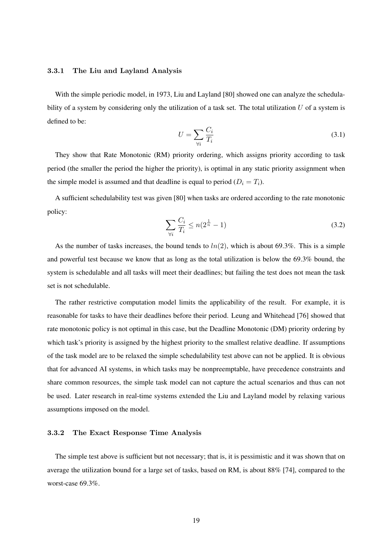#### 3.3.1 The Liu and Layland Analysis

With the simple periodic model, in 1973, Liu and Layland [80] showed one can analyze the schedulability of a system by considering only the utilization of a task set. The total utilization  $U$  of a system is defined to be:

$$
U = \sum_{\forall i} \frac{C_i}{T_i} \tag{3.1}
$$

They show that Rate Monotonic (RM) priority ordering, which assigns priority according to task period (the smaller the period the higher the priority), is optimal in any static priority assignment when the simple model is assumed and that deadline is equal to period  $(D_i = T_i)$ .

A sufficient schedulability test was given [80] when tasks are ordered according to the rate monotonic policy:

$$
\sum_{\forall i} \frac{C_i}{T_i} \le n(2^{\frac{1}{n}} - 1) \tag{3.2}
$$

As the number of tasks increases, the bound tends to  $ln(2)$ , which is about 69.3%. This is a simple and powerful test because we know that as long as the total utilization is below the 69.3% bound, the system is schedulable and all tasks will meet their deadlines; but failing the test does not mean the task set is not schedulable.

The rather restrictive computation model limits the applicability of the result. For example, it is reasonable for tasks to have their deadlines before their period. Leung and Whitehead [76] showed that rate monotonic policy is not optimal in this case, but the Deadline Monotonic (DM) priority ordering by which task's priority is assigned by the highest priority to the smallest relative deadline. If assumptions of the task model are to be relaxed the simple schedulability test above can not be applied. It is obvious that for advanced AI systems, in which tasks may be nonpreemptable, have precedence constraints and share common resources, the simple task model can not capture the actual scenarios and thus can not be used. Later research in real-time systems extended the Liu and Layland model by relaxing various assumptions imposed on the model.

#### 3.3.2 The Exact Response Time Analysis

The simple test above is sufficient but not necessary; that is, it is pessimistic and it was shown that on average the utilization bound for a large set of tasks, based on RM, is about 88% [74], compared to the worst-case 69.3%.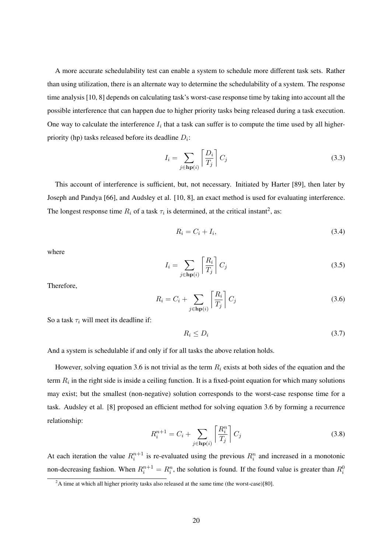A more accurate schedulability test can enable a system to schedule more different task sets. Rather than using utilization, there is an alternate way to determine the schedulability of a system. The response time analysis [10, 8] depends on calculating task's worst-case response time by taking into account all the possible interference that can happen due to higher priority tasks being released during a task execution. One way to calculate the interference  $I_i$  that a task can suffer is to compute the time used by all higherpriority (hp) tasks released before its deadline  $D_i$ :

$$
I_i = \sum_{j \in \mathbf{hp}(i)} \left[ \frac{D_i}{T_j} \right] C_j \tag{3.3}
$$

This account of interference is sufficient, but, not necessary. Initiated by Harter [89], then later by Joseph and Pandya [66], and Audsley et al. [10, 8], an exact method is used for evaluating interference. The longest response time  $R_i$  of a task  $\tau_i$  is determined, at the critical instant<sup>2</sup>, as:

$$
R_i = C_i + I_i,\tag{3.4}
$$

where

$$
I_i = \sum_{j \in \mathbf{hp}(i)} \left[ \frac{R_i}{T_j} \right] C_j \tag{3.5}
$$

Therefore,

$$
R_i = C_i + \sum_{j \in \mathbf{hp}(i)} \left[ \frac{R_i}{T_j} \right] C_j \tag{3.6}
$$

So a task  $\tau_i$  will meet its deadline if:

$$
R_i \le D_i \tag{3.7}
$$

And a system is schedulable if and only if for all tasks the above relation holds.

However, solving equation 3.6 is not trivial as the term  $R_i$  exists at both sides of the equation and the term  $R_i$  in the right side is inside a ceiling function. It is a fixed-point equation for which many solutions may exist; but the smallest (non-negative) solution corresponds to the worst-case response time for a task. Audsley et al. [8] proposed an efficient method for solving equation 3.6 by forming a recurrence relationship:

$$
R_i^{n+1} = C_i + \sum_{j \in \mathbf{hp}(i)} \left[ \frac{R_i^n}{T_j} \right] C_j \tag{3.8}
$$

At each iteration the value  $R_i^{n+1}$  is re-evaluated using the previous  $R_i^n$  and increased in a monotonic non-decreasing fashion. When  $R_i^{n+1} = R_i^n$ , the solution is found. If the found value is greater than  $R_i^0$ 

 $2A$  time at which all higher priority tasks also released at the same time (the worst-case)[80].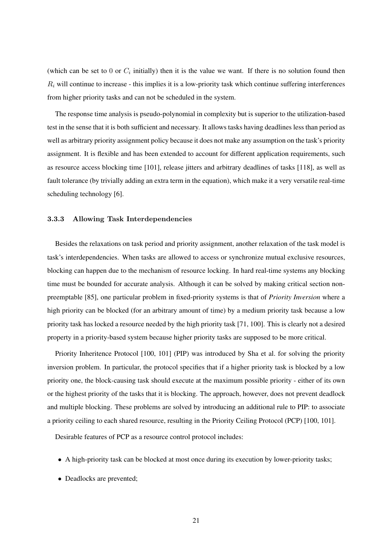(which can be set to 0 or  $C_i$  initially) then it is the value we want. If there is no solution found then  $R_i$  will continue to increase - this implies it is a low-priority task which continue suffering interferences from higher priority tasks and can not be scheduled in the system.

The response time analysis is pseudo-polynomial in complexity but is superior to the utilization-based test in the sense that it is both sufficient and necessary. It allows tasks having deadlines less than period as well as arbitrary priority assignment policy because it does not make any assumption on the task's priority assignment. It is flexible and has been extended to account for different application requirements, such as resource access blocking time [101], release jitters and arbitrary deadlines of tasks [118], as well as fault tolerance (by trivially adding an extra term in the equation), which make it a very versatile real-time scheduling technology [6].

#### 3.3.3 Allowing Task Interdependencies

Besides the relaxations on task period and priority assignment, another relaxation of the task model is task's interdependencies. When tasks are allowed to access or synchronize mutual exclusive resources, blocking can happen due to the mechanism of resource locking. In hard real-time systems any blocking time must be bounded for accurate analysis. Although it can be solved by making critical section nonpreemptable [85], one particular problem in fixed-priority systems is that of *Priority Inversion* where a high priority can be blocked (for an arbitrary amount of time) by a medium priority task because a low priority task has locked a resource needed by the high priority task [71, 100]. This is clearly not a desired property in a priority-based system because higher priority tasks are supposed to be more critical.

Priority Inheritence Protocol [100, 101] (PIP) was introduced by Sha et al. for solving the priority inversion problem. In particular, the protocol specifies that if a higher priority task is blocked by a low priority one, the block-causing task should execute at the maximum possible priority - either of its own or the highest priority of the tasks that it is blocking. The approach, however, does not prevent deadlock and multiple blocking. These problems are solved by introducing an additional rule to PIP: to associate a priority ceiling to each shared resource, resulting in the Priority Ceiling Protocol (PCP) [100, 101].

Desirable features of PCP as a resource control protocol includes:

- A high-priority task can be blocked at most once during its execution by lower-priority tasks;
- Deadlocks are prevented;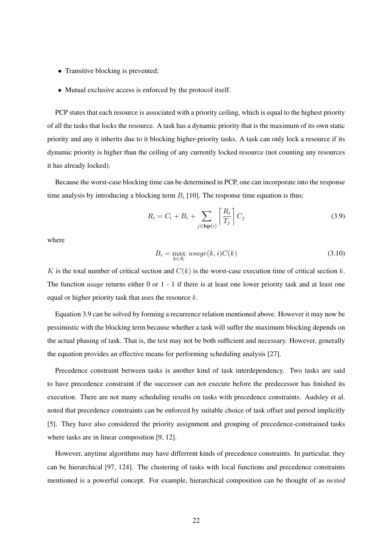- Transitive blocking is prevented;
- Mutual exclusive access is enforced by the protocol itself.

PCP states that each resource is associated with a priority ceiling, which is equal to the highest priority of all the tasks that locks the resource. A task has a dynamic priority that is the maximum of its own static priority and any it inherits due to it blocking higher-priority tasks. A task can only lock a resource if its dynamic priority is higher than the ceiling of any currently locked resource (not counting any resources it has already locked).

Because the worst-case blocking time can be determined in PCP, one can incorporate into the response time analysis by introducing a blocking term  $B_i$  [10]. The response time equation is thus:

$$
R_i = C_i + B_i + \sum_{j \in \mathbf{hp}(i)} \left[ \frac{R_i}{T_j} \right] C_j \tag{3.9}
$$

where

$$
B_i = \max_{k \in K} usage(k, i)C(k)
$$
\n(3.10)

K is the total number of critical section and  $C(k)$  is the worst-case execution time of critical section k. The function *usage* returns either 0 or 1 - 1 if there is at least one lower priority task and at least one equal or higher priority task that uses the resource  $k$ .

Equation 3.9 can be solved by forming a recurrence relation mentioned above. However it may now be pessimistic with the blocking term because whether a task will suffer the maximum blocking depends on the actual phasing of task. That is, the test may not be both sufficient and necessary. However, generally the equation provides an effective means for performing scheduling analysis [27].

Precedence constraint between tasks is another kind of task interdependency. Two tasks are said to have precedence constraint if the successor can not execute before the predecessor has finished its execution. There are not many scheduling results on tasks with precedence constraints. Audsley et al. noted that precedence constraints can be enforced by suitable choice of task offset and period implicitly [5]. They have also considered the priority assignment and grouping of precedence-constrained tasks where tasks are in linear composition [9, 12].

However, anytime algorithms may have differrent kinds of precedence constraints. In particular, they can be hierarchical [97, 124]. The clustering of tasks with local functions and precedence constraints mentioned is a powerful concept. For example, hierarchical composition can be thought of as *nested*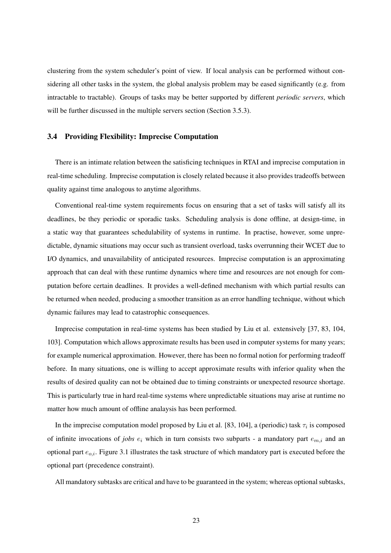clustering from the system scheduler's point of view. If local analysis can be performed without considering all other tasks in the system, the global analysis problem may be eased significantly (e.g. from intractable to tractable). Groups of tasks may be better supported by different *periodic servers*, which will be further discussed in the multiple servers section (Section 3.5.3).

#### 3.4 Providing Flexibility: Imprecise Computation

There is an intimate relation between the satisficing techniques in RTAI and imprecise computation in real-time scheduling. Imprecise computation is closely related because it also provides tradeoffs between quality against time analogous to anytime algorithms.

Conventional real-time system requirements focus on ensuring that a set of tasks will satisfy all its deadlines, be they periodic or sporadic tasks. Scheduling analysis is done offline, at design-time, in a static way that guarantees schedulability of systems in runtime. In practise, however, some unpredictable, dynamic situations may occur such as transient overload, tasks overrunning their WCET due to I/O dynamics, and unavailability of anticipated resources. Imprecise computation is an approximating approach that can deal with these runtime dynamics where time and resources are not enough for computation before certain deadlines. It provides a well-defined mechanism with which partial results can be returned when needed, producing a smoother transition as an error handling technique, without which dynamic failures may lead to catastrophic consequences.

Imprecise computation in real-time systems has been studied by Liu et al. extensively [37, 83, 104, 103]. Computation which allows approximate results has been used in computer systems for many years; for example numerical approximation. However, there has been no formal notion for performing tradeoff before. In many situations, one is willing to accept approximate results with inferior quality when the results of desired quality can not be obtained due to timing constraints or unexpected resource shortage. This is particularly true in hard real-time systems where unpredictable situations may arise at runtime no matter how much amount of offline analaysis has been performed.

In the imprecise computation model proposed by Liu et al. [83, 104], a (periodic) task  $\tau_i$  is composed of infinite invocations of *jobs*  $e_i$  which in turn consists two subparts - a mandatory part  $e_{m,i}$  and an optional part  $e_{o,i}$ . Figure 3.1 illustrates the task structure of which mandatory part is executed before the optional part (precedence constraint).

All mandatory subtasks are critical and have to be guaranteed in the system; whereas optional subtasks,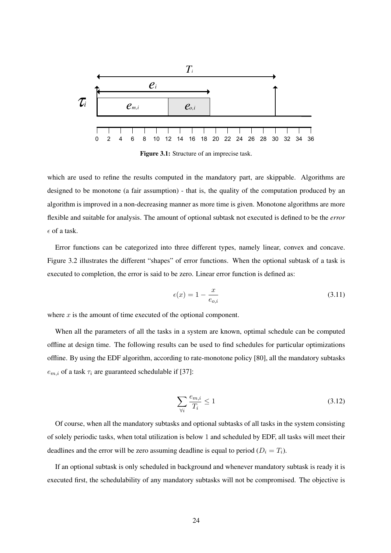

Figure 3.1: Structure of an imprecise task.

which are used to refine the results computed in the mandatory part, are skippable. Algorithms are designed to be monotone (a fair assumption) - that is, the quality of the computation produced by an algorithm is improved in a non-decreasing manner as more time is given. Monotone algorithms are more flexible and suitable for analysis. The amount of optional subtask not executed is defined to be the *error*  $\epsilon$  of a task.

Error functions can be categorized into three different types, namely linear, convex and concave. Figure 3.2 illustrates the different "shapes" of error functions. When the optional subtask of a task is executed to completion, the error is said to be zero. Linear error function is defined as:

$$
\epsilon(x) = 1 - \frac{x}{e_{o,i}}\tag{3.11}
$$

where  $x$  is the amount of time executed of the optional component.

When all the parameters of all the tasks in a system are known, optimal schedule can be computed offline at design time. The following results can be used to find schedules for particular optimizations offline. By using the EDF algorithm, according to rate-monotone policy [80], all the mandatory subtasks  $e_{m,i}$  of a task  $\tau_i$  are guaranteed schedulable if [37]:

$$
\sum_{\forall i} \frac{e_{m,i}}{T_i} \le 1\tag{3.12}
$$

Of course, when all the mandatory subtasks and optional subtasks of all tasks in the system consisting of solely periodic tasks, when total utilization is below 1 and scheduled by EDF, all tasks will meet their deadlines and the error will be zero assuming deadline is equal to period  $(D_i = T_i)$ .

If an optional subtask is only scheduled in background and whenever mandatory subtask is ready it is executed first, the schedulability of any mandatory subtasks will not be compromised. The objective is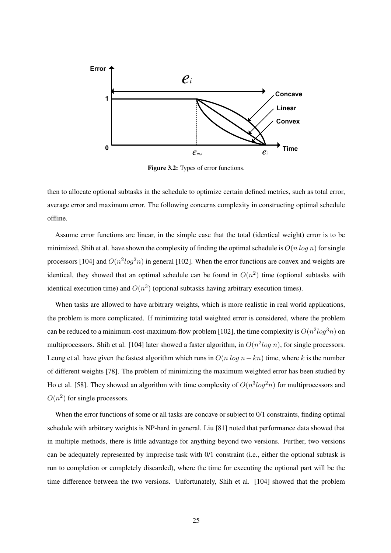

Figure 3.2: Types of error functions.

then to allocate optional subtasks in the schedule to optimize certain defined metrics, such as total error, average error and maximum error. The following concerns complexity in constructing optimal schedule offline.

Assume error functions are linear, in the simple case that the total (identical weight) error is to be minimized, Shih et al. have shown the complexity of finding the optimal schedule is  $O(n \log n)$  for single processors [104] and  $O(n^2 \log^2 n)$  in general [102]. When the error functions are convex and weights are identical, they showed that an optimal schedule can be found in  $O(n^2)$  time (optional subtasks with identical execution time) and  $O(n^3)$  (optional subtasks having arbitrary execution times).

When tasks are allowed to have arbitrary weights, which is more realistic in real world applications, the problem is more complicated. If minimizing total weighted error is considered, where the problem can be reduced to a minimum-cost-maximum-flow problem [102], the time complexity is  $O(n^2 \log^3 n)$  on multiprocessors. Shih et al. [104] later showed a faster algorithm, in  $O(n^2 \log n)$ , for single processors. Leung et al. have given the fastest algorithm which runs in  $O(n \log n + kn)$  time, where k is the number of different weights [78]. The problem of minimizing the maximum weighted error has been studied by Ho et al. [58]. They showed an algorithm with time complexity of  $O(n^3 log^2 n)$  for multiprocessors and  $O(n^2)$  for single processors.

When the error functions of some or all tasks are concave or subject to 0/1 constraints, finding optimal schedule with arbitrary weights is NP-hard in general. Liu [81] noted that performance data showed that in multiple methods, there is little advantage for anything beyond two versions. Further, two versions can be adequately represented by imprecise task with 0/1 constraint (i.e., either the optional subtask is run to completion or completely discarded), where the time for executing the optional part will be the time difference between the two versions. Unfortunately, Shih et al. [104] showed that the problem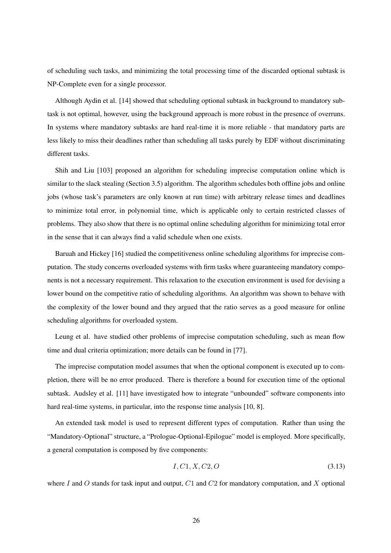of scheduling such tasks, and minimizing the total processing time of the discarded optional subtask is NP-Complete even for a single processor.

Although Aydin et al. [14] showed that scheduling optional subtask in background to mandatory subtask is not optimal, however, using the background approach is more robust in the presence of overruns. In systems where mandatory subtasks are hard real-time it is more reliable - that mandatory parts are less likely to miss their deadlines rather than scheduling all tasks purely by EDF without discriminating different tasks.

Shih and Liu [103] proposed an algorithm for scheduling imprecise computation online which is similar to the slack stealing (Section 3.5) algorithm. The algorithm schedules both offline jobs and online jobs (whose task's parameters are only known at run time) with arbitrary release times and deadlines to minimize total error, in polynomial time, which is applicable only to certain restricted classes of problems. They also show that there is no optimal online scheduling algorithm for minimizing total error in the sense that it can always find a valid schedule when one exists.

Baruah and Hickey [16] studied the competitiveness online scheduling algorithms for imprecise computation. The study concerns overloaded systems with firm tasks where guaranteeing mandatory components is not a necessary requirement. This relaxation to the execution environment is used for devising a lower bound on the competitive ratio of scheduling algorithms. An algorithm was shown to behave with the complexity of the lower bound and they argued that the ratio serves as a good measure for online scheduling algorithms for overloaded system.

Leung et al. have studied other problems of imprecise computation scheduling, such as mean flow time and dual criteria optimization; more details can be found in [77].

The imprecise computation model assumes that when the optional component is executed up to completion, there will be no error produced. There is therefore a bound for execution time of the optional subtask. Audsley et al. [11] have investigated how to integrate "unbounded" software components into hard real-time systems, in particular, into the response time analysis [10, 8].

An extended task model is used to represent different types of computation. Rather than using the "Mandatory-Optional" structure, a "Prologue-Optional-Epilogue" model is employed. More specifically, a general computation is composed by five components:

$$
I, C1, X, C2, O \tag{3.13}
$$

where I and O stands for task input and output,  $C1$  and  $C2$  for mandatory computation, and X optional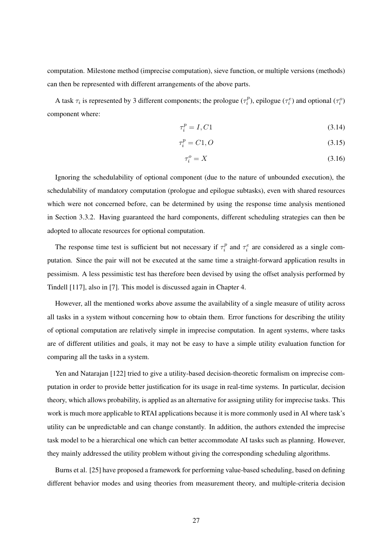computation. Milestone method (imprecise computation), sieve function, or multiple versions (methods) can then be represented with different arrangements of the above parts.

A task  $\tau_i$  is represented by 3 different components; the prologue  $(\tau_i^p)$  $\tau_i^p$ ), epilogue  $(\tau_i^e)$  and optional  $(\tau_i^o)$ component where:

$$
\tau_i^p = I, C1 \tag{3.14}
$$

$$
\tau_i^p = C1, O \tag{3.15}
$$

$$
\tau_i^o = X \tag{3.16}
$$

Ignoring the schedulability of optional component (due to the nature of unbounded execution), the schedulability of mandatory computation (prologue and epilogue subtasks), even with shared resources which were not concerned before, can be determined by using the response time analysis mentioned in Section 3.3.2. Having guaranteed the hard components, different scheduling strategies can then be adopted to allocate resources for optional computation.

The response time test is sufficient but not necessary if  $\tau_i^p$  $\tau_i^p$  and  $\tau_i^e$  are considered as a single computation. Since the pair will not be executed at the same time a straight-forward application results in pessimism. A less pessimistic test has therefore been devised by using the offset analysis performed by Tindell [117], also in [7]. This model is discussed again in Chapter 4.

However, all the mentioned works above assume the availability of a single measure of utility across all tasks in a system without concerning how to obtain them. Error functions for describing the utility of optional computation are relatively simple in imprecise computation. In agent systems, where tasks are of different utilities and goals, it may not be easy to have a simple utility evaluation function for comparing all the tasks in a system.

Yen and Natarajan [122] tried to give a utility-based decision-theoretic formalism on imprecise computation in order to provide better justification for its usage in real-time systems. In particular, decision theory, which allows probability, is applied as an alternative for assigning utility for imprecise tasks. This work is much more applicable to RTAI applications because it is more commonly used in AI where task's utility can be unpredictable and can change constantly. In addition, the authors extended the imprecise task model to be a hierarchical one which can better accommodate AI tasks such as planning. However, they mainly addressed the utility problem without giving the corresponding scheduling algorithms.

Burns et al. [25] have proposed a framework for performing value-based scheduling, based on defining different behavior modes and using theories from measurement theory, and multiple-criteria decision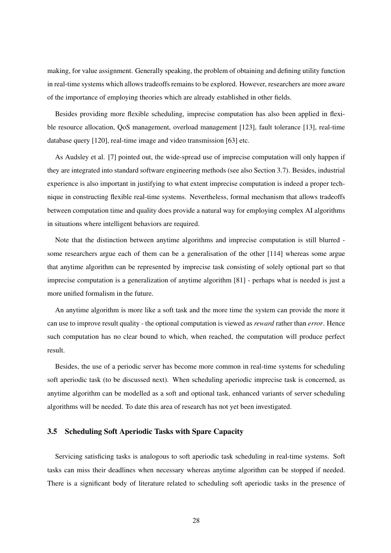making, for value assignment. Generally speaking, the problem of obtaining and defining utility function in real-time systems which allows tradeoffs remains to be explored. However, researchers are more aware of the importance of employing theories which are already established in other fields.

Besides providing more flexible scheduling, imprecise computation has also been applied in flexible resource allocation, QoS management, overload management [123], fault tolerance [13], real-time database query [120], real-time image and video transmission [63] etc.

As Audsley et al. [7] pointed out, the wide-spread use of imprecise computation will only happen if they are integrated into standard software engineering methods (see also Section 3.7). Besides, industrial experience is also important in justifying to what extent imprecise computation is indeed a proper technique in constructing flexible real-time systems. Nevertheless, formal mechanism that allows tradeoffs between computation time and quality does provide a natural way for employing complex AI algorithms in situations where intelligent behaviors are required.

Note that the distinction between anytime algorithms and imprecise computation is still blurred some researchers argue each of them can be a generalisation of the other [114] whereas some argue that anytime algorithm can be represented by imprecise task consisting of solely optional part so that imprecise computation is a generalization of anytime algorithm [81] - perhaps what is needed is just a more unified formalism in the future.

An anytime algorithm is more like a soft task and the more time the system can provide the more it can use to improve result quality - the optional computation is viewed as *reward* rather than *error*. Hence such computation has no clear bound to which, when reached, the computation will produce perfect result.

Besides, the use of a periodic server has become more common in real-time systems for scheduling soft aperiodic task (to be discussed next). When scheduling aperiodic imprecise task is concerned, as anytime algorithm can be modelled as a soft and optional task, enhanced variants of server scheduling algorithms will be needed. To date this area of research has not yet been investigated.

#### 3.5 Scheduling Soft Aperiodic Tasks with Spare Capacity

Servicing satisficing tasks is analogous to soft aperiodic task scheduling in real-time systems. Soft tasks can miss their deadlines when necessary whereas anytime algorithm can be stopped if needed. There is a significant body of literature related to scheduling soft aperiodic tasks in the presence of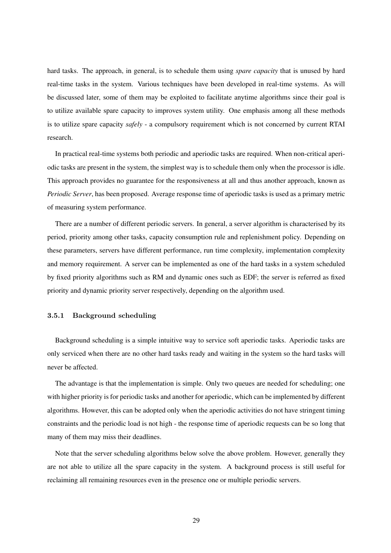hard tasks. The approach, in general, is to schedule them using *spare capacity* that is unused by hard real-time tasks in the system. Various techniques have been developed in real-time systems. As will be discussed later, some of them may be exploited to facilitate anytime algorithms since their goal is to utilize available spare capacity to improves system utility. One emphasis among all these methods is to utilize spare capacity *safely* - a compulsory requirement which is not concerned by current RTAI research.

In practical real-time systems both periodic and aperiodic tasks are required. When non-critical aperiodic tasks are present in the system, the simplest way is to schedule them only when the processor is idle. This approach provides no guarantee for the responsiveness at all and thus another approach, known as *Periodic Server*, has been proposed. Average response time of aperiodic tasks is used as a primary metric of measuring system performance.

There are a number of different periodic servers. In general, a server algorithm is characterised by its period, priority among other tasks, capacity consumption rule and replenishment policy. Depending on these parameters, servers have different performance, run time complexity, implementation complexity and memory requirement. A server can be implemented as one of the hard tasks in a system scheduled by fixed priority algorithms such as RM and dynamic ones such as EDF; the server is referred as fixed priority and dynamic priority server respectively, depending on the algorithm used.

#### 3.5.1 Background scheduling

Background scheduling is a simple intuitive way to service soft aperiodic tasks. Aperiodic tasks are only serviced when there are no other hard tasks ready and waiting in the system so the hard tasks will never be affected.

The advantage is that the implementation is simple. Only two queues are needed for scheduling; one with higher priority is for periodic tasks and another for aperiodic, which can be implemented by different algorithms. However, this can be adopted only when the aperiodic activities do not have stringent timing constraints and the periodic load is not high - the response time of aperiodic requests can be so long that many of them may miss their deadlines.

Note that the server scheduling algorithms below solve the above problem. However, generally they are not able to utilize all the spare capacity in the system. A background process is still useful for reclaiming all remaining resources even in the presence one or multiple periodic servers.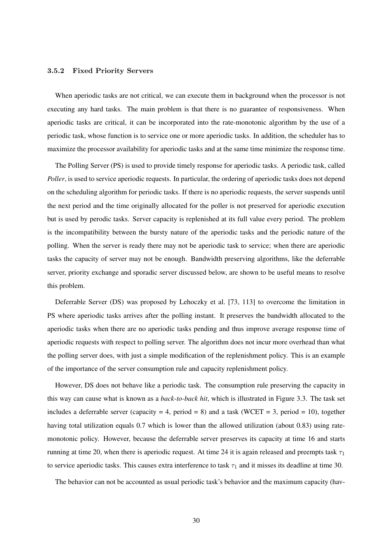#### 3.5.2 Fixed Priority Servers

When aperiodic tasks are not critical, we can execute them in background when the processor is not executing any hard tasks. The main problem is that there is no guarantee of responsiveness. When aperiodic tasks are critical, it can be incorporated into the rate-monotonic algorithm by the use of a periodic task, whose function is to service one or more aperiodic tasks. In addition, the scheduler has to maximize the processor availability for aperiodic tasks and at the same time minimize the response time.

The Polling Server (PS) is used to provide timely response for aperiodic tasks. A periodic task, called *Poller*, is used to service aperiodic requests. In particular, the ordering of aperiodic tasks does not depend on the scheduling algorithm for periodic tasks. If there is no aperiodic requests, the server suspends until the next period and the time originally allocated for the poller is not preserved for aperiodic execution but is used by perodic tasks. Server capacity is replenished at its full value every period. The problem is the incompatibility between the bursty nature of the aperiodic tasks and the periodic nature of the polling. When the server is ready there may not be aperiodic task to service; when there are aperiodic tasks the capacity of server may not be enough. Bandwidth preserving algorithms, like the deferrable server, priority exchange and sporadic server discussed below, are shown to be useful means to resolve this problem.

Deferrable Server (DS) was proposed by Lehoczky et al. [73, 113] to overcome the limitation in PS where aperiodic tasks arrives after the polling instant. It preserves the bandwidth allocated to the aperiodic tasks when there are no aperiodic tasks pending and thus improve average response time of aperiodic requests with respect to polling server. The algorithm does not incur more overhead than what the polling server does, with just a simple modification of the replenishment policy. This is an example of the importance of the server consumption rule and capacity replenishment policy.

However, DS does not behave like a periodic task. The consumption rule preserving the capacity in this way can cause what is known as a *back-to-back hit*, which is illustrated in Figure 3.3. The task set includes a deferrable server (capacity = 4, period = 8) and a task (WCET = 3, period = 10), together having total utilization equals 0.7 which is lower than the allowed utilization (about 0.83) using ratemonotonic policy. However, because the deferrable server preserves its capacity at time 16 and starts running at time 20, when there is aperiodic request. At time 24 it is again released and preempts task  $\tau_1$ to service aperiodic tasks. This causes extra interference to task  $\tau_1$  and it misses its deadline at time 30.

The behavior can not be accounted as usual periodic task's behavior and the maximum capacity (hav-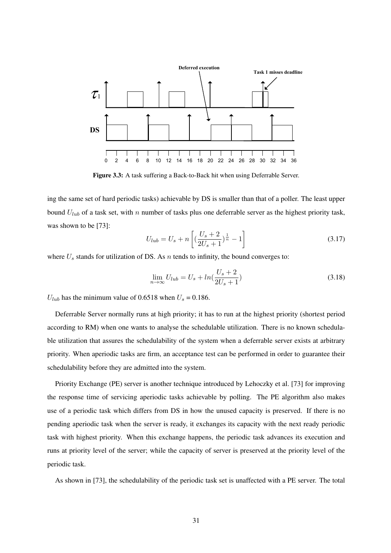

Figure 3.3: A task suffering a Back-to-Back hit when using Deferrable Server.

ing the same set of hard periodic tasks) achievable by DS is smaller than that of a poller. The least upper bound  $U_{lub}$  of a task set, with n number of tasks plus one deferrable server as the highest priority task, was shown to be [73]:

$$
U_{lub} = U_s + n \left[ \left( \frac{U_s + 2}{2U_s + 1} \right)^{\frac{1}{n}} - 1 \right]
$$
 (3.17)

where  $U_s$  stands for utilization of DS. As n tends to infinity, the bound converges to:

$$
\lim_{n \to \infty} U_{lub} = U_s + ln(\frac{U_s + 2}{2U_s + 1})
$$
\n(3.18)

 $U_{lub}$  has the minimum value of 0.6518 when  $U_s = 0.186$ .

Deferrable Server normally runs at high priority; it has to run at the highest priority (shortest period according to RM) when one wants to analyse the schedulable utilization. There is no known schedulable utilization that assures the schedulability of the system when a deferrable server exists at arbitrary priority. When aperiodic tasks are firm, an acceptance test can be performed in order to guarantee their schedulability before they are admitted into the system.

Priority Exchange (PE) server is another technique introduced by Lehoczky et al. [73] for improving the response time of servicing aperiodic tasks achievable by polling. The PE algorithm also makes use of a periodic task which differs from DS in how the unused capacity is preserved. If there is no pending aperiodic task when the server is ready, it exchanges its capacity with the next ready periodic task with highest priority. When this exchange happens, the periodic task advances its execution and runs at priority level of the server; while the capacity of server is preserved at the priority level of the periodic task.

As shown in [73], the schedulability of the periodic task set is unaffected with a PE server. The total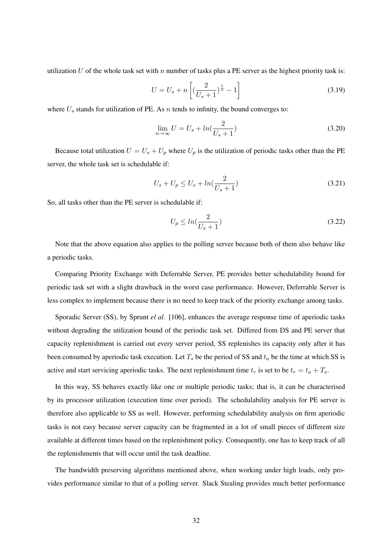utilization U of the whole task set with n number of tasks plus a PE server as the highest priority task is:

$$
U = U_s + n \left[ \left( \frac{2}{U_s + 1} \right)^{\frac{1}{n}} - 1 \right]
$$
 (3.19)

where  $U_s$  stands for utilization of PE. As n tends to infinity, the bound converges to:

$$
\lim_{n \to \infty} U = U_s + \ln\left(\frac{2}{U_s + 1}\right) \tag{3.20}
$$

Because total utilization  $U = U_s + U_p$  where  $U_p$  is the utilization of periodic tasks other than the PE server, the whole task set is schedulable if:

$$
U_s + U_p \le U_s + \ln(\frac{2}{U_s + 1})\tag{3.21}
$$

So, all tasks other than the PE server is schedulable if:

$$
U_p \le \ln\left(\frac{2}{U_s + 1}\right) \tag{3.22}
$$

Note that the above equation also applies to the polling server because both of them also behave like a periodic tasks.

Comparing Priority Exchange with Deferrable Server, PE provides better schedulability bound for periodic task set with a slight drawback in the worst case performance. However, Deferrable Server is less complex to implement because there is no need to keep track of the priority exchange among tasks.

Sporadic Server (SS), by Sprunt *el al.* [106], enhances the average response time of aperiodic tasks without degrading the utilization bound of the periodic task set. Differed from DS and PE server that capacity replenishment is carried out every server period, SS replenishes its capacity only after it has been consumed by aperiodic task execution. Let  $T_s$  be the period of SS and  $t_a$  be the time at which SS is active and start servicing aperiodic tasks. The next replenishment time  $t_r$  is set to be  $t_r = t_a + T_s$ .

In this way, SS behaves exactly like one or multiple periodic tasks; that is, it can be characterised by its processor utilization (execution time over period). The schedulability analysis for PE server is therefore also applicable to SS as well. However, performing schedulability analysis on firm aperiodic tasks is not easy because server capacity can be fragmented in a lot of small pieces of different size available at different times based on the replenishment policy. Consequently, one has to keep track of all the replenishments that will occur until the task deadline.

The bandwidth preserving algorithms mentioned above, when working under high loads, only provides performance similar to that of a polling server. Slack Stealing provides much better performance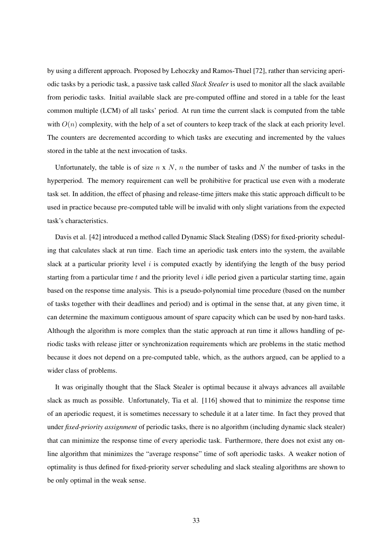by using a different approach. Proposed by Lehoczky and Ramos-Thuel [72], rather than servicing aperiodic tasks by a periodic task, a passive task called *Slack Stealer* is used to monitor all the slack available from periodic tasks. Initial available slack are pre-computed offline and stored in a table for the least common multiple (LCM) of all tasks' period. At run time the current slack is computed from the table with  $O(n)$  complexity, with the help of a set of counters to keep track of the slack at each priority level. The counters are decremented according to which tasks are executing and incremented by the values stored in the table at the next invocation of tasks.

Unfortunately, the table is of size  $n \times N$ , n the number of tasks and N the number of tasks in the hyperperiod. The memory requirement can well be prohibitive for practical use even with a moderate task set. In addition, the effect of phasing and release-time jitters make this static approach difficult to be used in practice because pre-computed table will be invalid with only slight variations from the expected task's characteristics.

Davis et al. [42] introduced a method called Dynamic Slack Stealing (DSS) for fixed-priority scheduling that calculates slack at run time. Each time an aperiodic task enters into the system, the available slack at a particular priority level  $i$  is computed exactly by identifying the length of the busy period starting from a particular time t and the priority level  $i$  idle period given a particular starting time, again based on the response time analysis. This is a pseudo-polynomial time procedure (based on the number of tasks together with their deadlines and period) and is optimal in the sense that, at any given time, it can determine the maximum contiguous amount of spare capacity which can be used by non-hard tasks. Although the algorithm is more complex than the static approach at run time it allows handling of periodic tasks with release jitter or synchronization requirements which are problems in the static method because it does not depend on a pre-computed table, which, as the authors argued, can be applied to a wider class of problems.

It was originally thought that the Slack Stealer is optimal because it always advances all available slack as much as possible. Unfortunately, Tia et al. [116] showed that to minimize the response time of an aperiodic request, it is sometimes necessary to schedule it at a later time. In fact they proved that under *fixed-priority assignment* of periodic tasks, there is no algorithm (including dynamic slack stealer) that can minimize the response time of every aperiodic task. Furthermore, there does not exist any online algorithm that minimizes the "average response" time of soft aperiodic tasks. A weaker notion of optimality is thus defined for fixed-priority server scheduling and slack stealing algorithms are shown to be only optimal in the weak sense.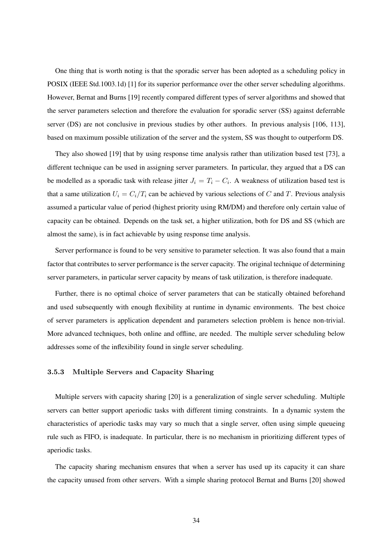One thing that is worth noting is that the sporadic server has been adopted as a scheduling policy in POSIX (IEEE Std.1003.1d) [1] for its superior performance over the other server scheduling algorithms. However, Bernat and Burns [19] recently compared different types of server algorithms and showed that the server parameters selection and therefore the evaluation for sporadic server (SS) against deferrable server (DS) are not conclusive in previous studies by other authors. In previous analysis [106, 113], based on maximum possible utilization of the server and the system, SS was thought to outperform DS.

They also showed [19] that by using response time analysis rather than utilization based test [73], a different technique can be used in assigning server parameters. In particular, they argued that a DS can be modelled as a sporadic task with release jitter  $J_i = T_i - C_i$ . A weakness of utilization based test is that a same utilization  $U_i = C_i/T_i$  can be achieved by various selections of C and T. Previous analysis assumed a particular value of period (highest priority using RM/DM) and therefore only certain value of capacity can be obtained. Depends on the task set, a higher utilization, both for DS and SS (which are almost the same), is in fact achievable by using response time analysis.

Server performance is found to be very sensitive to parameter selection. It was also found that a main factor that contributes to server performance is the server capacity. The original technique of determining server parameters, in particular server capacity by means of task utilization, is therefore inadequate.

Further, there is no optimal choice of server parameters that can be statically obtained beforehand and used subsequently with enough flexibility at runtime in dynamic environments. The best choice of server parameters is application dependent and parameters selection problem is hence non-trivial. More advanced techniques, both online and offline, are needed. The multiple server scheduling below addresses some of the inflexibility found in single server scheduling.

#### 3.5.3 Multiple Servers and Capacity Sharing

Multiple servers with capacity sharing [20] is a generalization of single server scheduling. Multiple servers can better support aperiodic tasks with different timing constraints. In a dynamic system the characteristics of aperiodic tasks may vary so much that a single server, often using simple queueing rule such as FIFO, is inadequate. In particular, there is no mechanism in prioritizing different types of aperiodic tasks.

The capacity sharing mechanism ensures that when a server has used up its capacity it can share the capacity unused from other servers. With a simple sharing protocol Bernat and Burns [20] showed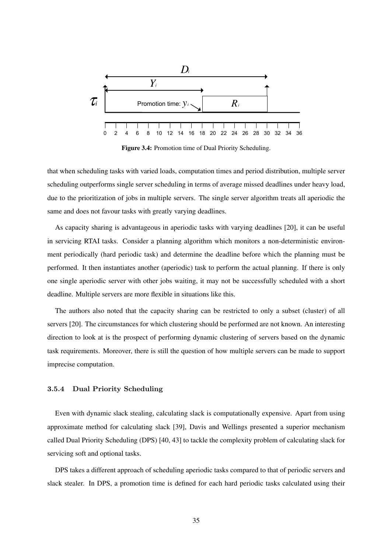

Figure 3.4: Promotion time of Dual Priority Scheduling.

that when scheduling tasks with varied loads, computation times and period distribution, multiple server scheduling outperforms single server scheduling in terms of average missed deadlines under heavy load, due to the prioritization of jobs in multiple servers. The single server algorithm treats all aperiodic the same and does not favour tasks with greatly varying deadlines.

As capacity sharing is advantageous in aperiodic tasks with varying deadlines [20], it can be useful in servicing RTAI tasks. Consider a planning algorithm which monitors a non-deterministic environment periodically (hard periodic task) and determine the deadline before which the planning must be performed. It then instantiates another (aperiodic) task to perform the actual planning. If there is only one single aperiodic server with other jobs waiting, it may not be successfully scheduled with a short deadline. Multiple servers are more flexible in situations like this.

The authors also noted that the capacity sharing can be restricted to only a subset (cluster) of all servers [20]. The circumstances for which clustering should be performed are not known. An interesting direction to look at is the prospect of performing dynamic clustering of servers based on the dynamic task requirements. Moreover, there is still the question of how multiple servers can be made to support imprecise computation.

#### 3.5.4 Dual Priority Scheduling

Even with dynamic slack stealing, calculating slack is computationally expensive. Apart from using approximate method for calculating slack [39], Davis and Wellings presented a superior mechanism called Dual Priority Scheduling (DPS) [40, 43] to tackle the complexity problem of calculating slack for servicing soft and optional tasks.

DPS takes a different approach of scheduling aperiodic tasks compared to that of periodic servers and slack stealer. In DPS, a promotion time is defined for each hard periodic tasks calculated using their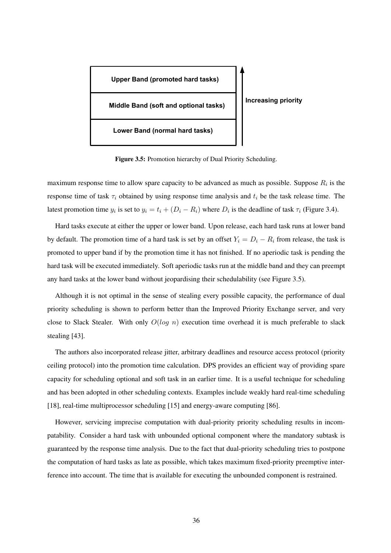

Figure 3.5: Promotion hierarchy of Dual Priority Scheduling.

maximum response time to allow spare capacity to be advanced as much as possible. Suppose  $R_i$  is the response time of task  $\tau_i$  obtained by using response time analysis and  $t_i$  be the task release time. The latest promotion time  $y_i$  is set to  $y_i = t_i + (D_i - R_i)$  where  $D_i$  is the deadline of task  $\tau_i$  (Figure 3.4).

Hard tasks execute at either the upper or lower band. Upon release, each hard task runs at lower band by default. The promotion time of a hard task is set by an offset  $Y_i = D_i - R_i$  from release, the task is promoted to upper band if by the promotion time it has not finished. If no aperiodic task is pending the hard task will be executed immediately. Soft aperiodic tasks run at the middle band and they can preempt any hard tasks at the lower band without jeopardising their schedulability (see Figure 3.5).

Although it is not optimal in the sense of stealing every possible capacity, the performance of dual priority scheduling is shown to perform better than the Improved Priority Exchange server, and very close to Slack Stealer. With only  $O(log n)$  execution time overhead it is much preferable to slack stealing [43].

The authors also incorporated release jitter, arbitrary deadlines and resource access protocol (priority ceiling protocol) into the promotion time calculation. DPS provides an efficient way of providing spare capacity for scheduling optional and soft task in an earlier time. It is a useful technique for scheduling and has been adopted in other scheduling contexts. Examples include weakly hard real-time scheduling [18], real-time multiprocessor scheduling [15] and energy-aware computing [86].

However, servicing imprecise computation with dual-priority priority scheduling results in incompatability. Consider a hard task with unbounded optional component where the mandatory subtask is guaranteed by the response time analysis. Due to the fact that dual-priority scheduling tries to postpone the computation of hard tasks as late as possible, which takes maximum fixed-priority preemptive interference into account. The time that is available for executing the unbounded component is restrained.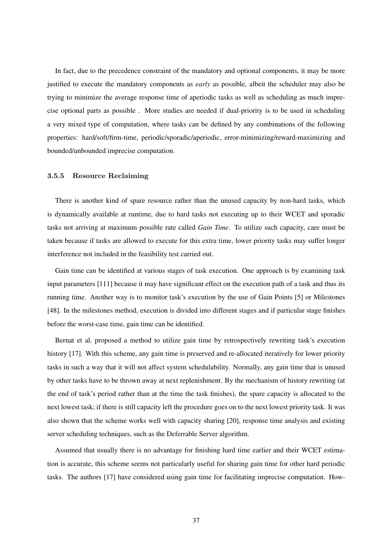In fact, due to the precedence constraint of the mandatory and optional components, it may be more justified to execute the mandatory components as *early* as possible, albeit the scheduler may also be trying to minimize the average response time of aperiodic tasks as well as scheduling as much imprecise optional parts as possible . More studies are needed if dual-priority is to be used in scheduling a very mixed type of computation, where tasks can be defined by any combinations of the following properties: hard/soft/firm-time, periodic/sporadic/aperiodic, error-minimizing/reward-maximizing and bounded/unbounded imprecise computation.

#### 3.5.5 Resource Reclaiming

There is another kind of spare resource rather than the unused capacity by non-hard tasks, which is dynamically available at runtime, due to hard tasks not executing up to their WCET and sporadic tasks not arriving at maximum possible rate called *Gain Time*. To utilize such capacity, care must be taken because if tasks are allowed to execute for this extra time, lower priority tasks may suffer longer interference not included in the feasibility test carried out.

Gain time can be identified at various stages of task execution. One approach is by examining task input parameters [111] because it may have significant effect on the execution path of a task and thus its running time. Another way is to monitor task's execution by the use of Gain Points [5] or Milestones [48]. In the milestones method, execution is divided into different stages and if particular stage finishes before the worst-case time, gain time can be identified.

Bernat et al. proposed a method to utilize gain time by retrospectively rewriting task's execution history [17]. With this scheme, any gain time is preserved and re-allocated iteratively for lower priority tasks in such a way that it will not affect system schedulability. Normally, any gain time that is unused by other tasks have to be thrown away at next replenishment. By the mechanism of history rewriting (at the end of task's period rather than at the time the task finishes), the spare capacity is allocated to the next lowest task; if there is still capacity left the procedure goes on to the next lowest priority task. It was also shown that the scheme works well with capacity sharing [20], response time analysis and existing server scheduling techniques, such as the Deferrable Server algorithm.

Assumed that usually there is no advantage for finishing hard time earlier and their WCET estimation is accurate, this scheme seems not particularly useful for sharing gain time for other hard periodic tasks. The authors [17] have considered using gain time for facilitating imprecise computation. How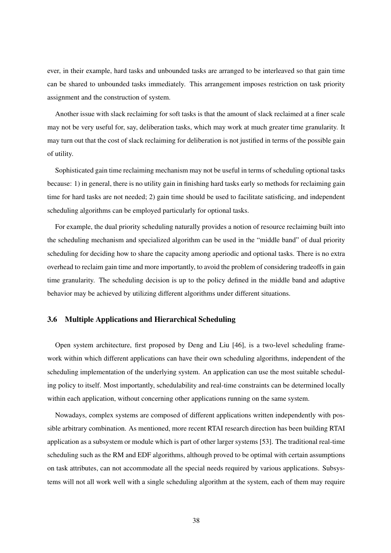ever, in their example, hard tasks and unbounded tasks are arranged to be interleaved so that gain time can be shared to unbounded tasks immediately. This arrangement imposes restriction on task priority assignment and the construction of system.

Another issue with slack reclaiming for soft tasks is that the amount of slack reclaimed at a finer scale may not be very useful for, say, deliberation tasks, which may work at much greater time granularity. It may turn out that the cost of slack reclaiming for deliberation is not justified in terms of the possible gain of utility.

Sophisticated gain time reclaiming mechanism may not be useful in terms of scheduling optional tasks because: 1) in general, there is no utility gain in finishing hard tasks early so methods for reclaiming gain time for hard tasks are not needed; 2) gain time should be used to facilitate satisficing, and independent scheduling algorithms can be employed particularly for optional tasks.

For example, the dual priority scheduling naturally provides a notion of resource reclaiming built into the scheduling mechanism and specialized algorithm can be used in the "middle band" of dual priority scheduling for deciding how to share the capacity among aperiodic and optional tasks. There is no extra overhead to reclaim gain time and more importantly, to avoid the problem of considering tradeoffs in gain time granularity. The scheduling decision is up to the policy defined in the middle band and adaptive behavior may be achieved by utilizing different algorithms under different situations.

# 3.6 Multiple Applications and Hierarchical Scheduling

Open system architecture, first proposed by Deng and Liu [46], is a two-level scheduling framework within which different applications can have their own scheduling algorithms, independent of the scheduling implementation of the underlying system. An application can use the most suitable scheduling policy to itself. Most importantly, schedulability and real-time constraints can be determined locally within each application, without concerning other applications running on the same system.

Nowadays, complex systems are composed of different applications written independently with possible arbitrary combination. As mentioned, more recent RTAI research direction has been building RTAI application as a subsystem or module which is part of other larger systems [53]. The traditional real-time scheduling such as the RM and EDF algorithms, although proved to be optimal with certain assumptions on task attributes, can not accommodate all the special needs required by various applications. Subsystems will not all work well with a single scheduling algorithm at the system, each of them may require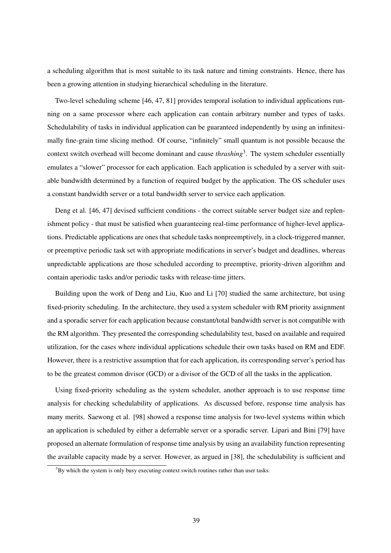a scheduling algorithm that is most suitable to its task nature and timing constraints. Hence, there has been a growing attention in studying hierarchical scheduling in the literature.

Two-level scheduling scheme [46, 47, 81] provides temporal isolation to individual applications running on a same processor where each application can contain arbitrary number and types of tasks. Schedulability of tasks in individual application can be guaranteed independently by using an infinitesimally fine-grain time slicing method. Of course, "infinitely" small quantum is not possible because the context switch overhead will become dominant and cause *thrashing*<sup>3</sup> . The system scheduler essentially emulates a "slower" processor for each application. Each application is scheduled by a server with suitable bandwidth determined by a function of required budget by the application. The OS scheduler uses a constant bandwidth server or a total bandwidth server to service each application.

Deng et al. [46, 47] devised sufficient conditions - the correct suitable server budget size and replenishment policy - that must be satisfied when guaranteeing real-time performance of higher-level applications. Predictable applications are ones that schedule tasks nonpreemptively, in a clock-triggered manner, or preemptive periodic task set with appropriate modifications in server's budget and deadlines, whereas unpredictable applications are those scheduled according to preemptive, priority-driven algorithm and contain aperiodic tasks and/or periodic tasks with release-time jitters.

Building upon the work of Deng and Liu, Kuo and Li [70] studied the same architecture, but using fixed-priority scheduling. In the architecture, they used a system scheduler with RM priority assignment and a sporadic server for each application because constant/total bandwidth server is not compatible with the RM algorithm. They presented the corresponding schedulability test, based on available and required utilization, for the cases where individual applications schedule their own tasks based on RM and EDF. However, there is a restrictive assumption that for each application, its corresponding server's period has to be the greatest common divisor (GCD) or a divisor of the GCD of all the tasks in the application.

Using fixed-priority scheduling as the system scheduler, another approach is to use response time analysis for checking schedulability of applications. As discussed before, response time analysis has many merits. Saewong et al. [98] showed a response time analysis for two-level systems within which an application is scheduled by either a deferrable server or a sporadic server. Lipari and Bini [79] have proposed an alternate formulation of response time analysis by using an availability function representing the available capacity made by a server. However, as argued in [38], the schedulability is sufficient and

 $3By$  which the system is only busy executing context switch routines rather than user tasks.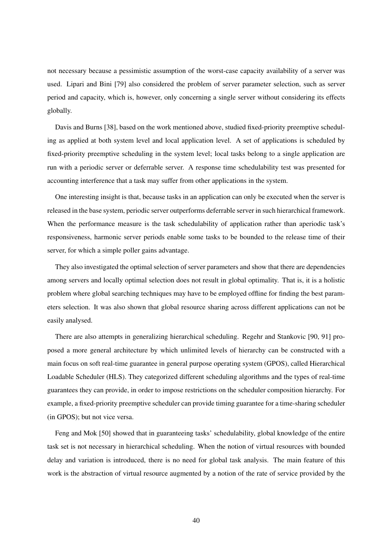not necessary because a pessimistic assumption of the worst-case capacity availability of a server was used. Lipari and Bini [79] also considered the problem of server parameter selection, such as server period and capacity, which is, however, only concerning a single server without considering its effects globally.

Davis and Burns [38], based on the work mentioned above, studied fixed-priority preemptive scheduling as applied at both system level and local application level. A set of applications is scheduled by fixed-priority preemptive scheduling in the system level; local tasks belong to a single application are run with a periodic server or deferrable server. A response time schedulability test was presented for accounting interference that a task may suffer from other applications in the system.

One interesting insight is that, because tasks in an application can only be executed when the server is released in the base system, periodic server outperforms deferrable server in such hierarchical framework. When the performance measure is the task schedulability of application rather than aperiodic task's responsiveness, harmonic server periods enable some tasks to be bounded to the release time of their server, for which a simple poller gains advantage.

They also investigated the optimal selection of server parameters and show that there are dependencies among servers and locally optimal selection does not result in global optimality. That is, it is a holistic problem where global searching techniques may have to be employed offline for finding the best parameters selection. It was also shown that global resource sharing across different applications can not be easily analysed.

There are also attempts in generalizing hierarchical scheduling. Regehr and Stankovic [90, 91] proposed a more general architecture by which unlimited levels of hierarchy can be constructed with a main focus on soft real-time guarantee in general purpose operating system (GPOS), called Hierarchical Loadable Scheduler (HLS). They categorized different scheduling algorithms and the types of real-time guarantees they can provide, in order to impose restrictions on the scheduler composition hierarchy. For example, a fixed-priority preemptive scheduler can provide timing guarantee for a time-sharing scheduler (in GPOS); but not vice versa.

Feng and Mok [50] showed that in guaranteeing tasks' schedulability, global knowledge of the entire task set is not necessary in hierarchical scheduling. When the notion of virtual resources with bounded delay and variation is introduced, there is no need for global task analysis. The main feature of this work is the abstraction of virtual resource augmented by a notion of the rate of service provided by the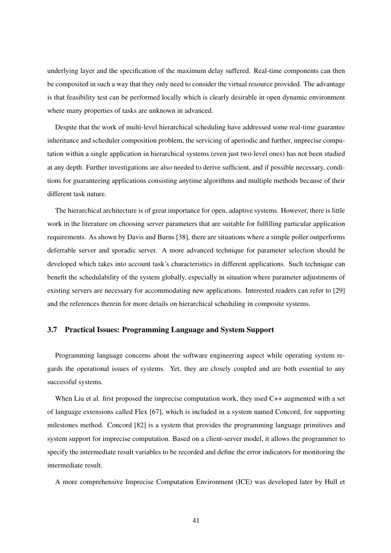underlying layer and the specification of the maximum delay suffered. Real-time components can then be composited in such a way that they only need to consider the virtual resource provided. The advantage is that feasibility test can be performed locally which is clearly desirable in open dynamic environment where many properties of tasks are unknown in advanced.

Despite that the work of multi-level hierarchical scheduling have addressed some real-time guarantee inheritance and scheduler composition problem, the servicing of aperiodic and further, imprecise computation within a single application in hierarchical systems (even just two-level ones) has not been studied at any depth. Further investigations are also needed to derive sufficient, and if possible necessary, conditions for guaranteeing applications consisting anytime algorithms and multiple methods because of their different task nature.

The hierarchical architecture is of great importance for open, adaptive systems. However, there is little work in the literature on choosing server parameters that are suitable for fulfilling particular application requirements. As shown by Davis and Burns [38], there are situations where a simple poller outperforms deferrable server and sporadic server. A more advanced technique for parameter selection should be developed which takes into account task's characteristics in different applications. Such technique can benefit the schedulability of the system globally, especially in situation where parameter adjustments of existing servers are necessary for accommodating new applications. Interested readers can refer to [29] and the references therein for more details on hierarchical scheduling in composite systems.

# 3.7 Practical Issues: Programming Language and System Support

Programming language concerns about the software engineering aspect while operating system regards the operational issues of systems. Yet, they are closely coupled and are both essential to any successful systems.

When Liu et al. first proposed the imprecise computation work, they used C++ augmented with a set of language extensions called Flex [67], which is included in a system named Concord, for supporting milestones method. Concord [82] is a system that provides the programming language primitives and system support for imprecise computation. Based on a client-server model, it allows the programmer to specify the intermediate result variables to be recorded and define the error indicators for monitoring the intermediate result.

A more comprehensive Imprecise Computation Environment (ICE) was developed later by Hull et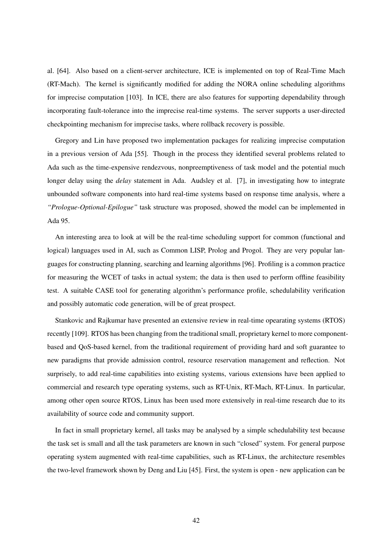al. [64]. Also based on a client-server architecture, ICE is implemented on top of Real-Time Mach (RT-Mach). The kernel is significantly modified for adding the NORA online scheduling algorithms for imprecise computation [103]. In ICE, there are also features for supporting dependability through incorporating fault-tolerance into the imprecise real-time systems. The server supports a user-directed checkpointing mechanism for imprecise tasks, where rollback recovery is possible.

Gregory and Lin have proposed two implementation packages for realizing imprecise computation in a previous version of Ada [55]. Though in the process they identified several problems related to Ada such as the time-expensive rendezvous, nonpreemptiveness of task model and the potential much longer delay using the *delay* statement in Ada. Audsley et al. [7], in investigating how to integrate unbounded software components into hard real-time systems based on response time analysis, where a *"Prologue-Optional-Epilogue"* task structure was proposed, showed the model can be implemented in Ada 95.

An interesting area to look at will be the real-time scheduling support for common (functional and logical) languages used in AI, such as Common LISP, Prolog and Progol. They are very popular languages for constructing planning, searching and learning algorithms [96]. Profiling is a common practice for measuring the WCET of tasks in actual system; the data is then used to perform offline feasibility test. A suitable CASE tool for generating algorithm's performance profile, schedulability verification and possibly automatic code generation, will be of great prospect.

Stankovic and Rajkumar have presented an extensive review in real-time opearating systems (RTOS) recently [109]. RTOS has been changing from the traditional small, proprietary kernel to more componentbased and QoS-based kernel, from the traditional requirement of providing hard and soft guarantee to new paradigms that provide admission control, resource reservation management and reflection. Not surprisely, to add real-time capabilities into existing systems, various extensions have been applied to commercial and research type operating systems, such as RT-Unix, RT-Mach, RT-Linux. In particular, among other open source RTOS, Linux has been used more extensively in real-time research due to its availability of source code and community support.

In fact in small proprietary kernel, all tasks may be analysed by a simple schedulability test because the task set is small and all the task parameters are known in such "closed" system. For general purpose operating system augmented with real-time capabilities, such as RT-Linux, the architecture resembles the two-level framework shown by Deng and Liu [45]. First, the system is open - new application can be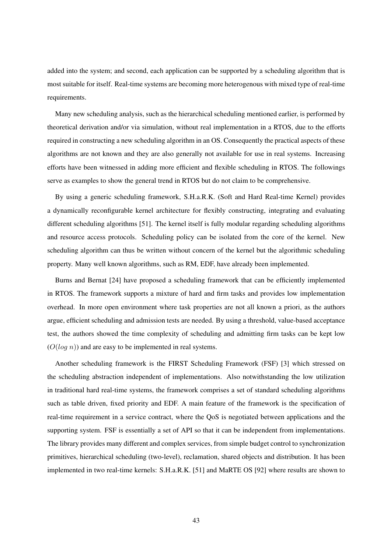added into the system; and second, each application can be supported by a scheduling algorithm that is most suitable for itself. Real-time systems are becoming more heterogenous with mixed type of real-time requirements.

Many new scheduling analysis, such as the hierarchical scheduling mentioned earlier, is performed by theoretical derivation and/or via simulation, without real implementation in a RTOS, due to the efforts required in constructing a new scheduling algorithm in an OS. Consequently the practical aspects of these algorithms are not known and they are also generally not available for use in real systems. Increasing efforts have been witnessed in adding more efficient and flexible scheduling in RTOS. The followings serve as examples to show the general trend in RTOS but do not claim to be comprehensive.

By using a generic scheduling framework, S.H.a.R.K. (Soft and Hard Real-time Kernel) provides a dynamically reconfigurable kernel architecture for flexibly constructing, integrating and evaluating different scheduling algorithms [51]. The kernel itself is fully modular regarding scheduling algorithms and resource access protocols. Scheduling policy can be isolated from the core of the kernel. New scheduling algorithm can thus be written without concern of the kernel but the algorithmic scheduling property. Many well known algorithms, such as RM, EDF, have already been implemented.

Burns and Bernat [24] have proposed a scheduling framework that can be efficiently implemented in RTOS. The framework supports a mixture of hard and firm tasks and provides low implementation overhead. In more open environment where task properties are not all known a priori, as the authors argue, efficient scheduling and admission tests are needed. By using a threshold, value-based acceptance test, the authors showed the time complexity of scheduling and admitting firm tasks can be kept low  $(O(log n))$  and are easy to be implemented in real systems.

Another scheduling framework is the FIRST Scheduling Framework (FSF) [3] which stressed on the scheduling abstraction independent of implementations. Also notwithstanding the low utilization in traditional hard real-time systems, the framework comprises a set of standard scheduling algorithms such as table driven, fixed priority and EDF. A main feature of the framework is the specification of real-time requirement in a service contract, where the QoS is negotiated between applications and the supporting system. FSF is essentially a set of API so that it can be independent from implementations. The library provides many different and complex services, from simple budget control to synchronization primitives, hierarchical scheduling (two-level), reclamation, shared objects and distribution. It has been implemented in two real-time kernels: S.H.a.R.K. [51] and MaRTE OS [92] where results are shown to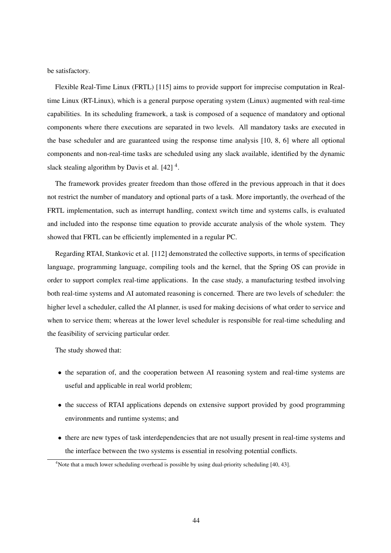be satisfactory.

Flexible Real-Time Linux (FRTL) [115] aims to provide support for imprecise computation in Realtime Linux (RT-Linux), which is a general purpose operating system (Linux) augmented with real-time capabilities. In its scheduling framework, a task is composed of a sequence of mandatory and optional components where there executions are separated in two levels. All mandatory tasks are executed in the base scheduler and are guaranteed using the response time analysis [10, 8, 6] where all optional components and non-real-time tasks are scheduled using any slack available, identified by the dynamic slack stealing algorithm by Davis et al.  $[42]$ <sup>4</sup>.

The framework provides greater freedom than those offered in the previous approach in that it does not restrict the number of mandatory and optional parts of a task. More importantly, the overhead of the FRTL implementation, such as interrupt handling, context switch time and systems calls, is evaluated and included into the response time equation to provide accurate analysis of the whole system. They showed that FRTL can be efficiently implemented in a regular PC.

Regarding RTAI, Stankovic et al. [112] demonstrated the collective supports, in terms of specification language, programming language, compiling tools and the kernel, that the Spring OS can provide in order to support complex real-time applications. In the case study, a manufacturing testbed involving both real-time systems and AI automated reasoning is concerned. There are two levels of scheduler: the higher level a scheduler, called the AI planner, is used for making decisions of what order to service and when to service them; whereas at the lower level scheduler is responsible for real-time scheduling and the feasibility of servicing particular order.

The study showed that:

- the separation of, and the cooperation between AI reasoning system and real-time systems are useful and applicable in real world problem;
- the success of RTAI applications depends on extensive support provided by good programming environments and runtime systems; and
- there are new types of task interdependencies that are not usually present in real-time systems and the interface between the two systems is essential in resolving potential conflicts.

 $\frac{4}{3}$ Note that a much lower scheduling overhead is possible by using dual-priority scheduling [40, 43].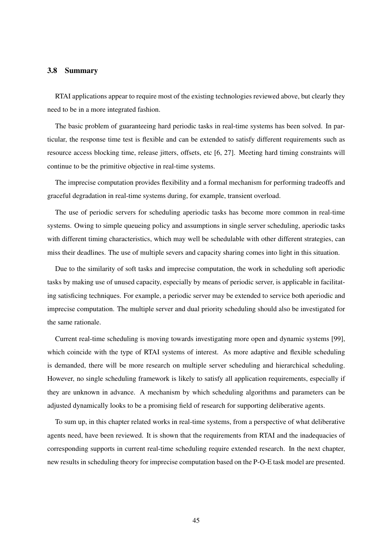#### 3.8 Summary

RTAI applications appear to require most of the existing technologies reviewed above, but clearly they need to be in a more integrated fashion.

The basic problem of guaranteeing hard periodic tasks in real-time systems has been solved. In particular, the response time test is flexible and can be extended to satisfy different requirements such as resource access blocking time, release jitters, offsets, etc [6, 27]. Meeting hard timing constraints will continue to be the primitive objective in real-time systems.

The imprecise computation provides flexibility and a formal mechanism for performing tradeoffs and graceful degradation in real-time systems during, for example, transient overload.

The use of periodic servers for scheduling aperiodic tasks has become more common in real-time systems. Owing to simple queueing policy and assumptions in single server scheduling, aperiodic tasks with different timing characteristics, which may well be schedulable with other different strategies, can miss their deadlines. The use of multiple severs and capacity sharing comes into light in this situation.

Due to the similarity of soft tasks and imprecise computation, the work in scheduling soft aperiodic tasks by making use of unused capacity, especially by means of periodic server, is applicable in facilitating satisficing techniques. For example, a periodic server may be extended to service both aperiodic and imprecise computation. The multiple server and dual priority scheduling should also be investigated for the same rationale.

Current real-time scheduling is moving towards investigating more open and dynamic systems [99], which coincide with the type of RTAI systems of interest. As more adaptive and flexible scheduling is demanded, there will be more research on multiple server scheduling and hierarchical scheduling. However, no single scheduling framework is likely to satisfy all application requirements, especially if they are unknown in advance. A mechanism by which scheduling algorithms and parameters can be adjusted dynamically looks to be a promising field of research for supporting deliberative agents.

To sum up, in this chapter related works in real-time systems, from a perspective of what deliberative agents need, have been reviewed. It is shown that the requirements from RTAI and the inadequacies of corresponding supports in current real-time scheduling require extended research. In the next chapter, new results in scheduling theory for imprecise computation based on the P-O-E task model are presented.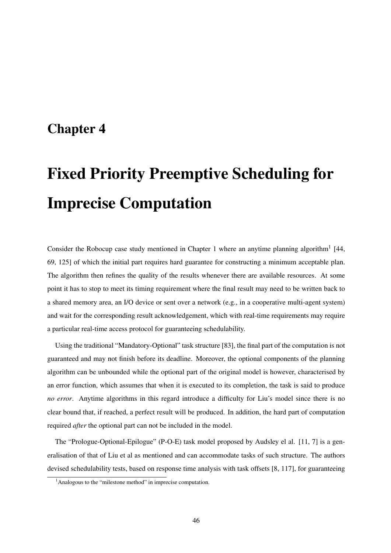# Chapter 4

# Fixed Priority Preemptive Scheduling for Imprecise Computation

Consider the Robocup case study mentioned in Chapter 1 where an anytime planning algorithm<sup>1</sup> [44, 69, 125] of which the initial part requires hard guarantee for constructing a minimum acceptable plan. The algorithm then refines the quality of the results whenever there are available resources. At some point it has to stop to meet its timing requirement where the final result may need to be written back to a shared memory area, an I/O device or sent over a network (e.g., in a cooperative multi-agent system) and wait for the corresponding result acknowledgement, which with real-time requirements may require a particular real-time access protocol for guaranteeing schedulability.

Using the traditional "Mandatory-Optional" task structure [83], the final part of the computation is not guaranteed and may not finish before its deadline. Moreover, the optional components of the planning algorithm can be unbounded while the optional part of the original model is however, characterised by an error function, which assumes that when it is executed to its completion, the task is said to produce *no error*. Anytime algorithms in this regard introduce a difficulty for Liu's model since there is no clear bound that, if reached, a perfect result will be produced. In addition, the hard part of computation required *after* the optional part can not be included in the model.

The "Prologue-Optional-Epilogue" (P-O-E) task model proposed by Audsley el al. [11, 7] is a generalisation of that of Liu et al as mentioned and can accommodate tasks of such structure. The authors devised schedulability tests, based on response time analysis with task offsets [8, 117], for guaranteeing

<sup>&</sup>lt;sup>1</sup>Analogous to the "milestone method" in imprecise computation.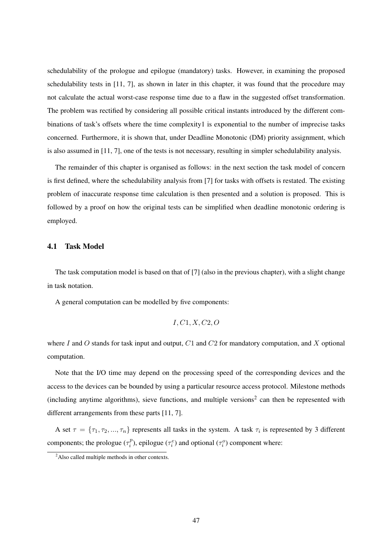schedulability of the prologue and epilogue (mandatory) tasks. However, in examining the proposed schedulability tests in [11, 7], as shown in later in this chapter, it was found that the procedure may not calculate the actual worst-case response time due to a flaw in the suggested offset transformation. The problem was rectified by considering all possible critical instants introduced by the different combinations of task's offsets where the time complexity1 is exponential to the number of imprecise tasks concerned. Furthermore, it is shown that, under Deadline Monotonic (DM) priority assignment, which is also assumed in [11, 7], one of the tests is not necessary, resulting in simpler schedulability analysis.

The remainder of this chapter is organised as follows: in the next section the task model of concern is first defined, where the schedulability analysis from [7] for tasks with offsets is restated. The existing problem of inaccurate response time calculation is then presented and a solution is proposed. This is followed by a proof on how the original tests can be simplified when deadline monotonic ordering is employed.

#### 4.1 Task Model

The task computation model is based on that of [7] (also in the previous chapter), with a slight change in task notation.

A general computation can be modelled by five components:

$$
I, C1, X, C2, O
$$

where I and O stands for task input and output,  $C1$  and  $C2$  for mandatory computation, and X optional computation.

Note that the I/O time may depend on the processing speed of the corresponding devices and the access to the devices can be bounded by using a particular resource access protocol. Milestone methods (including anytime algorithms), sieve functions, and multiple versions<sup>2</sup> can then be represented with different arrangements from these parts [11, 7].

A set  $\tau = \{\tau_1, \tau_2, ..., \tau_n\}$  represents all tasks in the system. A task  $\tau_i$  is represented by 3 different components; the prologue  $(\tau_i^p)$  $\sigma_i^p$ ), epilogue ( $\tau_i^e$ ) and optional ( $\tau_i^o$ ) component where:

<sup>&</sup>lt;sup>2</sup>Also called multiple methods in other contexts.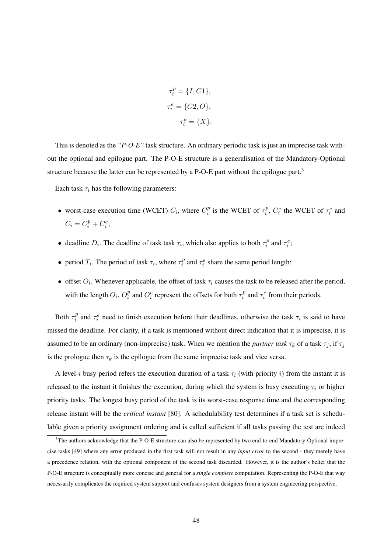$$
\tau_i^p = \{I, C1\},
$$
  

$$
\tau_i^e = \{C2, O\},
$$
  

$$
\tau_i^o = \{X\}.
$$

This is denoted as the *"P-O-E"* task structure. An ordinary periodic task is just an imprecise task without the optional and epilogue part. The P-O-E structure is a generalisation of the Mandatory-Optional structure because the latter can be represented by a P-O-E part without the epilogue part.<sup>3</sup>

Each task  $\tau_i$  has the following parameters:

- worst-case execution time (WCET)  $C_i$ , where  $C_i^p$  $i$ <sup>p</sup> is the WCET of  $\tau_i^p$  $i<sup>p</sup>$ ,  $C_i<sup>e</sup>$  the WCET of  $\tau_i<sup>e</sup>$  and  $C_i = C_i^p + C_i^e;$
- deadline  $D_i$ . The deadline of task task  $\tau_i$ , which also applies to both  $\tau_i^p$  $\tau_i^p$  and  $\tau_i^e$ ;
- period  $T_i$ . The period of task  $\tau_i$ , where  $\tau_i^p$  $i_i^p$  and  $\tau_i^e$  share the same period length;
- offset  $O_i$ . Whenever applicable, the offset of task  $\tau_i$  causes the task to be released after the period, with the length  $O_i$ .  $O_i^p$  $\frac{p}{i}$  and  $O_i^e$  represent the offsets for both  $\tau_i^p$  $\tau_i^p$  and  $\tau_i^e$  from their periods.

Both  $\tau_i^p$  $\tau_i^p$  and  $\tau_i^e$  need to finish execution before their deadlines, otherwise the task  $\tau_i$  is said to have missed the deadline. For clarity, if a task is mentioned without direct indication that it is imprecise, it is assumed to be an ordinary (non-imprecise) task. When we mention the *partner task*  $\tau_k$  of a task  $\tau_j$ , if  $\tau_j$ is the prologue then  $\tau_k$  is the epilogue from the same imprecise task and vice versa.

A level-i busy period refers the execution duration of a task  $\tau_i$  (with priority i) from the instant it is released to the instant it finishes the execution, during which the system is busy executing  $\tau_i$  or higher priority tasks. The longest busy period of the task is its worst-case response time and the corresponding release instant will be the *critical instant* [80]. A schedulability test determines if a task set is schedulable given a priority assignment ordering and is called sufficient if all tasks passing the test are indeed

<sup>&</sup>lt;sup>3</sup>The authors acknowledge that the P-O-E structure can also be represented by two end-to-end Mandatory-Optional imprecise tasks [49] where any error produced in the first task will not result in any *input error* to the second - they merely have a precedence relation, with the optional component of the second task discarded. However, it is the author's belief that the P-O-E structure is conceptually more concise and general for a *single complete* computation. Representing the P-O-E that way necessarily complicates the required system support and confuses system designers from a system engineering perspective.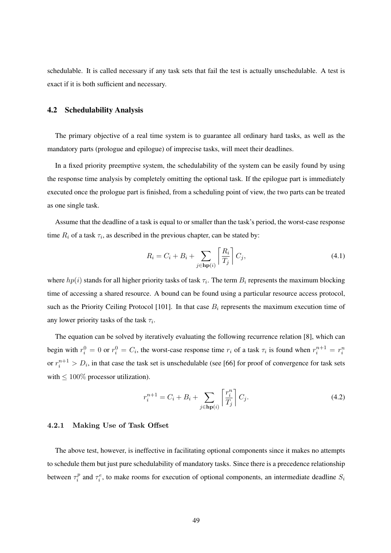schedulable. It is called necessary if any task sets that fail the test is actually unschedulable. A test is exact if it is both sufficient and necessary.

### 4.2 Schedulability Analysis

The primary objective of a real time system is to guarantee all ordinary hard tasks, as well as the mandatory parts (prologue and epilogue) of imprecise tasks, will meet their deadlines.

In a fixed priority preemptive system, the schedulability of the system can be easily found by using the response time analysis by completely omitting the optional task. If the epilogue part is immediately executed once the prologue part is finished, from a scheduling point of view, the two parts can be treated as one single task.

Assume that the deadline of a task is equal to or smaller than the task's period, the worst-case response time  $R_i$  of a task  $\tau_i$ , as described in the previous chapter, can be stated by:

$$
R_i = C_i + B_i + \sum_{j \in \mathbf{hp}(i)} \left[ \frac{R_i}{T_j} \right] C_j,\tag{4.1}
$$

where  $hp(i)$  stands for all higher priority tasks of task  $\tau_i$ . The term  $B_i$  represents the maximum blocking time of accessing a shared resource. A bound can be found using a particular resource access protocol, such as the Priority Ceiling Protocol [101]. In that case  $B_i$  represents the maximum execution time of any lower priority tasks of the task  $\tau_i$ .

The equation can be solved by iteratively evaluating the following recurrence relation [8], which can begin with  $r_i^0 = 0$  or  $r_i^0 = C_i$ , the worst-case response time  $r_i$  of a task  $\tau_i$  is found when  $r_i^{n+1} = r_i^n$ or  $r_i^{n+1} > D_i$ , in that case the task set is unschedulable (see [66] for proof of convergence for task sets with  $\leq 100\%$  processor utilization).

$$
r_i^{n+1} = C_i + B_i + \sum_{j \in \mathbf{hp}(i)} \left[ \frac{r_i^n}{T_j} \right] C_j.
$$
 (4.2)

#### 4.2.1 Making Use of Task Offset

The above test, however, is ineffective in facilitating optional components since it makes no attempts to schedule them but just pure schedulability of mandatory tasks. Since there is a precedence relationship between  $\tau_i^p$  $\tau_i^p$  and  $\tau_i^e$ , to make rooms for execution of optional components, an intermediate deadline  $S_i$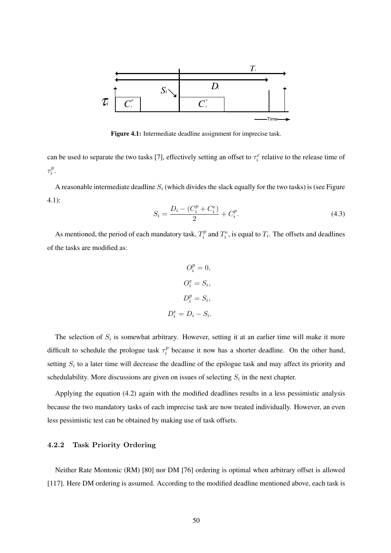

Figure 4.1: Intermediate deadline assignment for imprecise task.

can be used to separate the two tasks [7], effectively setting an offset to  $\tau_i^e$  relative to the release time of  $\tau_i^p$  $\frac{p}{i}$ .

A reasonable intermediate deadline  $S_i$  (which divides the slack equally for the two tasks) is (see Figure 4.1):

$$
S_i = \frac{D_i - (C_i^p + C_i^e)}{2} + C_i^p.
$$
\n(4.3)

As mentioned, the period of each mandatory task,  $T_i^p$  $T_i^p$  and  $T_i^e$ , is equal to  $T_i$ . The offsets and deadlines of the tasks are modified as:

$$
O_i^p = 0,
$$
  
\n
$$
O_i^e = S_i,
$$
  
\n
$$
D_i^p = S_i,
$$
  
\n
$$
D_i^e = D_i - S_i.
$$

The selection of  $S_i$  is somewhat arbitrary. However, setting it at an earlier time will make it more difficult to schedule the prologue task  $\tau_i^p$  $i<sup>p</sup>$  because it now has a shorter deadline. On the other hand, setting  $S_i$  to a later time will decrease the deadline of the epilogue task and may affect its priority and schedulability. More discussions are given on issues of selecting  $S_i$  in the next chapter.

Applying the equation (4.2) again with the modified deadlines results in a less pessimistic analysis because the two mandatory tasks of each imprecise task are now treated individually. However, an even less pessimistic test can be obtained by making use of task offsets.

# 4.2.2 Task Priority Ordering

Neither Rate Montonic (RM) [80] nor DM [76] ordering is optimal when arbitrary offset is allowed [117]. Here DM ordering is assumed. According to the modified deadline mentioned above, each task is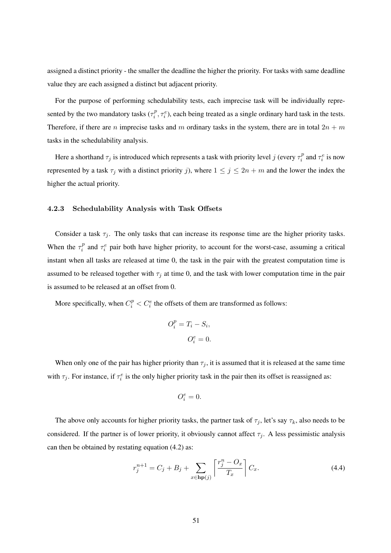assigned a distinct priority - the smaller the deadline the higher the priority. For tasks with same deadline value they are each assigned a distinct but adjacent priority.

For the purpose of performing schedulability tests, each imprecise task will be individually represented by the two mandatory tasks ( $\tau_i^p$  $i<sub>i</sub><sup>p</sup>, \tau<sub>i</sub><sup>e</sup>$ ), each being treated as a single ordinary hard task in the tests. Therefore, if there are n imprecise tasks and m ordinary tasks in the system, there are in total  $2n + m$ tasks in the schedulability analysis.

Here a shorthand  $\tau_j$  is introduced which represents a task with priority level j (every  $\tau_i^p$  $\tau_i^p$  and  $\tau_i^e$  is now represented by a task  $\tau_j$  with a distinct priority j), where  $1 \le j \le 2n + m$  and the lower the index the higher the actual priority.

#### 4.2.3 Schedulability Analysis with Task Offsets

Consider a task  $\tau_i$ . The only tasks that can increase its response time are the higher priority tasks. When the  $\tau_i^p$  $\tau_i^p$  and  $\tau_i^e$  pair both have higher priority, to account for the worst-case, assuming a critical instant when all tasks are released at time 0, the task in the pair with the greatest computation time is assumed to be released together with  $\tau_i$  at time 0, and the task with lower computation time in the pair is assumed to be released at an offset from 0.

More specifically, when  $C_i^p < C_i^e$  the offsets of them are transformed as follows:

$$
O_i^p = T_i - S_i,
$$
  

$$
O_i^e = 0.
$$

When only one of the pair has higher priority than  $\tau_i$ , it is assumed that it is released at the same time with  $\tau_j$ . For instance, if  $\tau_i^e$  is the only higher priority task in the pair then its offset is reassigned as:

$$
O_i^e=0.
$$

The above only accounts for higher priority tasks, the partner task of  $\tau_i$ , let's say  $\tau_k$ , also needs to be considered. If the partner is of lower priority, it obviously cannot affect  $\tau_i$ . A less pessimistic analysis can then be obtained by restating equation (4.2) as:

$$
r_j^{n+1} = C_j + B_j + \sum_{x \in \mathbf{hp}(j)} \left[ \frac{r_j^n - O_x}{T_x} \right] C_x.
$$
 (4.4)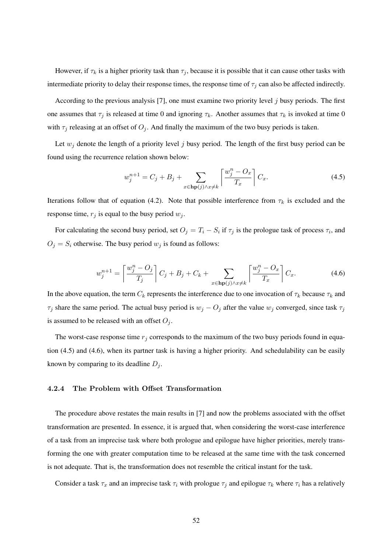However, if  $\tau_k$  is a higher priority task than  $\tau_j$ , because it is possible that it can cause other tasks with intermediate priority to delay their response times, the response time of  $\tau_i$  can also be affected indirectly.

According to the previous analysis [7], one must examine two priority level  $j$  busy periods. The first one assumes that  $\tau_j$  is released at time 0 and ignoring  $\tau_k$ . Another assumes that  $\tau_k$  is invoked at time 0 with  $\tau_j$  releasing at an offset of  $O_j$ . And finally the maximum of the two busy periods is taken.

Let  $w_j$  denote the length of a priority level j busy period. The length of the first busy period can be found using the recurrence relation shown below:

$$
w_j^{n+1} = C_j + B_j + \sum_{x \in \mathbf{hp}(j) \land x \neq k} \left\lceil \frac{w_j^n - O_x}{T_x} \right\rceil C_x.
$$
 (4.5)

Iterations follow that of equation (4.2). Note that possible interference from  $\tau_k$  is excluded and the response time,  $r_j$  is equal to the busy period  $w_j$ .

For calculating the second busy period, set  $O_j = T_i - S_i$  if  $\tau_j$  is the prologue task of process  $\tau_i$ , and  $O_j = S_i$  otherwise. The busy period  $w_j$  is found as follows:

$$
w_j^{n+1} = \left\lceil \frac{w_j^n - O_j}{T_j} \right\rceil C_j + B_j + C_k + \sum_{x \in \mathbf{hp}(j) \land x \neq k} \left\lceil \frac{w_j^n - O_x}{T_x} \right\rceil C_x. \tag{4.6}
$$

In the above equation, the term  $C_k$  represents the interference due to one invocation of  $\tau_k$  because  $\tau_k$  and  $\tau_j$  share the same period. The actual busy period is  $w_j - O_j$  after the value  $w_j$  converged, since task  $\tau_j$ is assumed to be released with an offset  $O_i$ .

The worst-case response time  $r_j$  corresponds to the maximum of the two busy periods found in equation (4.5) and (4.6), when its partner task is having a higher priority. And schedulability can be easily known by comparing to its deadline  $D_i$ .

#### 4.2.4 The Problem with Offset Transformation

The procedure above restates the main results in [7] and now the problems associated with the offset transformation are presented. In essence, it is argued that, when considering the worst-case interference of a task from an imprecise task where both prologue and epilogue have higher priorities, merely transforming the one with greater computation time to be released at the same time with the task concerned is not adequate. That is, the transformation does not resemble the critical instant for the task.

Consider a task  $\tau_x$  and an imprecise task  $\tau_i$  with prologue  $\tau_i$  and epilogue  $\tau_k$  where  $\tau_i$  has a relatively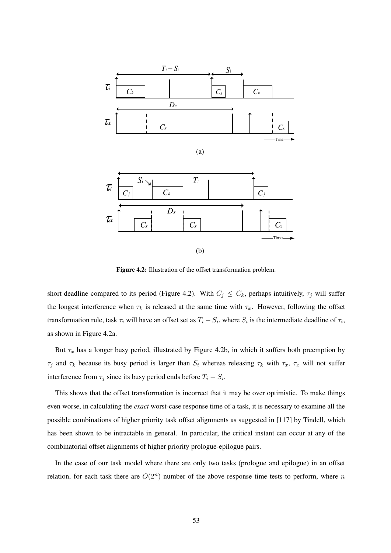

Figure 4.2: Illustration of the offset transformation problem.

short deadline compared to its period (Figure 4.2). With  $C_j \leq C_k$ , perhaps intuitively,  $\tau_j$  will suffer the longest interference when  $\tau_k$  is released at the same time with  $\tau_x$ . However, following the offset transformation rule, task  $\tau_i$  will have an offset set as  $T_i - S_i$ , where  $S_i$  is the intermediate deadline of  $\tau_i$ , as shown in Figure 4.2a.

But  $\tau_x$  has a longer busy period, illustrated by Figure 4.2b, in which it suffers both preemption by  $\tau_j$  and  $\tau_k$  because its busy period is larger than  $S_i$  whereas releasing  $\tau_k$  with  $\tau_x$ ,  $\tau_x$  will not suffer interference from  $\tau_j$  since its busy period ends before  $T_i - S_i$ .

This shows that the offset transformation is incorrect that it may be over optimistic. To make things even worse, in calculating the *exact* worst-case response time of a task, it is necessary to examine all the possible combinations of higher priority task offset alignments as suggested in [117] by Tindell, which has been shown to be intractable in general. In particular, the critical instant can occur at any of the combinatorial offset alignments of higher priority prologue-epilogue pairs.

In the case of our task model where there are only two tasks (prologue and epilogue) in an offset relation, for each task there are  $O(2^n)$  number of the above response time tests to perform, where n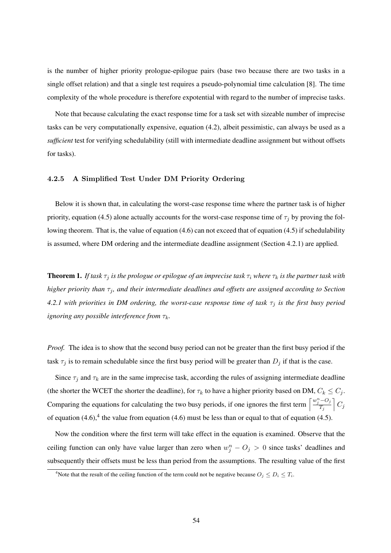is the number of higher priority prologue-epilogue pairs (base two because there are two tasks in a single offset relation) and that a single test requires a pseudo-polynomial time calculation [8]. The time complexity of the whole procedure is therefore expotential with regard to the number of imprecise tasks.

Note that because calculating the exact response time for a task set with sizeable number of imprecise tasks can be very computationally expensive, equation (4.2), albeit pessimistic, can always be used as a *sufficient* test for verifying schedulability (still with intermediate deadline assignment but without offsets for tasks).

#### 4.2.5 A Simplified Test Under DM Priority Ordering

Below it is shown that, in calculating the worst-case response time where the partner task is of higher priority, equation (4.5) alone actually accounts for the worst-case response time of  $\tau_i$  by proving the following theorem. That is, the value of equation (4.6) can not exceed that of equation (4.5) if schedulability is assumed, where DM ordering and the intermediate deadline assignment (Section 4.2.1) are applied.

**Theorem 1.** *If task*  $\tau_j$  *is the prologue or epilogue of an imprecise task*  $\tau_i$  *where*  $\tau_k$  *is the partner task with higher priority than*  $\tau_j$ *, and their intermediate deadlines and offsets are assigned according to Section 4.2.1 with priorities in DM ordering, the worst-case response time of task*  $\tau_i$  *is the first busy period ignoring any possible interference from*  $τ_k$ *.* 

*Proof.* The idea is to show that the second busy period can not be greater than the first busy period if the task  $\tau_j$  is to remain schedulable since the first busy period will be greater than  $D_j$  if that is the case.

Since  $\tau_i$  and  $\tau_k$  are in the same imprecise task, according the rules of assigning intermediate deadline (the shorter the WCET the shorter the deadline), for  $\tau_k$  to have a higher priority based on DM,  $C_k \leq C_j$ . Comparing the equations for calculating the two busy periods, if one ignores the first term  $\left[\frac{w_j^n - O_j}{T}\right]$  $T_j$  $\big]$   $C_j$ of equation  $(4.6)$ ,<sup>4</sup> the value from equation  $(4.6)$  must be less than or equal to that of equation  $(4.5)$ .

Now the condition where the first term will take effect in the equation is examined. Observe that the ceiling function can only have value larger than zero when  $w_j^n - O_j > 0$  since tasks' deadlines and subsequently their offsets must be less than period from the assumptions. The resulting value of the first

<sup>&</sup>lt;sup>4</sup>Note that the result of the ceiling function of the term could not be negative because  $O_j \leq D_i \leq T_i$ .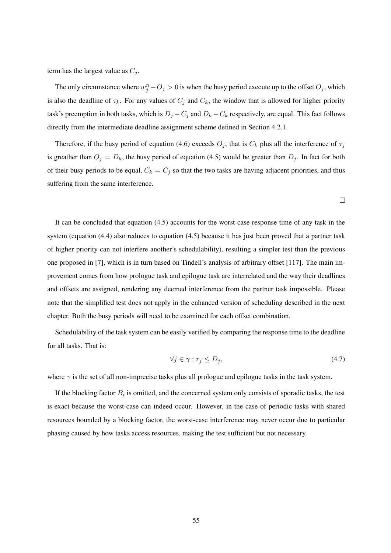term has the largest value as  $C_j$ .

The only circumstance where  $w_j^n - O_j > 0$  is when the busy period execute up to the offset  $O_j$ , which is also the deadline of  $\tau_k$ . For any values of  $C_j$  and  $C_k$ , the window that is allowed for higher priority task's preemption in both tasks, which is  $D_j - C_j$  and  $D_k - C_k$  respectively, are equal. This fact follows directly from the intermediate deadline assignment scheme defined in Section 4.2.1.

Therefore, if the busy period of equation (4.6) exceeds  $O_i$ , that is  $C_k$  plus all the interference of  $\tau_i$ is greather than  $O_j = D_k$ , the busy period of equation (4.5) would be greater than  $D_j$ . In fact for both of their busy periods to be equal,  $C_k = C_j$  so that the two tasks are having adjacent priorities, and thus suffering from the same interference.

It can be concluded that equation (4.5) accounts for the worst-case response time of any task in the system (equation (4.4) also reduces to equation (4.5) because it has just been proved that a partner task of higher priority can not interfere another's schedulability), resulting a simpler test than the previous one proposed in [7], which is in turn based on Tindell's analysis of arbitrary offset [117]. The main improvement comes from how prologue task and epilogue task are interrelated and the way their deadlines and offsets are assigned, rendering any deemed interference from the partner task impossible. Please note that the simplified test does not apply in the enhanced version of scheduling described in the next chapter. Both the busy periods will need to be examined for each offset combination.

Schedulability of the task system can be easily verified by comparing the response time to the deadline for all tasks. That is:

$$
\forall j \in \gamma : r_j \le D_j,\tag{4.7}
$$

 $\Box$ 

where  $\gamma$  is the set of all non-imprecise tasks plus all prologue and epilogue tasks in the task system.

If the blocking factor  $B_i$  is omitted, and the concerned system only consists of sporadic tasks, the test is exact because the worst-case can indeed occur. However, in the case of periodic tasks with shared resources bounded by a blocking factor, the worst-case interference may never occur due to particular phasing caused by how tasks access resources, making the test sufficient but not necessary.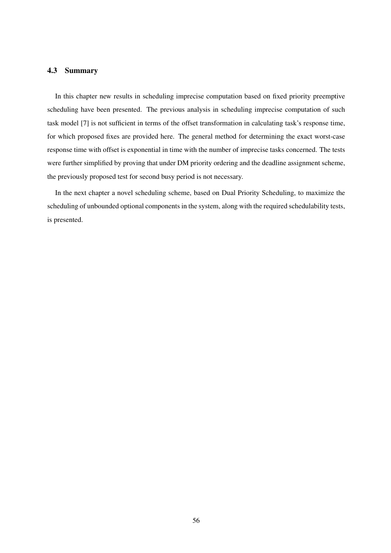## 4.3 Summary

In this chapter new results in scheduling imprecise computation based on fixed priority preemptive scheduling have been presented. The previous analysis in scheduling imprecise computation of such task model [7] is not sufficient in terms of the offset transformation in calculating task's response time, for which proposed fixes are provided here. The general method for determining the exact worst-case response time with offset is exponential in time with the number of imprecise tasks concerned. The tests were further simplified by proving that under DM priority ordering and the deadline assignment scheme, the previously proposed test for second busy period is not necessary.

In the next chapter a novel scheduling scheme, based on Dual Priority Scheduling, to maximize the scheduling of unbounded optional components in the system, along with the required schedulability tests, is presented.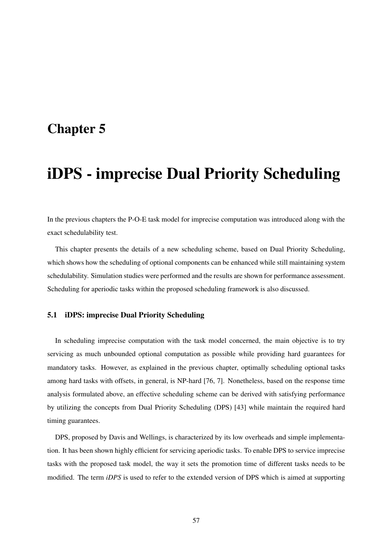# Chapter 5

# iDPS - imprecise Dual Priority Scheduling

In the previous chapters the P-O-E task model for imprecise computation was introduced along with the exact schedulability test.

This chapter presents the details of a new scheduling scheme, based on Dual Priority Scheduling, which shows how the scheduling of optional components can be enhanced while still maintaining system schedulability. Simulation studies were performed and the results are shown for performance assessment. Scheduling for aperiodic tasks within the proposed scheduling framework is also discussed.

### 5.1 iDPS: imprecise Dual Priority Scheduling

In scheduling imprecise computation with the task model concerned, the main objective is to try servicing as much unbounded optional computation as possible while providing hard guarantees for mandatory tasks. However, as explained in the previous chapter, optimally scheduling optional tasks among hard tasks with offsets, in general, is NP-hard [76, 7]. Nonetheless, based on the response time analysis formulated above, an effective scheduling scheme can be derived with satisfying performance by utilizing the concepts from Dual Priority Scheduling (DPS) [43] while maintain the required hard timing guarantees.

DPS, proposed by Davis and Wellings, is characterized by its low overheads and simple implementation. It has been shown highly efficient for servicing aperiodic tasks. To enable DPS to service imprecise tasks with the proposed task model, the way it sets the promotion time of different tasks needs to be modified. The term *iDPS* is used to refer to the extended version of DPS which is aimed at supporting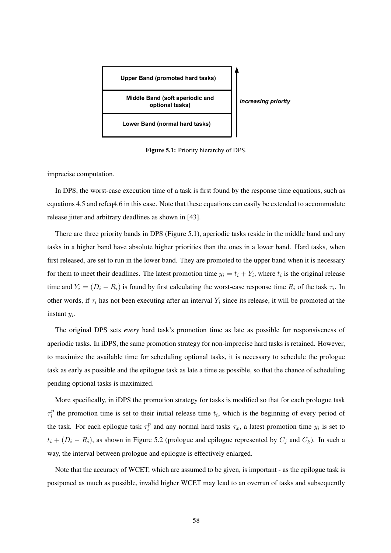

Figure 5.1: Priority hierarchy of DPS.

imprecise computation.

In DPS, the worst-case execution time of a task is first found by the response time equations, such as equations 4.5 and refeq4.6 in this case. Note that these equations can easily be extended to accommodate release jitter and arbitrary deadlines as shown in [43].

There are three priority bands in DPS (Figure 5.1), aperiodic tasks reside in the middle band and any tasks in a higher band have absolute higher priorities than the ones in a lower band. Hard tasks, when first released, are set to run in the lower band. They are promoted to the upper band when it is necessary for them to meet their deadlines. The latest promotion time  $y_i = t_i + Y_i$ , where  $t_i$  is the original release time and  $Y_i = (D_i - R_i)$  is found by first calculating the worst-case response time  $R_i$  of the task  $\tau_i$ . In other words, if  $\tau_i$  has not been executing after an interval  $Y_i$  since its release, it will be promoted at the instant  $y_i$ .

The original DPS sets *every* hard task's promotion time as late as possible for responsiveness of aperiodic tasks. In iDPS, the same promotion strategy for non-imprecise hard tasks is retained. However, to maximize the available time for scheduling optional tasks, it is necessary to schedule the prologue task as early as possible and the epilogue task as late a time as possible, so that the chance of scheduling pending optional tasks is maximized.

More specifically, in iDPS the promotion strategy for tasks is modified so that for each prologue task  $\tau_i^p$  $i<sup>p</sup>$  the promotion time is set to their initial release time  $t<sub>i</sub>$ , which is the beginning of every period of the task. For each epilogue task  $\tau_i^p$  $i<sup>p</sup>$  and any normal hard tasks  $\tau_x$ , a latest promotion time  $y_i$  is set to  $t_i + (D_i - R_i)$ , as shown in Figure 5.2 (prologue and epilogue represented by  $C_j$  and  $C_k$ ). In such a way, the interval between prologue and epilogue is effectively enlarged.

Note that the accuracy of WCET, which are assumed to be given, is important - as the epilogue task is postponed as much as possible, invalid higher WCET may lead to an overrun of tasks and subsequently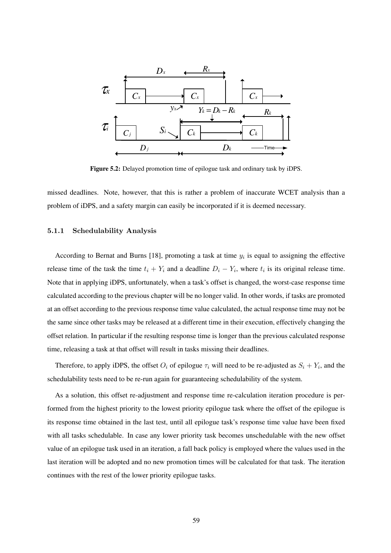

Figure 5.2: Delayed promotion time of epilogue task and ordinary task by iDPS.

missed deadlines. Note, however, that this is rather a problem of inaccurate WCET analysis than a problem of iDPS, and a safety margin can easily be incorporated if it is deemed necessary.

#### 5.1.1 Schedulability Analysis

According to Bernat and Burns [18], promoting a task at time  $y_i$  is equal to assigning the effective release time of the task the time  $t_i + Y_i$  and a deadline  $D_i - Y_i$ , where  $t_i$  is its original release time. Note that in applying iDPS, unfortunately, when a task's offset is changed, the worst-case response time calculated according to the previous chapter will be no longer valid. In other words, if tasks are promoted at an offset according to the previous response time value calculated, the actual response time may not be the same since other tasks may be released at a different time in their execution, effectively changing the offset relation. In particular if the resulting response time is longer than the previous calculated response time, releasing a task at that offset will result in tasks missing their deadlines.

Therefore, to apply iDPS, the offset  $O_i$  of epilogue  $\tau_i$  will need to be re-adjusted as  $S_i + Y_i$ , and the schedulability tests need to be re-run again for guaranteeing schedulability of the system.

As a solution, this offset re-adjustment and response time re-calculation iteration procedure is performed from the highest priority to the lowest priority epilogue task where the offset of the epilogue is its response time obtained in the last test, until all epilogue task's response time value have been fixed with all tasks schedulable. In case any lower priority task becomes unschedulable with the new offset value of an epilogue task used in an iteration, a fall back policy is employed where the values used in the last iteration will be adopted and no new promotion times will be calculated for that task. The iteration continues with the rest of the lower priority epilogue tasks.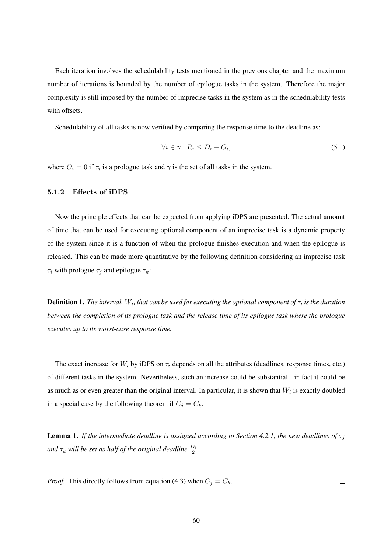Each iteration involves the schedulability tests mentioned in the previous chapter and the maximum number of iterations is bounded by the number of epilogue tasks in the system. Therefore the major complexity is still imposed by the number of imprecise tasks in the system as in the schedulability tests with offsets.

Schedulability of all tasks is now verified by comparing the response time to the deadline as:

$$
\forall i \in \gamma : R_i \le D_i - O_i,\tag{5.1}
$$

where  $O_i = 0$  if  $\tau_i$  is a prologue task and  $\gamma$  is the set of all tasks in the system.

#### 5.1.2 Effects of iDPS

Now the principle effects that can be expected from applying iDPS are presented. The actual amount of time that can be used for executing optional component of an imprecise task is a dynamic property of the system since it is a function of when the prologue finishes execution and when the epilogue is released. This can be made more quantitative by the following definition considering an imprecise task  $\tau_i$  with prologue  $\tau_i$  and epilogue  $\tau_k$ :

**Definition 1.** The interval,  $W_i$ , that can be used for executing the optional component of  $\tau_i$  is the duration *between the completion of its prologue task and the release time of its epilogue task where the prologue executes up to its worst-case response time.*

The exact increase for  $W_i$  by iDPS on  $\tau_i$  depends on all the attributes (deadlines, response times, etc.) of different tasks in the system. Nevertheless, such an increase could be substantial - in fact it could be as much as or even greater than the original interval. In particular, it is shown that  $W_i$  is exactly doubled in a special case by the following theorem if  $C_j = C_k$ .

**Lemma 1.** *If the intermediate deadline is assigned according to Section 4.2.1, the new deadlines of*  $\tau_i$ and  $\tau_k$  will be set as half of the original deadline  $\frac{D_i}{2}$ .

*Proof.* This directly follows from equation (4.3) when  $C_j = C_k$ .  $\Box$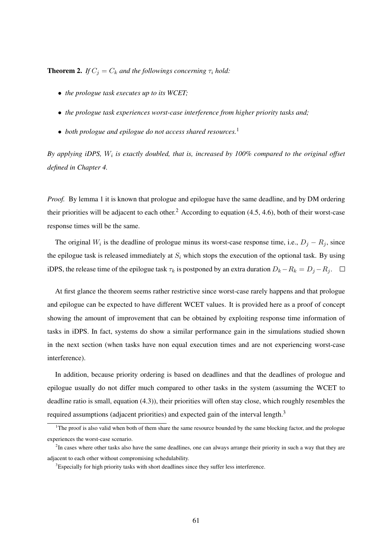**Theorem 2.** *If*  $C_i = C_k$  *and the followings concerning*  $\tau_i$  *hold:* 

- *the prologue task executes up to its WCET;*
- *the prologue task experiences worst-case interference from higher priority tasks and;*
- *both prologue and epilogue do not access shared resources.*<sup>1</sup>

*By applying iDPS,* W<sup>i</sup> *is exactly doubled, that is, increased by 100% compared to the original offset defined in Chapter 4.*

*Proof.* By lemma 1 it is known that prologue and epilogue have the same deadline, and by DM ordering their priorities will be adjacent to each other.<sup>2</sup> According to equation  $(4.5, 4.6)$ , both of their worst-case response times will be the same.

The original  $W_i$  is the deadline of prologue minus its worst-case response time, i.e.,  $D_j - R_j$ , since the epilogue task is released immediately at  $S_i$  which stops the execution of the optional task. By using iDPS, the release time of the epilogue task  $\tau_k$  is postponed by an extra duration  $D_k-R_k = D_j - R_j$ .  $\Box$ 

At first glance the theorem seems rather restrictive since worst-case rarely happens and that prologue and epilogue can be expected to have different WCET values. It is provided here as a proof of concept showing the amount of improvement that can be obtained by exploiting response time information of tasks in iDPS. In fact, systems do show a similar performance gain in the simulations studied shown in the next section (when tasks have non equal execution times and are not experiencing worst-case interference).

In addition, because priority ordering is based on deadlines and that the deadlines of prologue and epilogue usually do not differ much compared to other tasks in the system (assuming the WCET to deadline ratio is small, equation (4.3)), their priorities will often stay close, which roughly resembles the required assumptions (adjacent priorities) and expected gain of the interval length.<sup>3</sup>

<sup>&</sup>lt;sup>1</sup>The proof is also valid when both of them share the same resource bounded by the same blocking factor, and the prologue experiences the worst-case scenario.

 ${}^{2}$ In cases where other tasks also have the same deadlines, one can always arrange their priority in such a way that they are adjacent to each other without compromising schedulability.

<sup>&</sup>lt;sup>3</sup>Especially for high priority tasks with short deadlines since they suffer less interference.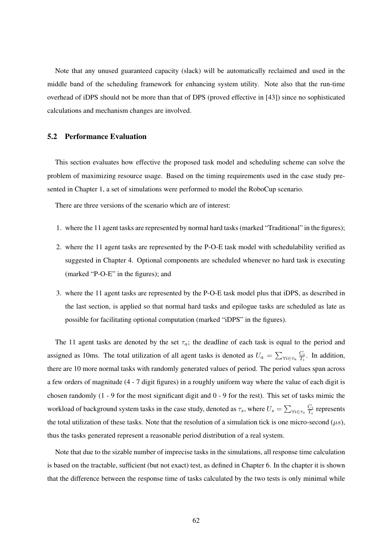Note that any unused guaranteed capacity (slack) will be automatically reclaimed and used in the middle band of the scheduling framework for enhancing system utility. Note also that the run-time overhead of iDPS should not be more than that of DPS (proved effective in [43]) since no sophisticated calculations and mechanism changes are involved.

# 5.2 Performance Evaluation

This section evaluates how effective the proposed task model and scheduling scheme can solve the problem of maximizing resource usage. Based on the timing requirements used in the case study presented in Chapter 1, a set of simulations were performed to model the RoboCup scenario.

There are three versions of the scenario which are of interest:

- 1. where the 11 agent tasks are represented by normal hard tasks (marked "Traditional" in the figures);
- 2. where the 11 agent tasks are represented by the P-O-E task model with schedulability verified as suggested in Chapter 4. Optional components are scheduled whenever no hard task is executing (marked "P-O-E" in the figures); and
- 3. where the 11 agent tasks are represented by the P-O-E task model plus that iDPS, as described in the last section, is applied so that normal hard tasks and epilogue tasks are scheduled as late as possible for facilitating optional computation (marked "iDPS" in the figures).

The 11 agent tasks are denoted by the set  $\tau_a$ ; the deadline of each task is equal to the period and assigned as 10ms. The total utilization of all agent tasks is denoted as  $U_a = \sum_{\forall i \in \tau_a} \frac{C_i}{T_i}$  $\frac{C_i}{T_i}$ . In addition, there are 10 more normal tasks with randomly generated values of period. The period values span across a few orders of magnitude (4 - 7 digit figures) in a roughly uniform way where the value of each digit is chosen randomly (1 - 9 for the most significant digit and 0 - 9 for the rest). This set of tasks mimic the workload of background system tasks in the case study, denoted as  $\tau_s$ , where  $U_s = \sum_{\forall i \in \tau_s} \frac{C_i}{T_i}$  $\frac{C_i}{T_i}$  represents the total utilization of these tasks. Note that the resolution of a simulation tick is one micro-second  $(\mu s)$ , thus the tasks generated represent a reasonable period distribution of a real system.

Note that due to the sizable number of imprecise tasks in the simulations, all response time calculation is based on the tractable, sufficient (but not exact) test, as defined in Chapter 6. In the chapter it is shown that the difference between the response time of tasks calculated by the two tests is only minimal while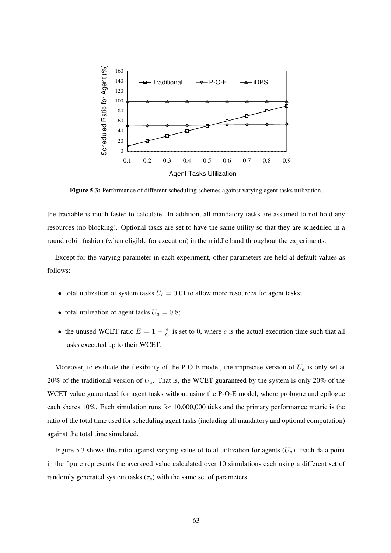

Figure 5.3: Performance of different scheduling schemes against varying agent tasks utilization.

the tractable is much faster to calculate. In addition, all mandatory tasks are assumed to not hold any resources (no blocking). Optional tasks are set to have the same utility so that they are scheduled in a round robin fashion (when eligible for execution) in the middle band throughout the experiments.

Except for the varying parameter in each experiment, other parameters are held at default values as follows:

- total utilization of system tasks  $U_s = 0.01$  to allow more resources for agent tasks;
- total utilization of agent tasks  $U_a = 0.8$ ;
- the unused WCET ratio  $E = 1 \frac{e}{C}$  $\frac{e}{C}$  is set to 0, where *e* is the actual execution time such that all tasks executed up to their WCET.

Moreover, to evaluate the flexibility of the P-O-E model, the imprecise version of  $U_a$  is only set at 20% of the traditional version of  $U_a$ . That is, the WCET guaranteed by the system is only 20% of the WCET value guaranteed for agent tasks without using the P-O-E model, where prologue and epilogue each shares 10%. Each simulation runs for 10,000,000 ticks and the primary performance metric is the ratio of the total time used for scheduling agent tasks (including all mandatory and optional computation) against the total time simulated.

Figure 5.3 shows this ratio against varying value of total utilization for agents  $(U_a)$ . Each data point in the figure represents the averaged value calculated over 10 simulations each using a different set of randomly generated system tasks  $(\tau_s)$  with the same set of parameters.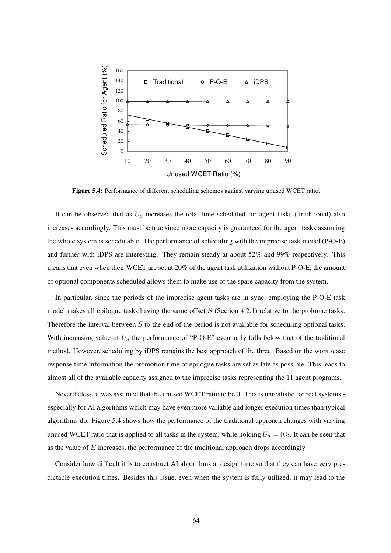

Figure 5.4: Performance of different scheduling schemes against varying unused WCET ratio.

It can be observed that as  $U_a$  increases the total time scheduled for agent tasks (Traditional) also increases accordingly. This must be true since more capacity is guaranteed for the agent tasks assuming the whole system is schedulable. The performance of scheduling with the imprecise task model (P-O-E) and further with iDPS are interesting. They remain steady at about 52% and 99% respectively. This means that even when their WCET are set at 20% of the agent task utilization without P-O-E, the amount of optional components scheduled allows them to make use of the spare capacity from the system.

In particular, since the periods of the imprecise agent tasks are in sync, employing the P-O-E task model makes all epilogue tasks having the same offset  $S$  (Section 4.2.1) relative to the prologue tasks. Therefore the interval between  $S$  to the end of the period is not available for scheduling optional tasks. With increasing value of  $U_a$  the performance of "P-O-E" eventually falls below that of the traditional method. However, scheduling by iDPS remains the best approach of the three. Based on the worst-case response time information the promotion time of epilogue tasks are set as late as possible. This leads to almost all of the available capacity assigned to the imprecise tasks representing the 11 agent programs.

Nevertheless, it was assumed that the unused WCET ratio to be 0. This is unrealistic for real systems especially for AI algorithms which may have even more variable and longer execution times than typical algorithms do. Figure 5.4 shows how the performance of the traditional approach changes with varying unused WCET ratio that is applied to all tasks in the system, while holding  $U_a = 0.8$ . It can be seen that as the value of  $E$  increases, the performance of the traditional approach drops accordingly.

Consider how difficult it is to construct AI algorithms at design time so that they can have very predictable execution times. Besides this issue, even when the system is fully utilized, it may lead to the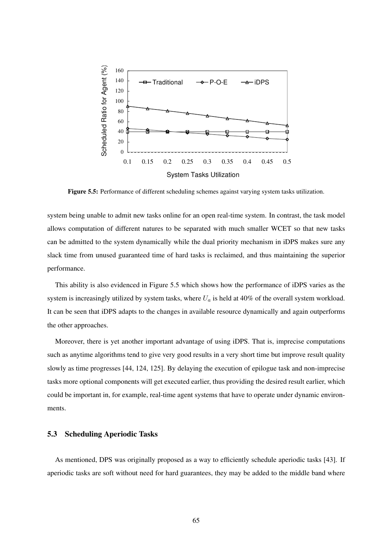

Figure 5.5: Performance of different scheduling schemes against varying system tasks utilization.

system being unable to admit new tasks online for an open real-time system. In contrast, the task model allows computation of different natures to be separated with much smaller WCET so that new tasks can be admitted to the system dynamically while the dual priority mechanism in iDPS makes sure any slack time from unused guaranteed time of hard tasks is reclaimed, and thus maintaining the superior performance.

This ability is also evidenced in Figure 5.5 which shows how the performance of iDPS varies as the system is increasingly utilized by system tasks, where  $U_a$  is held at 40% of the overall system workload. It can be seen that iDPS adapts to the changes in available resource dynamically and again outperforms the other approaches.

Moreover, there is yet another important advantage of using iDPS. That is, imprecise computations such as anytime algorithms tend to give very good results in a very short time but improve result quality slowly as time progresses [44, 124, 125]. By delaying the execution of epilogue task and non-imprecise tasks more optional components will get executed earlier, thus providing the desired result earlier, which could be important in, for example, real-time agent systems that have to operate under dynamic environments.

## 5.3 Scheduling Aperiodic Tasks

As mentioned, DPS was originally proposed as a way to efficiently schedule aperiodic tasks [43]. If aperiodic tasks are soft without need for hard guarantees, they may be added to the middle band where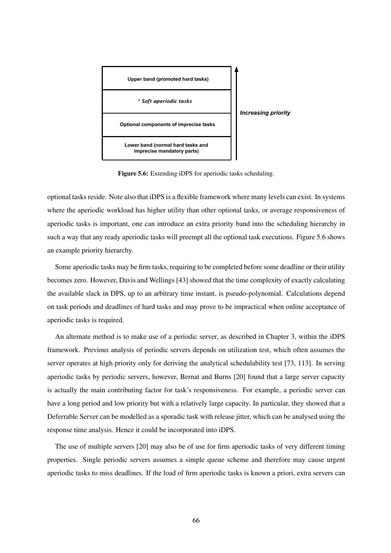

Figure 5.6: Extending iDPS for aperiodic tasks scheduling.

optional tasks reside. Note also that iDPS is a flexible framework where many levels can exist. In systems where the aperiodic workload has higher utility than other optional tasks, or average responsiveness of aperiodic tasks is important, one can introduce an extra priority band into the scheduling hierarchy in such a way that any ready aperiodic tasks will preempt all the optional task executions. Figure 5.6 shows an example priority hierarchy.

Some aperiodic tasks may be firm tasks, requiring to be completed before some deadline or their utility becomes zero. However, Davis and Wellings [43] showed that the time complexity of exactly calculating the available slack in DPS, up to an arbitrary time instant, is pseudo-polynomial. Calculations depend on task periods and deadlines of hard tasks and may prove to be impractical when online acceptance of aperiodic tasks is required.

An alternate method is to make use of a periodic server, as described in Chapter 3, within the iDPS framework. Previous analysis of periodic servers depends on utilization test, which often assumes the server operates at high priority only for deriving the analytical schedulability test [73, 113]. In serving aperiodic tasks by periodic servers, however, Bernat and Burns [20] found that a large server capacity is actually the main contributing factor for task's responsiveness. For example, a periodic server can have a long period and low priority but with a relatively large capacity. In particular, they showed that a Deferrable Server can be modelled as a sporadic task with release jitter, which can be analysed using the response time analysis. Hence it could be incorporated into iDPS.

The use of multiple servers [20] may also be of use for firm aperiodic tasks of very different timing properties. Single periodic servers assumes a simple queue scheme and therefore may cause urgent aperiodic tasks to miss deadlines. If the load of firm aperiodic tasks is known a priori, extra servers can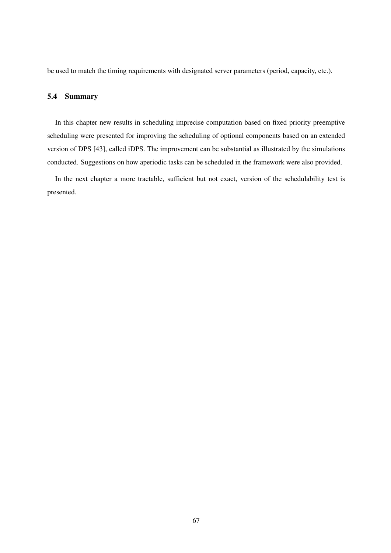be used to match the timing requirements with designated server parameters (period, capacity, etc.).

#### 5.4 Summary

In this chapter new results in scheduling imprecise computation based on fixed priority preemptive scheduling were presented for improving the scheduling of optional components based on an extended version of DPS [43], called iDPS. The improvement can be substantial as illustrated by the simulations conducted. Suggestions on how aperiodic tasks can be scheduled in the framework were also provided.

In the next chapter a more tractable, sufficient but not exact, version of the schedulability test is presented.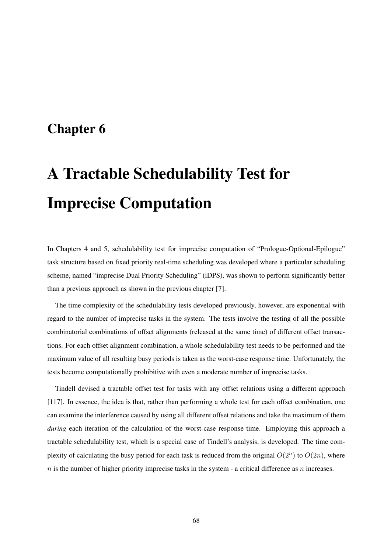## Chapter 6

# A Tractable Schedulability Test for Imprecise Computation

In Chapters 4 and 5, schedulability test for imprecise computation of "Prologue-Optional-Epilogue" task structure based on fixed priority real-time scheduling was developed where a particular scheduling scheme, named "imprecise Dual Priority Scheduling" (iDPS), was shown to perform significantly better than a previous approach as shown in the previous chapter [7].

The time complexity of the schedulability tests developed previously, however, are exponential with regard to the number of imprecise tasks in the system. The tests involve the testing of all the possible combinatorial combinations of offset alignments (released at the same time) of different offset transactions. For each offset alignment combination, a whole schedulability test needs to be performed and the maximum value of all resulting busy periods is taken as the worst-case response time. Unfortunately, the tests become computationally prohibitive with even a moderate number of imprecise tasks.

Tindell devised a tractable offset test for tasks with any offset relations using a different approach [117]. In essence, the idea is that, rather than performing a whole test for each offset combination, one can examine the interference caused by using all different offset relations and take the maximum of them *during* each iteration of the calculation of the worst-case response time. Employing this approach a tractable schedulability test, which is a special case of Tindell's analysis, is developed. The time complexity of calculating the busy period for each task is reduced from the original  $O(2^n)$  to  $O(2n)$ , where  $n$  is the number of higher priority imprecise tasks in the system - a critical difference as  $n$  increases.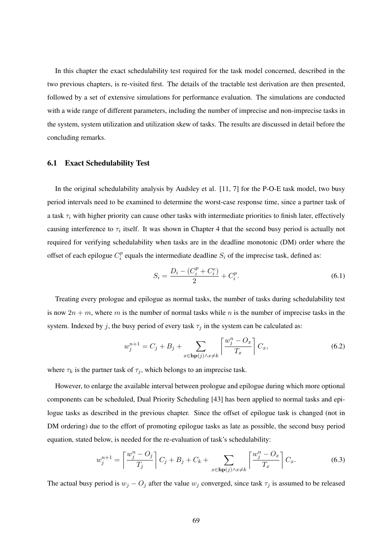In this chapter the exact schedulability test required for the task model concerned, described in the two previous chapters, is re-visited first. The details of the tractable test derivation are then presented, followed by a set of extensive simulations for performance evaluation. The simulations are conducted with a wide range of different parameters, including the number of imprecise and non-imprecise tasks in the system, system utilization and utilization skew of tasks. The results are discussed in detail before the concluding remarks.

#### 6.1 Exact Schedulability Test

In the original schedulability analysis by Audsley et al. [11, 7] for the P-O-E task model, two busy period intervals need to be examined to determine the worst-case response time, since a partner task of a task  $\tau_i$  with higher priority can cause other tasks with intermediate priorities to finish later, effectively causing interference to  $\tau_i$  itself. It was shown in Chapter 4 that the second busy period is actually not required for verifying schedulability when tasks are in the deadline monotonic (DM) order where the offset of each epilogue  $C_i^p$  $i<sub>i</sub><sup>p</sup>$  equals the intermediate deadline  $S_i$  of the imprecise task, defined as:

$$
S_i = \frac{D_i - (C_i^p + C_i^e)}{2} + C_i^p.
$$
\n(6.1)

Treating every prologue and epilogue as normal tasks, the number of tasks during schedulability test is now  $2n + m$ , where m is the number of normal tasks while n is the number of imprecise tasks in the system. Indexed by j, the busy period of every task  $\tau_j$  in the system can be calculated as:

$$
w_j^{n+1} = C_j + B_j + \sum_{x \in \mathbf{hp}(j) \land x \neq k} \left[ \frac{w_j^n - O_x}{T_x} \right] C_x,\tag{6.2}
$$

where  $\tau_k$  is the partner task of  $\tau_j$ , which belongs to an imprecise task.

However, to enlarge the available interval between prologue and epilogue during which more optional components can be scheduled, Dual Priority Scheduling [43] has been applied to normal tasks and epilogue tasks as described in the previous chapter. Since the offset of epilogue task is changed (not in DM ordering) due to the effort of promoting epilogue tasks as late as possible, the second busy period equation, stated below, is needed for the re-evaluation of task's schedulability:

$$
w_j^{n+1} = \left\lceil \frac{w_j^n - O_j}{T_j} \right\rceil C_j + B_j + C_k + \sum_{x \in \mathbf{hp}(j) \land x \neq k} \left\lceil \frac{w_j^n - O_x}{T_x} \right\rceil C_x. \tag{6.3}
$$

The actual busy period is  $w_j - O_j$  after the value  $w_j$  converged, since task  $\tau_j$  is assumed to be released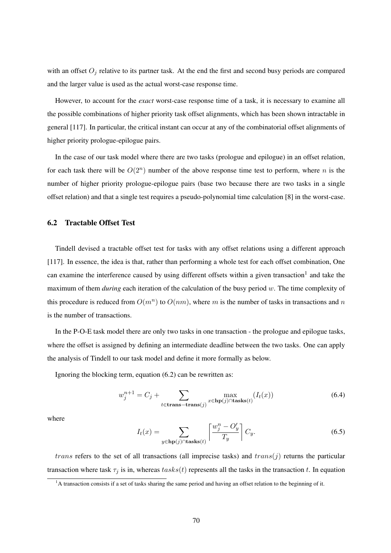with an offset  $O_i$  relative to its partner task. At the end the first and second busy periods are compared and the larger value is used as the actual worst-case response time.

However, to account for the *exact* worst-case response time of a task, it is necessary to examine all the possible combinations of higher priority task offset alignments, which has been shown intractable in general [117]. In particular, the critical instant can occur at any of the combinatorial offset alignments of higher priority prologue-epilogue pairs.

In the case of our task model where there are two tasks (prologue and epilogue) in an offset relation, for each task there will be  $O(2^n)$  number of the above response time test to perform, where n is the number of higher priority prologue-epilogue pairs (base two because there are two tasks in a single offset relation) and that a single test requires a pseudo-polynomial time calculation [8] in the worst-case.

#### 6.2 Tractable Offset Test

Tindell devised a tractable offset test for tasks with any offset relations using a different approach [117]. In essence, the idea is that, rather than performing a whole test for each offset combination, One can examine the interference caused by using different offsets within a given transaction<sup>1</sup> and take the maximum of them *during* each iteration of the calculation of the busy period w. The time complexity of this procedure is reduced from  $O(m^n)$  to  $O(nm)$ , where m is the number of tasks in transactions and m is the number of transactions.

In the P-O-E task model there are only two tasks in one transaction - the prologue and epilogue tasks, where the offset is assigned by defining an intermediate deadline between the two tasks. One can apply the analysis of Tindell to our task model and define it more formally as below.

Ignoring the blocking term, equation (6.2) can be rewritten as:

$$
w_j^{n+1} = C_j + \sum_{t \in \mathbf{trans}-\mathbf{trans}(j)} \max_{x \in \mathbf{hp}(j) \cap \mathbf{tasks}(t)} (I_t(x)) \tag{6.4}
$$

where

$$
I_t(x) = \sum_{y \in \mathbf{hp}(j) \cap \mathbf{tasks}(t)} \left[ \frac{w_j^n - O'_y}{T_y} \right] C_y.
$$
 (6.5)

*trans* refers to the set of all transactions (all imprecise tasks) and  $trans(j)$  returns the particular transaction where task  $\tau_j$  is in, whereas  $tasks(t)$  represents all the tasks in the transaction t. In equation

<sup>&</sup>lt;sup>1</sup>A transaction consists if a set of tasks sharing the same period and having an offset relation to the beginning of it.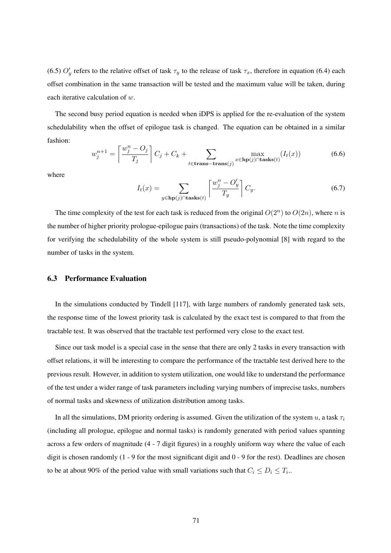(6.5)  $O'_y$  refers to the relative offset of task  $\tau_y$  to the release of task  $\tau_x$ , therefore in equation (6.4) each offset combination in the same transaction will be tested and the maximum value will be taken, during each iterative calculation of w.

The second busy period equation is needed when iDPS is applied for the re-evaluation of the system schedulability when the offset of epilogue task is changed. The equation can be obtained in a similar fashion:

$$
w_j^{n+1} = \left\lceil \frac{w_j^n - O_j}{T_j} \right\rceil C_j + C_k + \sum_{t \in \text{trans-trans}(j)} \max_{x \in \text{hp}(j) \cap \text{tasks}(t)} (I_t(x)) \tag{6.6}
$$

where

$$
I_t(x) = \sum_{y \in \mathbf{hp}(j) \cap \mathbf{tasks}(t)} \left\lceil \frac{w_j^n - O'_y}{T_y} \right\rceil C_y.
$$
 (6.7)

The time complexity of the test for each task is reduced from the original  $O(2^n)$  to  $O(2n)$ , where n is the number of higher priority prologue-epilogue pairs (transactions) of the task. Note the time complexity for verifying the schedulability of the whole system is still pseudo-polynomial [8] with regard to the number of tasks in the system.

#### 6.3 Performance Evaluation

In the simulations conducted by Tindell [117], with large numbers of randomly generated task sets, the response time of the lowest priority task is calculated by the exact test is compared to that from the tractable test. It was observed that the tractable test performed very close to the exact test.

Since our task model is a special case in the sense that there are only 2 tasks in every transaction with offset relations, it will be interesting to compare the performance of the tractable test derived here to the previous result. However, in addition to system utilization, one would like to understand the performance of the test under a wider range of task parameters including varying numbers of imprecise tasks, numbers of normal tasks and skewness of utilization distribution among tasks.

In all the simulations, DM priority ordering is assumed. Given the utilization of the system u, a task  $\tau_i$ (including all prologue, epilogue and normal tasks) is randomly generated with period values spanning across a few orders of magnitude (4 - 7 digit figures) in a roughly uniform way where the value of each digit is chosen randomly (1 - 9 for the most significant digit and 0 - 9 for the rest). Deadlines are chosen to be at about 90% of the period value with small variations such that  $C_i \leq D_i \leq T_i$ .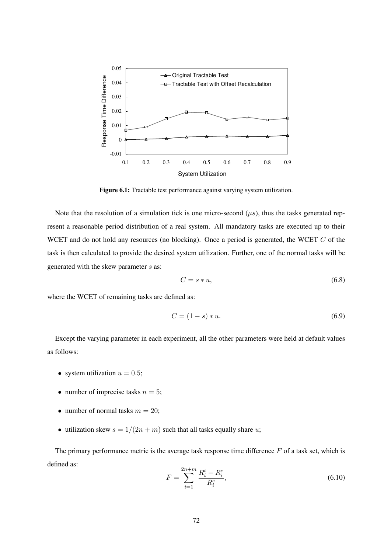

Figure 6.1: Tractable test performance against varying system utilization.

Note that the resolution of a simulation tick is one micro-second  $(\mu s)$ , thus the tasks generated represent a reasonable period distribution of a real system. All mandatory tasks are executed up to their WCET and do not hold any resources (no blocking). Once a period is generated, the WCET C of the task is then calculated to provide the desired system utilization. Further, one of the normal tasks will be generated with the skew parameter s as:

$$
C = s * u,\tag{6.8}
$$

where the WCET of remaining tasks are defined as:

$$
C = (1 - s) * u.
$$
 (6.9)

Except the varying parameter in each experiment, all the other parameters were held at default values as follows:

- system utilization  $u = 0.5$ ;
- number of imprecise tasks  $n = 5$ ;
- number of normal tasks  $m = 20$ ;
- utilization skew  $s = 1/(2n + m)$  such that all tasks equally share u;

The primary performance metric is the average task response time difference  $F$  of a task set, which is defined as:

$$
F = \sum_{i=1}^{2n+m} \frac{R_i^t - R_i^e}{R_i^e},\tag{6.10}
$$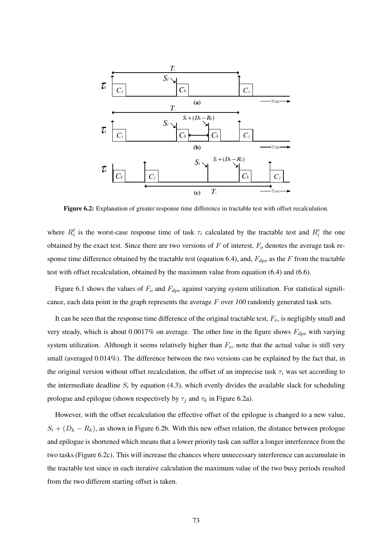

Figure 6.2: Explanation of greater response time difference in tractable test with offset recalculation.

where  $R_i^t$  is the worst-case response time of task  $\tau_i$  calculated by the tractable test and  $R_i^e$  the one obtained by the exact test. Since there are two versions of  $F$  of interest,  $F<sub>o</sub>$  denotes the average task response time difference obtained by the tractable test (equation 6.4), and,  $F_{dps}$  as the F from the tractable test with offset recalculation, obtained by the maximum value from equation (6.4) and (6.6).

Figure 6.1 shows the values of  $F_o$  and  $F_{dps}$  against varying system utilization. For statistical significance, each data point in the graph represents the average F over *100* randomly generated task sets.

It can be seen that the response time difference of the original tractable test,  $F<sub>o</sub>$ , is negligibly small and very steady, which is about 0.0017% on average. The other line in the figure shows  $F_{dps}$  with varying system utilization. Although it seems relatively higher than  $F<sub>o</sub>$ , note that the actual value is still very small (averaged  $0.014\%$ ). The difference between the two versions can be explained by the fact that, in the original version without offset recalculation, the offset of an imprecise task  $\tau_i$  was set according to the intermediate deadline  $S_i$  by equation (4.3), which evenly divides the available slack for scheduling prologue and epilogue (shown respectively by  $\tau_j$  and  $\tau_k$  in Figure 6.2a).

However, with the offset recalculation the effective offset of the epilogue is changed to a new value,  $S_i + (D_k - R_k)$ , as shown in Figure 6.2b. With this new offset relation, the distance between prologue and epilogue is shortened which means that a lower priority task can suffer a longer interference from the two tasks (Figure 6.2c). This will increase the chances where unnecessary interference can accumulate in the tractable test since in each iterative calculation the maximum value of the two busy periods resulted from the two different starting offset is taken.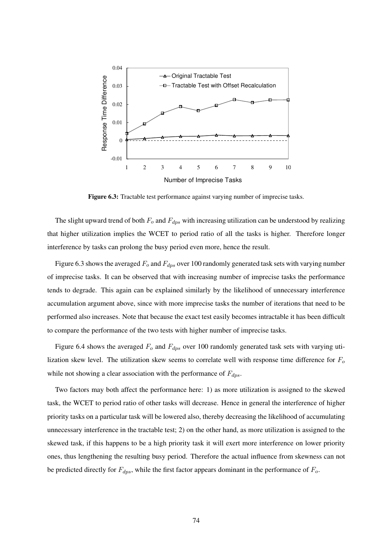

Figure 6.3: Tractable test performance against varying number of imprecise tasks.

The slight upward trend of both  $F<sub>o</sub>$  and  $F<sub>dos</sub>$  with increasing utilization can be understood by realizing that higher utilization implies the WCET to period ratio of all the tasks is higher. Therefore longer interference by tasks can prolong the busy period even more, hence the result.

Figure 6.3 shows the averaged  $F_o$  and  $F_{dps}$  over 100 randomly generated task sets with varying number of imprecise tasks. It can be observed that with increasing number of imprecise tasks the performance tends to degrade. This again can be explained similarly by the likelihood of unnecessary interference accumulation argument above, since with more imprecise tasks the number of iterations that need to be performed also increases. Note that because the exact test easily becomes intractable it has been difficult to compare the performance of the two tests with higher number of imprecise tasks.

Figure 6.4 shows the averaged  $F_o$  and  $F_{dps}$  over 100 randomly generated task sets with varying utilization skew level. The utilization skew seems to correlate well with response time difference for  $F<sub>o</sub>$ while not showing a clear association with the performance of  $F_{dps}$ .

Two factors may both affect the performance here: 1) as more utilization is assigned to the skewed task, the WCET to period ratio of other tasks will decrease. Hence in general the interference of higher priority tasks on a particular task will be lowered also, thereby decreasing the likelihood of accumulating unnecessary interference in the tractable test; 2) on the other hand, as more utilization is assigned to the skewed task, if this happens to be a high priority task it will exert more interference on lower priority ones, thus lengthening the resulting busy period. Therefore the actual influence from skewness can not be predicted directly for  $F_{dps}$ , while the first factor appears dominant in the performance of  $F_o$ .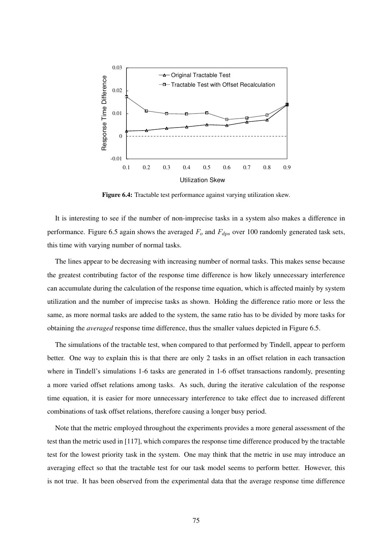

Figure 6.4: Tractable test performance against varying utilization skew.

It is interesting to see if the number of non-imprecise tasks in a system also makes a difference in performance. Figure 6.5 again shows the averaged  $F_o$  and  $F_{dps}$  over 100 randomly generated task sets, this time with varying number of normal tasks.

The lines appear to be decreasing with increasing number of normal tasks. This makes sense because the greatest contributing factor of the response time difference is how likely unnecessary interference can accumulate during the calculation of the response time equation, which is affected mainly by system utilization and the number of imprecise tasks as shown. Holding the difference ratio more or less the same, as more normal tasks are added to the system, the same ratio has to be divided by more tasks for obtaining the *averaged* response time difference, thus the smaller values depicted in Figure 6.5.

The simulations of the tractable test, when compared to that performed by Tindell, appear to perform better. One way to explain this is that there are only 2 tasks in an offset relation in each transaction where in Tindell's simulations 1-6 tasks are generated in 1-6 offset transactions randomly, presenting a more varied offset relations among tasks. As such, during the iterative calculation of the response time equation, it is easier for more unnecessary interference to take effect due to increased different combinations of task offset relations, therefore causing a longer busy period.

Note that the metric employed throughout the experiments provides a more general assessment of the test than the metric used in [117], which compares the response time difference produced by the tractable test for the lowest priority task in the system. One may think that the metric in use may introduce an averaging effect so that the tractable test for our task model seems to perform better. However, this is not true. It has been observed from the experimental data that the average response time difference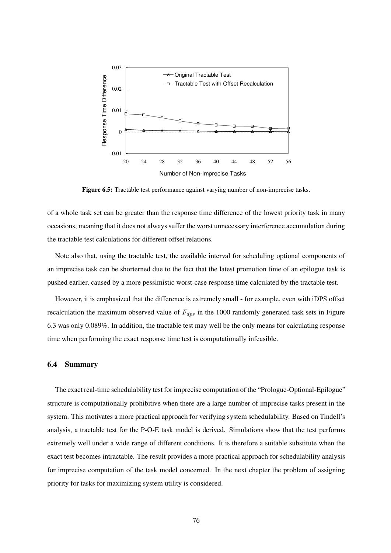

Figure 6.5: Tractable test performance against varying number of non-imprecise tasks.

of a whole task set can be greater than the response time difference of the lowest priority task in many occasions, meaning that it does not always suffer the worst unnecessary interference accumulation during the tractable test calculations for different offset relations.

Note also that, using the tractable test, the available interval for scheduling optional components of an imprecise task can be shorterned due to the fact that the latest promotion time of an epilogue task is pushed earlier, caused by a more pessimistic worst-case response time calculated by the tractable test.

However, it is emphasized that the difference is extremely small - for example, even with iDPS offset recalculation the maximum observed value of  $F_{dps}$  in the 1000 randomly generated task sets in Figure 6.3 was only 0.089%. In addition, the tractable test may well be the only means for calculating response time when performing the exact response time test is computationally infeasible.

#### 6.4 Summary

The exact real-time schedulability test for imprecise computation of the "Prologue-Optional-Epilogue" structure is computationally prohibitive when there are a large number of imprecise tasks present in the system. This motivates a more practical approach for verifying system schedulability. Based on Tindell's analysis, a tractable test for the P-O-E task model is derived. Simulations show that the test performs extremely well under a wide range of different conditions. It is therefore a suitable substitute when the exact test becomes intractable. The result provides a more practical approach for schedulability analysis for imprecise computation of the task model concerned. In the next chapter the problem of assigning priority for tasks for maximizing system utility is considered.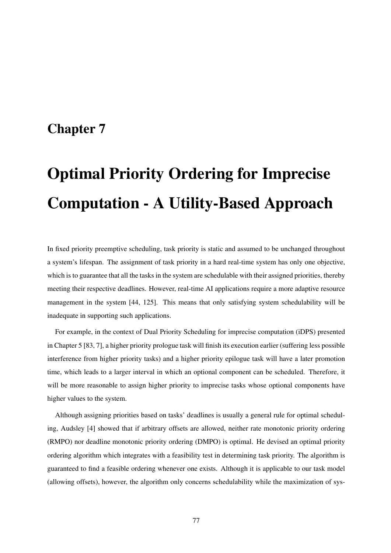## Chapter 7

# Optimal Priority Ordering for Imprecise Computation - A Utility-Based Approach

In fixed priority preemptive scheduling, task priority is static and assumed to be unchanged throughout a system's lifespan. The assignment of task priority in a hard real-time system has only one objective, which is to guarantee that all the tasks in the system are schedulable with their assigned priorities, thereby meeting their respective deadlines. However, real-time AI applications require a more adaptive resource management in the system [44, 125]. This means that only satisfying system schedulability will be inadequate in supporting such applications.

For example, in the context of Dual Priority Scheduling for imprecise computation (iDPS) presented in Chapter 5 [83, 7], a higher priority prologue task will finish its execution earlier (suffering less possible interference from higher priority tasks) and a higher priority epilogue task will have a later promotion time, which leads to a larger interval in which an optional component can be scheduled. Therefore, it will be more reasonable to assign higher priority to imprecise tasks whose optional components have higher values to the system.

Although assigning priorities based on tasks' deadlines is usually a general rule for optimal scheduling, Audsley [4] showed that if arbitrary offsets are allowed, neither rate monotonic priority ordering (RMPO) nor deadline monotonic priority ordering (DMPO) is optimal. He devised an optimal priority ordering algorithm which integrates with a feasibility test in determining task priority. The algorithm is guaranteed to find a feasible ordering whenever one exists. Although it is applicable to our task model (allowing offsets), however, the algorithm only concerns schedulability while the maximization of sys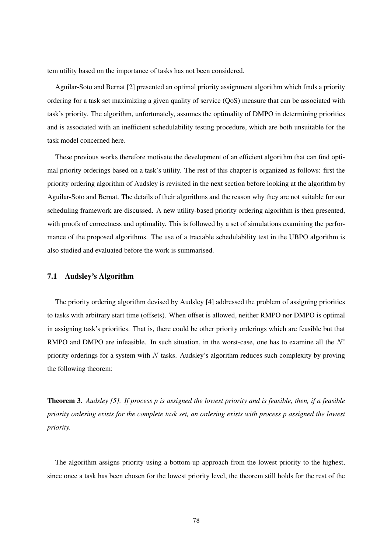tem utility based on the importance of tasks has not been considered.

Aguilar-Soto and Bernat [2] presented an optimal priority assignment algorithm which finds a priority ordering for a task set maximizing a given quality of service (QoS) measure that can be associated with task's priority. The algorithm, unfortunately, assumes the optimality of DMPO in determining priorities and is associated with an inefficient schedulability testing procedure, which are both unsuitable for the task model concerned here.

These previous works therefore motivate the development of an efficient algorithm that can find optimal priority orderings based on a task's utility. The rest of this chapter is organized as follows: first the priority ordering algorithm of Audsley is revisited in the next section before looking at the algorithm by Aguilar-Soto and Bernat. The details of their algorithms and the reason why they are not suitable for our scheduling framework are discussed. A new utility-based priority ordering algorithm is then presented, with proofs of correctness and optimality. This is followed by a set of simulations examining the performance of the proposed algorithms. The use of a tractable schedulability test in the UBPO algorithm is also studied and evaluated before the work is summarised.

#### 7.1 Audsley's Algorithm

The priority ordering algorithm devised by Audsley [4] addressed the problem of assigning priorities to tasks with arbitrary start time (offsets). When offset is allowed, neither RMPO nor DMPO is optimal in assigning task's priorities. That is, there could be other priority orderings which are feasible but that RMPO and DMPO are infeasible. In such situation, in the worst-case, one has to examine all the N! priority orderings for a system with  $N$  tasks. Audsley's algorithm reduces such complexity by proving the following theorem:

Theorem 3. *Audsley [5]. If process p is assigned the lowest priority and is feasible, then, if a feasible priority ordering exists for the complete task set, an ordering exists with process p assigned the lowest priority.*

The algorithm assigns priority using a bottom-up approach from the lowest priority to the highest, since once a task has been chosen for the lowest priority level, the theorem still holds for the rest of the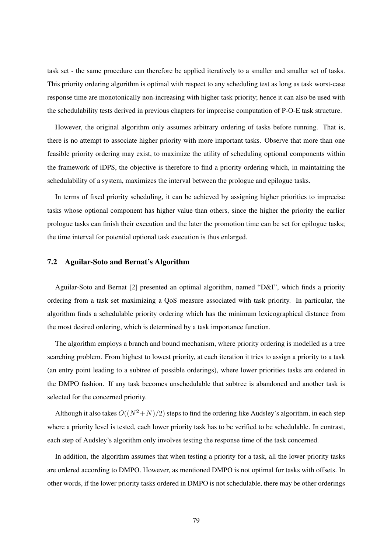task set - the same procedure can therefore be applied iteratively to a smaller and smaller set of tasks. This priority ordering algorithm is optimal with respect to any scheduling test as long as task worst-case response time are monotonically non-increasing with higher task priority; hence it can also be used with the schedulability tests derived in previous chapters for imprecise computation of P-O-E task structure.

However, the original algorithm only assumes arbitrary ordering of tasks before running. That is, there is no attempt to associate higher priority with more important tasks. Observe that more than one feasible priority ordering may exist, to maximize the utility of scheduling optional components within the framework of iDPS, the objective is therefore to find a priority ordering which, in maintaining the schedulability of a system, maximizes the interval between the prologue and epilogue tasks.

In terms of fixed priority scheduling, it can be achieved by assigning higher priorities to imprecise tasks whose optional component has higher value than others, since the higher the priority the earlier prologue tasks can finish their execution and the later the promotion time can be set for epilogue tasks; the time interval for potential optional task execution is thus enlarged.

#### 7.2 Aguilar-Soto and Bernat's Algorithm

Aguilar-Soto and Bernat [2] presented an optimal algorithm, named "D&I", which finds a priority ordering from a task set maximizing a QoS measure associated with task priority. In particular, the algorithm finds a schedulable priority ordering which has the minimum lexicographical distance from the most desired ordering, which is determined by a task importance function.

The algorithm employs a branch and bound mechanism, where priority ordering is modelled as a tree searching problem. From highest to lowest priority, at each iteration it tries to assign a priority to a task (an entry point leading to a subtree of possible orderings), where lower priorities tasks are ordered in the DMPO fashion. If any task becomes unschedulable that subtree is abandoned and another task is selected for the concerned priority.

Although it also takes  $O((N^2+N)/2)$  steps to find the ordering like Audsley's algorithm, in each step where a priority level is tested, each lower priority task has to be verified to be schedulable. In contrast, each step of Audsley's algorithm only involves testing the response time of the task concerned.

In addition, the algorithm assumes that when testing a priority for a task, all the lower priority tasks are ordered according to DMPO. However, as mentioned DMPO is not optimal for tasks with offsets. In other words, if the lower priority tasks ordered in DMPO is not schedulable, there may be other orderings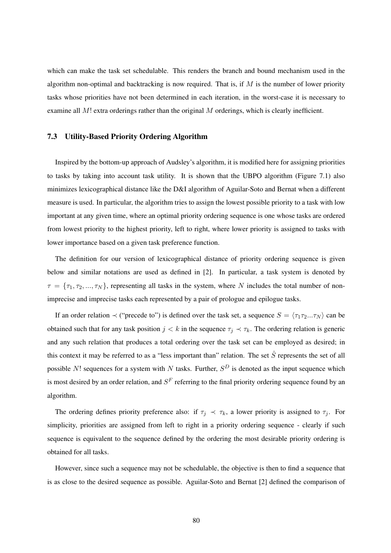which can make the task set schedulable. This renders the branch and bound mechanism used in the algorithm non-optimal and backtracking is now required. That is, if  $M$  is the number of lower priority tasks whose priorities have not been determined in each iteration, in the worst-case it is necessary to examine all  $M!$  extra orderings rather than the original  $M$  orderings, which is clearly inefficient.

#### 7.3 Utility-Based Priority Ordering Algorithm

Inspired by the bottom-up approach of Audsley's algorithm, it is modified here for assigning priorities to tasks by taking into account task utility. It is shown that the UBPO algorithm (Figure 7.1) also minimizes lexicographical distance like the D&I algorithm of Aguilar-Soto and Bernat when a different measure is used. In particular, the algorithm tries to assign the lowest possible priority to a task with low important at any given time, where an optimal priority ordering sequence is one whose tasks are ordered from lowest priority to the highest priority, left to right, where lower priority is assigned to tasks with lower importance based on a given task preference function.

The definition for our version of lexicographical distance of priority ordering sequence is given below and similar notations are used as defined in [2]. In particular, a task system is denoted by  $\tau = {\tau_1, \tau_2, ..., \tau_N}$ , representing all tasks in the system, where N includes the total number of nonimprecise and imprecise tasks each represented by a pair of prologue and epilogue tasks.

If an order relation  $\prec$  ("precede to") is defined over the task set, a sequence  $S = \langle \tau_1 \tau_2 ... \tau_N \rangle$  can be obtained such that for any task position  $j < k$  in the sequence  $\tau_j \prec \tau_k$ . The ordering relation is generic and any such relation that produces a total ordering over the task set can be employed as desired; in this context it may be referred to as a "less important than" relation. The set  $\hat{S}$  represents the set of all possible N! sequences for a system with N tasks. Further,  $S<sup>D</sup>$  is denoted as the input sequence which is most desired by an order relation, and  $S<sup>F</sup>$  referring to the final priority ordering sequence found by an algorithm.

The ordering defines priority preference also: if  $\tau_j \prec \tau_k$ , a lower priority is assigned to  $\tau_j$ . For simplicity, priorities are assigned from left to right in a priority ordering sequence - clearly if such sequence is equivalent to the sequence defined by the ordering the most desirable priority ordering is obtained for all tasks.

However, since such a sequence may not be schedulable, the objective is then to find a sequence that is as close to the desired sequence as possible. Aguilar-Soto and Bernat [2] defined the comparison of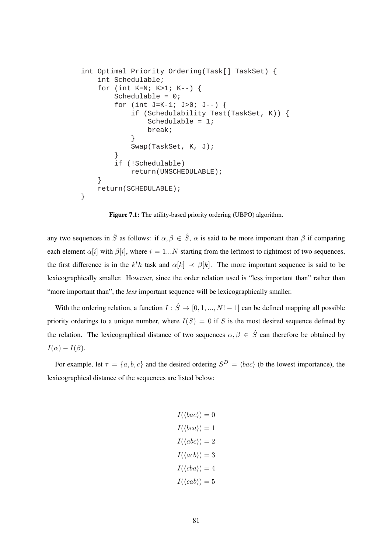```
int Optimal_Priority_Ordering(Task[] TaskSet) {
     int Schedulable;
    for (int K=N; K>1; K--) {
         Schedulable = 0;
         for (int J=K-1; J>0; J--) {
             if (Schedulability_Test(TaskSet, K)) {
                Schedulable = 1;
                 break;
 }
             Swap(TaskSet, K, J);
 }
         if (!Schedulable)
            return(UNSCHEDULABLE);
     }
    return(SCHEDULABLE);
}
```
Figure 7.1: The utility-based priority ordering (UBPO) algorithm.

any two sequences in  $\hat{S}$  as follows: if  $\alpha, \beta \in \hat{S}$ ,  $\alpha$  is said to be more important than  $\beta$  if comparing each element  $\alpha[i]$  with  $\beta[i]$ , where  $i = 1...N$  starting from the leftmost to rightmost of two sequences, the first difference is in the  $k^th$  task and  $\alpha[k] \prec \beta[k]$ . The more important sequence is said to be lexicographically smaller. However, since the order relation used is "less important than" rather than "more important than", the *less* important sequence will be lexicographically smaller.

With the ordering relation, a function  $I : \hat{S} \to [0, 1, ..., N! - 1]$  can be defined mapping all possible priority orderings to a unique number, where  $I(S) = 0$  if S is the most desired sequence defined by the relation. The lexicographical distance of two sequences  $\alpha, \beta \in \hat{S}$  can therefore be obtained by  $I(\alpha) - I(\beta)$ .

For example, let  $\tau = \{a, b, c\}$  and the desired ordering  $S^D = \langle bac \rangle$  (b the lowest importance), the lexicographical distance of the sequences are listed below:

$$
I(\langle bac \rangle) = 0
$$

$$
I(\langle bca \rangle) = 1
$$

$$
I(\langle abc \rangle) = 2
$$

$$
I(\langle ac \rangle) = 3
$$

$$
I(\langle cba \rangle) = 4
$$

$$
I(\langle cab \rangle) = 5
$$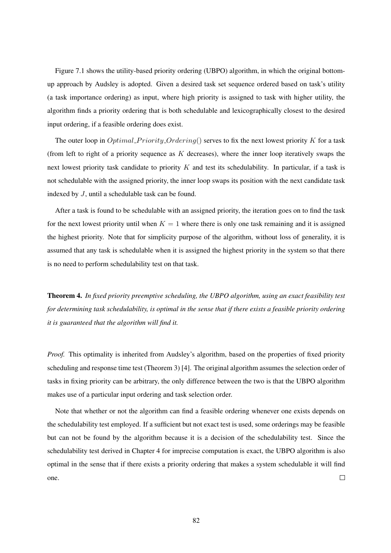Figure 7.1 shows the utility-based priority ordering (UBPO) algorithm, in which the original bottomup approach by Audsley is adopted. Given a desired task set sequence ordered based on task's utility (a task importance ordering) as input, where high priority is assigned to task with higher utility, the algorithm finds a priority ordering that is both schedulable and lexicographically closest to the desired input ordering, if a feasible ordering does exist.

The outer loop in *Optimal Priority Ordering*() serves to fix the next lowest priority K for a task (from left to right of a priority sequence as  $K$  decreases), where the inner loop iteratively swaps the next lowest priority task candidate to priority  $K$  and test its schedulability. In particular, if a task is not schedulable with the assigned priority, the inner loop swaps its position with the next candidate task indexed by J, until a schedulable task can be found.

After a task is found to be schedulable with an assigned priority, the iteration goes on to find the task for the next lowest priority until when  $K = 1$  where there is only one task remaining and it is assigned the highest priority. Note that for simplicity purpose of the algorithm, without loss of generality, it is assumed that any task is schedulable when it is assigned the highest priority in the system so that there is no need to perform schedulability test on that task.

Theorem 4. *In fixed priority preemptive scheduling, the UBPO algorithm, using an exact feasibility test for determining task schedulability, is optimal in the sense that if there exists a feasible priority ordering it is guaranteed that the algorithm will find it.*

*Proof.* This optimality is inherited from Audsley's algorithm, based on the properties of fixed priority scheduling and response time test (Theorem 3) [4]. The original algorithm assumes the selection order of tasks in fixing priority can be arbitrary, the only difference between the two is that the UBPO algorithm makes use of a particular input ordering and task selection order.

Note that whether or not the algorithm can find a feasible ordering whenever one exists depends on the schedulability test employed. If a sufficient but not exact test is used, some orderings may be feasible but can not be found by the algorithm because it is a decision of the schedulability test. Since the schedulability test derived in Chapter 4 for imprecise computation is exact, the UBPO algorithm is also optimal in the sense that if there exists a priority ordering that makes a system schedulable it will find  $\Box$ one.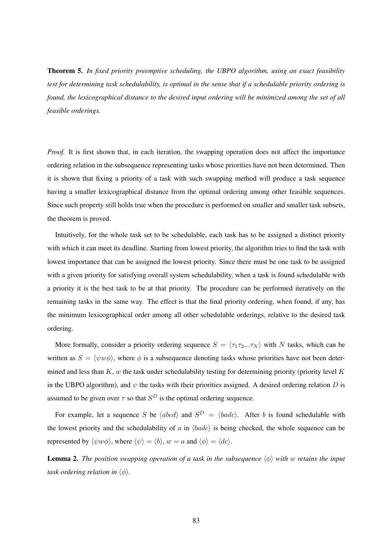Theorem 5. *In fixed priority preemptive scheduling, the UBPO algorithm, using an exact feasibility test for determining task schedulability, is optimal in the sense that if a schedulable priority ordering is found, the lexicographical distance to the desired input ordering will be minimized among the set of all feasible orderings.*

*Proof.* It is first shown that, in each iteration, the swapping operation does not affect the importance ordering relation in the subsequence representing tasks whose priorities have not been determined. Then it is shown that fixing a priority of a task with such swapping method will produce a task sequence having a smaller lexicographical distance from the optimal ordering among other feasible sequences. Since such property still holds true when the procedure is performed on smaller and smaller task subsets, the theorem is proved.

Intuitively, for the whole task set to be schedulable, each task has to be assigned a distinct priority with which it can meet its deadline. Starting from lowest priority, the algorithm tries to find the task with lowest importance that can be assigned the lowest priority. Since there must be one task to be assigned with a given priority for satisfying overall system schedulability, when a task is found schedulable with a priority it is the best task to be at that priority. The procedure can be performed iteratively on the remaining tasks in the same way. The effect is that the final priority ordering, when found, if any, has the minimum lexicographical order among all other schedulable orderings, relative to the desired task ordering.

More formally, consider a priority ordering sequence  $S = \langle \tau_1 \tau_2...\tau_N \rangle$  with N tasks, which can be written as  $S = \langle \psi w \phi \rangle$ , where  $\phi$  is a subsequence denoting tasks whose priorities have not been determined and less than  $K$ , w the task under schedulability testing for determining priority (priority level  $K$ in the UBPO algorithm), and  $\psi$  the tasks with their priorities assigned. A desired ordering relation D is assumed to be given over  $\tau$  so that  $S^D$  is the optimal ordering sequence.

For example, let a sequence S be  $\langle abcd \rangle$  and  $S^D = \langle badc \rangle$ . After b is found schedulable with the lowest priority and the schedulability of a in  $\langle b \rangle$  is being checked, the whole sequence can be represented by  $\langle \psi w \phi \rangle$ , where  $\langle \psi \rangle = \langle b \rangle$ ,  $w = a$  and  $\langle \phi \rangle = \langle dc \rangle$ .

**Lemma 2.** The position swapping operation of a task in the subsequence  $\langle \phi \rangle$  with w retains the input *task ordering relation in*  $\langle \phi \rangle$ *.*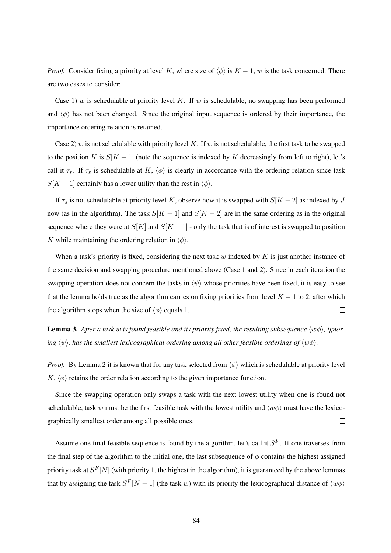*Proof.* Consider fixing a priority at level K, where size of  $\langle \phi \rangle$  is  $K - 1$ , w is the task concerned. There are two cases to consider:

Case 1) w is schedulable at priority level K. If w is schedulable, no swapping has been performed and  $\langle \phi \rangle$  has not been changed. Since the original input sequence is ordered by their importance, the importance ordering relation is retained.

Case 2) w is not schedulable with priority level K. If w is not schedulable, the first task to be swapped to the position K is  $S[K - 1]$  (note the sequence is indexed by K decreasingly from left to right), let's call it  $\tau_s$ . If  $\tau_s$  is schedulable at K,  $\langle \phi \rangle$  is clearly in accordance with the ordering relation since task  $S[K - 1]$  certainly has a lower utility than the rest in  $\langle \phi \rangle$ .

If  $\tau_s$  is not schedulable at priority level K, observe how it is swapped with  $S[K - 2]$  as indexed by J now (as in the algorithm). The task  $S[K - 1]$  and  $S[K - 2]$  are in the same ordering as in the original sequence where they were at  $S[K]$  and  $S[K - 1]$  - only the task that is of interest is swapped to position K while maintaining the ordering relation in  $\langle \phi \rangle$ .

When a task's priority is fixed, considering the next task w indexed by  $K$  is just another instance of the same decision and swapping procedure mentioned above (Case 1 and 2). Since in each iteration the swapping operation does not concern the tasks in  $\langle \psi \rangle$  whose priorities have been fixed, it is easy to see that the lemma holds true as the algorithm carries on fixing priorities from level  $K - 1$  to 2, after which the algorithm stops when the size of  $\langle \phi \rangle$  equals 1.  $\Box$ 

**Lemma 3.** After a task w is found feasible and its priority fixed, the resulting subsequence  $\langle w\phi \rangle$ , ignor*ing*  $\langle \psi \rangle$ *, has the smallest lexicographical ordering among all other feasible orderings of*  $\langle w\phi \rangle$ *.* 

*Proof.* By Lemma 2 it is known that for any task selected from  $\langle \phi \rangle$  which is schedulable at priority level  $K, \langle \phi \rangle$  retains the order relation according to the given importance function.

Since the swapping operation only swaps a task with the next lowest utility when one is found not schedulable, task w must be the first feasible task with the lowest utility and  $\langle w\phi \rangle$  must have the lexicographically smallest order among all possible ones.  $\Box$ 

Assume one final feasible sequence is found by the algorithm, let's call it  $S<sup>F</sup>$ . If one traverses from the final step of the algorithm to the initial one, the last subsequence of  $\phi$  contains the highest assigned priority task at  $S^F[N]$  (with priority 1, the highest in the algorithm), it is guaranteed by the above lemmas that by assigning the task  $S^F[N-1]$  (the task w) with its priority the lexicographical distance of  $\langle w\phi \rangle$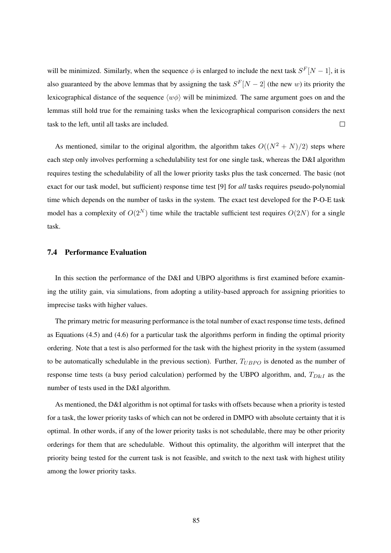will be minimized. Similarly, when the sequence  $\phi$  is enlarged to include the next task  $S^F[N-1]$ , it is also guaranteed by the above lemmas that by assigning the task  $S^F[N-2]$  (the new w) its priority the lexicographical distance of the sequence  $\langle w\phi \rangle$  will be minimized. The same argument goes on and the lemmas still hold true for the remaining tasks when the lexicographical comparison considers the next task to the left, until all tasks are included.  $\Box$ 

As mentioned, similar to the original algorithm, the algorithm takes  $O((N^2 + N)/2)$  steps where each step only involves performing a schedulability test for one single task, whereas the D&I algorithm requires testing the schedulability of all the lower priority tasks plus the task concerned. The basic (not exact for our task model, but sufficient) response time test [9] for *all* tasks requires pseudo-polynomial time which depends on the number of tasks in the system. The exact test developed for the P-O-E task model has a complexity of  $O(2^N)$  time while the tractable sufficient test requires  $O(2N)$  for a single task.

#### 7.4 Performance Evaluation

In this section the performance of the D&I and UBPO algorithms is first examined before examining the utility gain, via simulations, from adopting a utility-based approach for assigning priorities to imprecise tasks with higher values.

The primary metric for measuring performance is the total number of exact response time tests, defined as Equations (4.5) and (4.6) for a particular task the algorithms perform in finding the optimal priority ordering. Note that a test is also performed for the task with the highest priority in the system (assumed to be automatically schedulable in the previous section). Further,  $T_{UBPO}$  is denoted as the number of response time tests (a busy period calculation) performed by the UBPO algorithm, and,  $T_{D\&I}$  as the number of tests used in the D&I algorithm.

As mentioned, the D&I algorithm is not optimal for tasks with offsets because when a priority is tested for a task, the lower priority tasks of which can not be ordered in DMPO with absolute certainty that it is optimal. In other words, if any of the lower priority tasks is not schedulable, there may be other priority orderings for them that are schedulable. Without this optimality, the algorithm will interpret that the priority being tested for the current task is not feasible, and switch to the next task with highest utility among the lower priority tasks.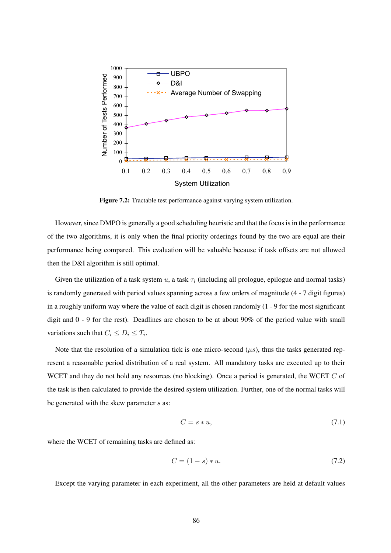

Figure 7.2: Tractable test performance against varying system utilization.

However, since DMPO is generally a good scheduling heuristic and that the focus is in the performance of the two algorithms, it is only when the final priority orderings found by the two are equal are their performance being compared. This evaluation will be valuable because if task offsets are not allowed then the D&I algorithm is still optimal.

Given the utilization of a task system u, a task  $\tau_i$  (including all prologue, epilogue and normal tasks) is randomly generated with period values spanning across a few orders of magnitude (4 - 7 digit figures) in a roughly uniform way where the value of each digit is chosen randomly (1 - 9 for the most significant digit and 0 - 9 for the rest). Deadlines are chosen to be at about 90% of the period value with small variations such that  $C_i \leq D_i \leq T_i$ .

Note that the resolution of a simulation tick is one micro-second  $(\mu s)$ , thus the tasks generated represent a reasonable period distribution of a real system. All mandatory tasks are executed up to their WCET and they do not hold any resources (no blocking). Once a period is generated, the WCET C of the task is then calculated to provide the desired system utilization. Further, one of the normal tasks will be generated with the skew parameter  $s$  as:

$$
C = s * u,\tag{7.1}
$$

where the WCET of remaining tasks are defined as:

$$
C = (1 - s) * u.
$$
 (7.2)

Except the varying parameter in each experiment, all the other parameters are held at default values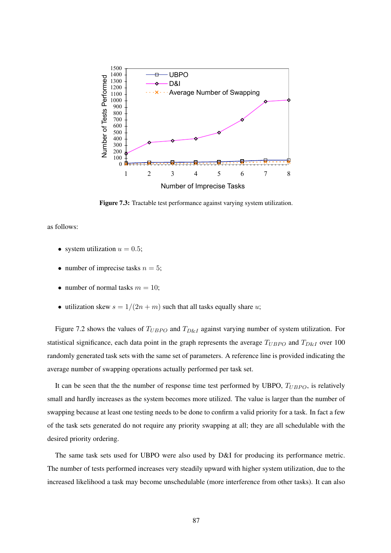

Figure 7.3: Tractable test performance against varying system utilization.

as follows:

- system utilization  $u = 0.5$ ;
- number of imprecise tasks  $n = 5$ ;
- number of normal tasks  $m = 10$ ;
- utilization skew  $s = 1/(2n + m)$  such that all tasks equally share u;

Figure 7.2 shows the values of  $T_{UBPO}$  and  $T_{D\&I}$  against varying number of system utilization. For statistical significance, each data point in the graph represents the average  $T_{UBPO}$  and  $T_{D&I}$  over 100 randomly generated task sets with the same set of parameters. A reference line is provided indicating the average number of swapping operations actually performed per task set.

It can be seen that the the number of response time test performed by UBPO,  $T_{UBPO}$ , is relatively small and hardly increases as the system becomes more utilized. The value is larger than the number of swapping because at least one testing needs to be done to confirm a valid priority for a task. In fact a few of the task sets generated do not require any priority swapping at all; they are all schedulable with the desired priority ordering.

The same task sets used for UBPO were also used by D&I for producing its performance metric. The number of tests performed increases very steadily upward with higher system utilization, due to the increased likelihood a task may become unschedulable (more interference from other tasks). It can also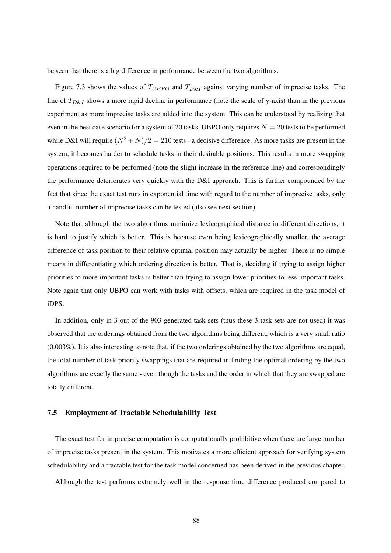be seen that there is a big difference in performance between the two algorithms.

Figure 7.3 shows the values of  $T_{UBPO}$  and  $T_{D\&I}$  against varying number of imprecise tasks. The line of  $T_{D\&I}$  shows a more rapid decline in performance (note the scale of y-axis) than in the previous experiment as more imprecise tasks are added into the system. This can be understood by realizing that even in the best case scenario for a system of 20 tasks, UBPO only requires  $N = 20$  tests to be performed while D&I will require  $(N^2 + N)/2 = 210$  tests - a decisive difference. As more tasks are present in the system, it becomes harder to schedule tasks in their desirable positions. This results in more swapping operations required to be performed (note the slight increase in the reference line) and correspondingly the performance deteriorates very quickly with the D&I approach. This is further compounded by the fact that since the exact test runs in exponential time with regard to the number of imprecise tasks, only a handful number of imprecise tasks can be tested (also see next section).

Note that although the two algorithms minimize lexicographical distance in different directions, it is hard to justify which is better. This is because even being lexicographically smaller, the average difference of task position to their relative optimal position may actually be higher. There is no simple means in differentiating which ordering direction is better. That is, deciding if trying to assign higher priorities to more important tasks is better than trying to assign lower priorities to less important tasks. Note again that only UBPO can work with tasks with offsets, which are required in the task model of iDPS.

In addition, only in 3 out of the 903 generated task sets (thus these 3 task sets are not used) it was observed that the orderings obtained from the two algorithms being different, which is a very small ratio (0.003%). It is also interesting to note that, if the two orderings obtained by the two algorithms are equal, the total number of task priority swappings that are required in finding the optimal ordering by the two algorithms are exactly the same - even though the tasks and the order in which that they are swapped are totally different.

#### 7.5 Employment of Tractable Schedulability Test

The exact test for imprecise computation is computationally prohibitive when there are large number of imprecise tasks present in the system. This motivates a more efficient approach for verifying system schedulability and a tractable test for the task model concerned has been derived in the previous chapter.

Although the test performs extremely well in the response time difference produced compared to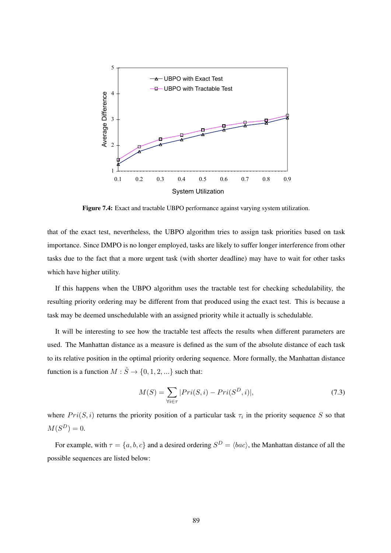

Figure 7.4: Exact and tractable UBPO performance against varying system utilization.

that of the exact test, nevertheless, the UBPO algorithm tries to assign task priorities based on task importance. Since DMPO is no longer employed, tasks are likely to suffer longer interference from other tasks due to the fact that a more urgent task (with shorter deadline) may have to wait for other tasks which have higher utility.

If this happens when the UBPO algorithm uses the tractable test for checking schedulability, the resulting priority ordering may be different from that produced using the exact test. This is because a task may be deemed unschedulable with an assigned priority while it actually is schedulable.

It will be interesting to see how the tractable test affects the results when different parameters are used. The Manhattan distance as a measure is defined as the sum of the absolute distance of each task to its relative position in the optimal priority ordering sequence. More formally, the Manhattan distance function is a function  $M : \hat{S} \to \{0, 1, 2, ...\}$  such that:

$$
M(S) = \sum_{\forall i \in \tau} |Pri(S, i) - Pri(S^D, i)|,
$$
\n(7.3)

where  $Pri(S, i)$  returns the priority position of a particular task  $\tau_i$  in the priority sequence S so that  $M(S^D) = 0.$ 

For example, with  $\tau = \{a, b, c\}$  and a desired ordering  $S^D = \langle bac \rangle$ , the Manhattan distance of all the possible sequences are listed below: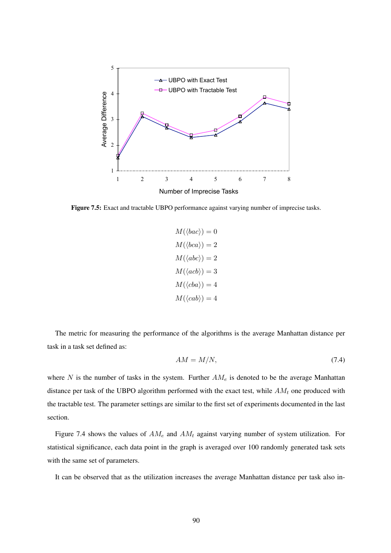

Figure 7.5: Exact and tractable UBPO performance against varying number of imprecise tasks.

$$
M(\langle bac \rangle) = 0
$$

$$
M(\langle bca \rangle) = 2
$$

$$
M(\langle abc \rangle) = 2
$$

$$
M(\langle ac \rangle) = 3
$$

$$
M(\langle cba \rangle) = 4
$$

$$
M(\langle cab \rangle) = 4
$$

The metric for measuring the performance of the algorithms is the average Manhattan distance per task in a task set defined as:

$$
AM = M/N,\t\t(7.4)
$$

where  $N$  is the number of tasks in the system. Further  $AM_e$  is denoted to be the average Manhattan distance per task of the UBPO algorithm performed with the exact test, while  $AM_t$  one produced with the tractable test. The parameter settings are similar to the first set of experiments documented in the last section.

Figure 7.4 shows the values of  $AM_e$  and  $AM_t$  against varying number of system utilization. For statistical significance, each data point in the graph is averaged over 100 randomly generated task sets with the same set of parameters.

It can be observed that as the utilization increases the average Manhattan distance per task also in-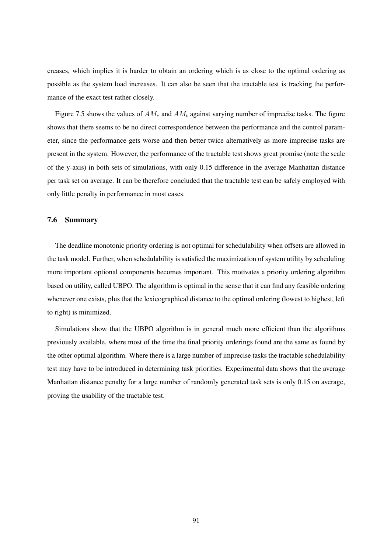creases, which implies it is harder to obtain an ordering which is as close to the optimal ordering as possible as the system load increases. It can also be seen that the tractable test is tracking the performance of the exact test rather closely.

Figure 7.5 shows the values of  $AM_e$  and  $AM_t$  against varying number of imprecise tasks. The figure shows that there seems to be no direct correspondence between the performance and the control parameter, since the performance gets worse and then better twice alternatively as more imprecise tasks are present in the system. However, the performance of the tractable test shows great promise (note the scale of the y-axis) in both sets of simulations, with only 0.15 difference in the average Manhattan distance per task set on average. It can be therefore concluded that the tractable test can be safely employed with only little penalty in performance in most cases.

#### 7.6 Summary

The deadline monotonic priority ordering is not optimal for schedulability when offsets are allowed in the task model. Further, when schedulability is satisfied the maximization of system utility by scheduling more important optional components becomes important. This motivates a priority ordering algorithm based on utility, called UBPO. The algorithm is optimal in the sense that it can find any feasible ordering whenever one exists, plus that the lexicographical distance to the optimal ordering (lowest to highest, left to right) is minimized.

Simulations show that the UBPO algorithm is in general much more efficient than the algorithms previously available, where most of the time the final priority orderings found are the same as found by the other optimal algorithm. Where there is a large number of imprecise tasks the tractable schedulability test may have to be introduced in determining task priorities. Experimental data shows that the average Manhattan distance penalty for a large number of randomly generated task sets is only 0.15 on average, proving the usability of the tractable test.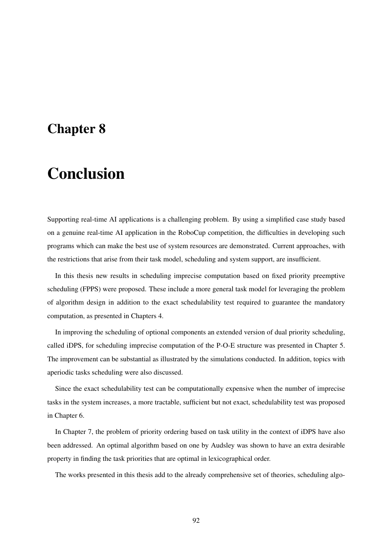### Chapter 8

## Conclusion

Supporting real-time AI applications is a challenging problem. By using a simplified case study based on a genuine real-time AI application in the RoboCup competition, the difficulties in developing such programs which can make the best use of system resources are demonstrated. Current approaches, with the restrictions that arise from their task model, scheduling and system support, are insufficient.

In this thesis new results in scheduling imprecise computation based on fixed priority preemptive scheduling (FPPS) were proposed. These include a more general task model for leveraging the problem of algorithm design in addition to the exact schedulability test required to guarantee the mandatory computation, as presented in Chapters 4.

In improving the scheduling of optional components an extended version of dual priority scheduling, called iDPS, for scheduling imprecise computation of the P-O-E structure was presented in Chapter 5. The improvement can be substantial as illustrated by the simulations conducted. In addition, topics with aperiodic tasks scheduling were also discussed.

Since the exact schedulability test can be computationally expensive when the number of imprecise tasks in the system increases, a more tractable, sufficient but not exact, schedulability test was proposed in Chapter 6.

In Chapter 7, the problem of priority ordering based on task utility in the context of iDPS have also been addressed. An optimal algorithm based on one by Audsley was shown to have an extra desirable property in finding the task priorities that are optimal in lexicographical order.

The works presented in this thesis add to the already comprehensive set of theories, scheduling algo-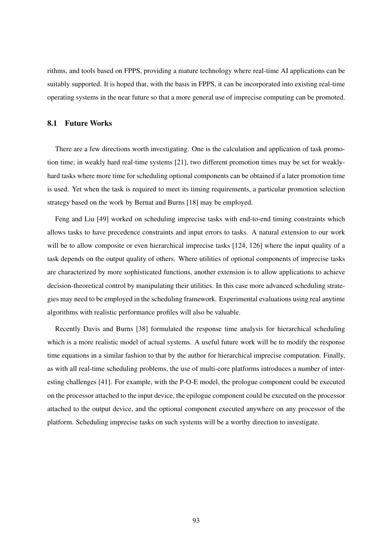rithms, and tools based on FPPS, providing a mature technology where real-time AI applications can be suitably supported. It is hoped that, with the basis in FPPS, it can be incorporated into existing real-time operating systems in the near future so that a more general use of imprecise computing can be promoted.

#### 8.1 Future Works

There are a few directions worth investigating. One is the calculation and application of task promotion time; in weakly hard real-time systems [21], two different promotion times may be set for weaklyhard tasks where more time for scheduling optional components can be obtained if a later promotion time is used. Yet when the task is required to meet its timing requirements, a particular promotion selection strategy based on the work by Bernat and Burns [18] may be employed.

Feng and Liu [49] worked on scheduling imprecise tasks with end-to-end timing constraints which allows tasks to have precedence constraints and input errors to tasks. A natural extension to our work will be to allow composite or even hierarchical imprecise tasks [124, 126] where the input quality of a task depends on the output quality of others. Where utilities of optional components of imprecise tasks are characterized by more sophisticated functions, another extension is to allow applications to achieve decision-theoretical control by manipulating their utilities. In this case more advanced scheduling strategies may need to be employed in the scheduling framework. Experimental evaluations using real anytime algorithms with realistic performance profiles will also be valuable.

Recently Davis and Burns [38] formulated the response time analysis for hierarchical scheduling which is a more realistic model of actual systems. A useful future work will be to modify the response time equations in a similar fashion to that by the author for hierarchical imprecise computation. Finally, as with all real-time scheduling problems, the use of multi-core platforms introduces a number of interesting challenges [41]. For example, with the P-O-E model, the prologue component could be executed on the processor attached to the input device, the epilogue component could be executed on the processor attached to the output device, and the optional component executed anywhere on any processor of the platform. Scheduling imprecise tasks on such systems will be a worthy direction to investigate.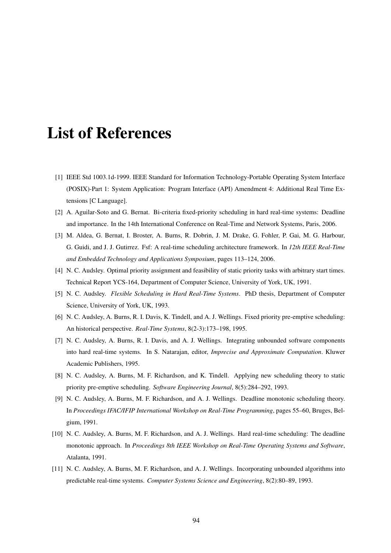## List of References

- [1] IEEE Std 1003.1d-1999. IEEE Standard for Information Technology-Portable Operating System Interface (POSIX)-Part 1: System Application: Program Interface (API) Amendment 4: Additional Real Time Extensions [C Language].
- [2] A. Aguilar-Soto and G. Bernat. Bi-criteria fixed-priority scheduling in hard real-time systems: Deadline and importance. In the 14th International Conference on Real-Time and Network Systems, Paris, 2006.
- [3] M. Aldea, G. Bernat, I. Broster, A. Burns, R. Dobrin, J. M. Drake, G. Fohler, P. Gai, M. G. Harbour, G. Guidi, and J. J. Gutirrez. Fsf: A real-time scheduling architecture framework. In *12th IEEE Real-Time and Embedded Technology and Applications Symposium*, pages 113–124, 2006.
- [4] N. C. Audsley. Optimal priority assignment and feasibility of static priority tasks with arbitrary start times. Technical Report YCS-164, Department of Computer Science, University of York, UK, 1991.
- [5] N. C. Audsley. *Flexible Scheduling in Hard Real-Time Systems*. PhD thesis, Department of Computer Science, University of York, UK, 1993.
- [6] N. C. Audsley, A. Burns, R. I. Davis, K. Tindell, and A. J. Wellings. Fixed priority pre-emptive scheduling: An historical perspective. *Real-Time Systems*, 8(2-3):173–198, 1995.
- [7] N. C. Audsley, A. Burns, R. I. Davis, and A. J. Wellings. Integrating unbounded software components into hard real-time systems. In S. Natarajan, editor, *Imprecise and Approximate Computation*. Kluwer Academic Publishers, 1995.
- [8] N. C. Audsley, A. Burns, M. F. Richardson, and K. Tindell. Applying new scheduling theory to static priority pre-emptive scheduling. *Software Engineering Journal*, 8(5):284–292, 1993.
- [9] N. C. Audsley, A. Burns, M. F. Richardson, and A. J. Wellings. Deadline monotonic scheduling theory. In *Proceedings IFAC/IFIP International Workshop on Real-Time Programming*, pages 55–60, Bruges, Belgium, 1991.
- [10] N. C. Audsley, A. Burns, M. F. Richardson, and A. J. Wellings. Hard real-time scheduling: The deadline monotonic approach. In *Proceedings 8th IEEE Workshop on Real-Time Operating Systems and Software*, Atalanta, 1991.
- [11] N. C. Audsley, A. Burns, M. F. Richardson, and A. J. Wellings. Incorporating unbounded algorithms into predictable real-time systems. *Computer Systems Science and Engineering*, 8(2):80–89, 1993.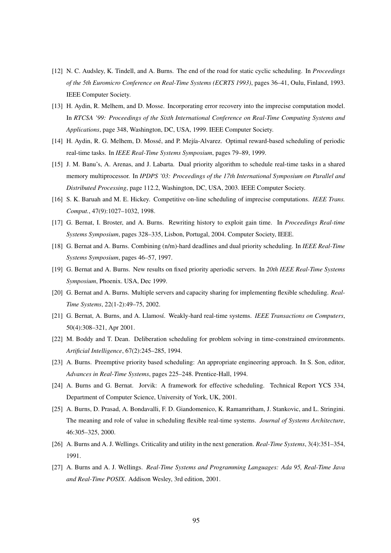- [12] N. C. Audsley, K. Tindell, and A. Burns. The end of the road for static cyclic scheduling. In *Proceedings of the 5th Euromicro Conference on Real-Time Systems (ECRTS 1993)*, pages 36–41, Oulu, Finland, 1993. IEEE Computer Society.
- [13] H. Aydin, R. Melhem, and D. Mosse. Incorporating error recovery into the imprecise computation model. In *RTCSA '99: Proceedings of the Sixth International Conference on Real-Time Computing Systems and Applications*, page 348, Washington, DC, USA, 1999. IEEE Computer Society.
- [14] H. Aydin, R. G. Melhem, D. Mossé, and P. Mejía-Alvarez. Optimal reward-based scheduling of periodic real-time tasks. In *IEEE Real-Time Systems Symposium*, pages 79–89, 1999.
- [15] J. M. Banu's, A. Arenas, and J. Labarta. Dual priority algorithm to schedule real-time tasks in a shared memory multiprocessor. In *IPDPS '03: Proceedings of the 17th International Symposium on Parallel and Distributed Processing*, page 112.2, Washington, DC, USA, 2003. IEEE Computer Society.
- [16] S. K. Baruah and M. E. Hickey. Competitive on-line scheduling of imprecise computations. *IEEE Trans. Comput.*, 47(9):1027–1032, 1998.
- [17] G. Bernat, I. Broster, and A. Burns. Rewriting history to exploit gain time. In *Proceedings Real-time Systems Symposium*, pages 328–335, Lisbon, Portugal, 2004. Computer Society, IEEE.
- [18] G. Bernat and A. Burns. Combining (n/m)-hard deadlines and dual priority scheduling. In *IEEE Real-Time Systems Symposium*, pages 46–57, 1997.
- [19] G. Bernat and A. Burns. New results on fixed priority aperiodic servers. In *20th IEEE Real-Time Systems Symposium*, Phoenix. USA, Dec 1999.
- [20] G. Bernat and A. Burns. Multiple servers and capacity sharing for implementing flexible scheduling. *Real-Time Systems*, 22(1-2):49–75, 2002.
- [21] G. Bernat, A. Burns, and A. Llamosí. Weakly-hard real-time systems. *IEEE Transactions on Computers*, 50(4):308–321, Apr 2001.
- [22] M. Boddy and T. Dean. Deliberation scheduling for problem solving in time-constrained environments. *Artificial Intelligence*, 67(2):245–285, 1994.
- [23] A. Burns. Preemptive priority based scheduling: An appropriate engineering approach. In S. Son, editor, *Advances in Real-Time Systems*, pages 225–248. Prentice-Hall, 1994.
- [24] A. Burns and G. Bernat. Jorvik: A framework for effective scheduling. Technical Report YCS 334, Department of Computer Science, University of York, UK, 2001.
- [25] A. Burns, D. Prasad, A. Bondavalli, F. D. Giandomenico, K. Ramamritham, J. Stankovic, and L. Stringini. The meaning and role of value in scheduling flexible real-time systems. *Journal of Systems Architecture*, 46:305–325, 2000.
- [26] A. Burns and A. J. Wellings. Criticality and utility in the next generation. *Real-Time Systems*, 3(4):351–354, 1991.
- [27] A. Burns and A. J. Wellings. *Real-Time Systems and Programming Languages: Ada 95, Real-Time Java and Real-Time POSIX*. Addison Wesley, 3rd edition, 2001.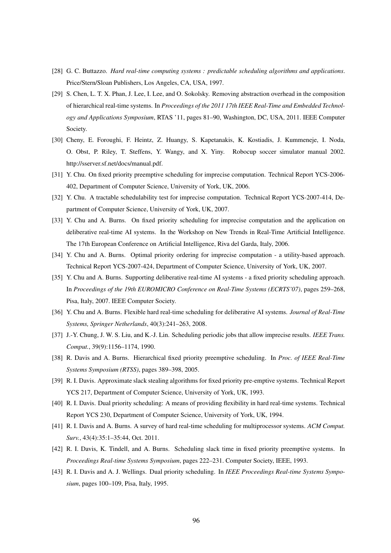- [28] G. C. Buttazzo. *Hard real-time computing systems : predictable scheduling algorithms and applications*. Price/Stern/Sloan Publishers, Los Angeles, CA, USA, 1997.
- [29] S. Chen, L. T. X. Phan, J. Lee, I. Lee, and O. Sokolsky. Removing abstraction overhead in the composition of hierarchical real-time systems. In *Proceedings of the 2011 17th IEEE Real-Time and Embedded Technology and Applications Symposium*, RTAS '11, pages 81–90, Washington, DC, USA, 2011. IEEE Computer Society.
- [30] Cheny, E. Foroughi, F. Heintz, Z. Huangy, S. Kapetanakis, K. Kostiadis, J. Kummeneje, I. Noda, O. Obst, P. Riley, T. Steffens, Y. Wangy, and X. Yiny. Robocup soccer simulator manual 2002. http://sserver.sf.net/docs/manual.pdf.
- [31] Y. Chu. On fixed priority preemptive scheduling for imprecise computation. Technical Report YCS-2006- 402, Department of Computer Science, University of York, UK, 2006.
- [32] Y. Chu. A tractable schedulability test for imprecise computation. Technical Report YCS-2007-414, Department of Computer Science, University of York, UK, 2007.
- [33] Y. Chu and A. Burns. On fixed priority scheduling for imprecise computation and the application on deliberative real-time AI systems. In the Workshop on New Trends in Real-Time Artificial Intelligence. The 17th European Conference on Artificial Intelligence, Riva del Garda, Italy, 2006.
- [34] Y. Chu and A. Burns. Optimal priority ordering for imprecise computation a utility-based approach. Technical Report YCS-2007-424, Department of Computer Science, University of York, UK, 2007.
- [35] Y. Chu and A. Burns. Supporting deliberative real-time AI systems a fixed priority scheduling approach. In *Proceedings of the 19th EUROMICRO Conference on Real-Time Systems (ECRTS'07)*, pages 259–268, Pisa, Italy, 2007. IEEE Computer Society.
- [36] Y. Chu and A. Burns. Flexible hard real-time scheduling for deliberative AI systems. *Journal of Real-Time Systems, Springer Netherlands*, 40(3):241–263, 2008.
- [37] J.-Y. Chung, J. W. S. Liu, and K.-J. Lin. Scheduling periodic jobs that allow imprecise results. *IEEE Trans. Comput.*, 39(9):1156–1174, 1990.
- [38] R. Davis and A. Burns. Hierarchical fixed priority preemptive scheduling. In *Proc. of IEEE Real-Time Systems Symposium (RTSS)*, pages 389–398, 2005.
- [39] R. I. Davis. Approximate slack stealing algorithms for fixed priority pre-emptive systems. Technical Report YCS 217, Department of Computer Science, University of York, UK, 1993.
- [40] R. I. Davis. Dual priority scheduling: A means of providing flexibility in hard real-time systems. Technical Report YCS 230, Department of Computer Science, University of York, UK, 1994.
- [41] R. I. Davis and A. Burns. A survey of hard real-time scheduling for multiprocessor systems. *ACM Comput. Surv.*, 43(4):35:1–35:44, Oct. 2011.
- [42] R. I. Davis, K. Tindell, and A. Burns. Scheduling slack time in fixed priority preemptive systems. In *Proceedings Real-time Systems Symposium*, pages 222–231. Computer Society, IEEE, 1993.
- [43] R. I. Davis and A. J. Wellings. Dual priority scheduling. In *IEEE Proceedings Real-time Systems Symposium*, pages 100–109, Pisa, Italy, 1995.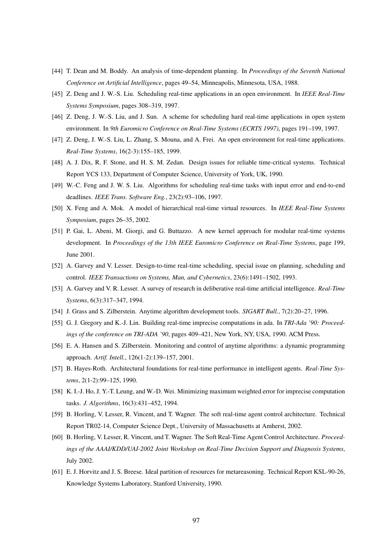- [44] T. Dean and M. Boddy. An analysis of time-dependent planning. In *Proceedings of the Seventh National Conference on Artificial Intelligence*, pages 49–54, Minneapolis, Minnesota, USA, 1988.
- [45] Z. Deng and J. W.-S. Liu. Scheduling real-time applications in an open environment. In *IEEE Real-Time Systems Symposium*, pages 308–319, 1997.
- [46] Z. Deng, J. W.-S. Liu, and J. Sun. A scheme for scheduling hard real-time applications in open system environment. In *9th Euromicro Conference on Real-Time Systems (ECRTS 1997)*, pages 191–199, 1997.
- [47] Z. Deng, J. W.-S. Liu, L. Zhang, S. Mouna, and A. Frei. An open environment for real-time applications. *Real-Time Systems*, 16(2-3):155–185, 1999.
- [48] A. J. Dix, R. F. Stone, and H. S. M. Zedan. Design issues for reliable time-critical systems. Technical Report YCS 133, Department of Computer Science, University of York, UK, 1990.
- [49] W.-C. Feng and J. W. S. Liu. Algorithms for scheduling real-time tasks with input error and end-to-end deadlines. *IEEE Trans. Software Eng.*, 23(2):93–106, 1997.
- [50] X. Feng and A. Mok. A model of hierarchical real-time virtual resources. In *IEEE Real-Time Systems Symposium*, pages 26–35, 2002.
- [51] P. Gai, L. Abeni, M. Giorgi, and G. Buttazzo. A new kernel approach for modular real-time systems development. In *Proceedings of the 13th IEEE Euromicro Conference on Real-Time Systems*, page 199, June 2001.
- [52] A. Garvey and V. Lesser. Design-to-time real-time scheduling, special issue on planning, scheduling and control. *IEEE Transactions on Systems, Man, and Cybernetics*, 23(6):1491–1502, 1993.
- [53] A. Garvey and V. R. Lesser. A survey of research in deliberative real-time artificial intelligence. *Real-Time Systems*, 6(3):317–347, 1994.
- [54] J. Grass and S. Zilberstein. Anytime algorithm development tools. *SIGART Bull.*, 7(2):20–27, 1996.
- [55] G. J. Gregory and K.-J. Lin. Building real-time imprecise computations in ada. In *TRI-Ada '90: Proceedings of the conference on TRI-ADA '90*, pages 409–421, New York, NY, USA, 1990. ACM Press.
- [56] E. A. Hansen and S. Zilberstein. Monitoring and control of anytime algorithms: a dynamic programming approach. *Artif. Intell.*, 126(1-2):139–157, 2001.
- [57] B. Hayes-Roth. Architectural foundations for real-time performance in intelligent agents. *Real-Time Systems*, 2(1-2):99–125, 1990.
- [58] K. I.-J. Ho, J. Y.-T. Leung, and W.-D. Wei. Minimizing maximum weighted error for imprecise computation tasks. *J. Algorithms*, 16(3):431–452, 1994.
- [59] B. Horling, V. Lesser, R. Vincent, and T. Wagner. The soft real-time agent control architecture. Technical Report TR02-14, Computer Science Dept., University of Massachusetts at Amherst, 2002.
- [60] B. Horling, V. Lesser, R. Vincent, and T. Wagner. The Soft Real-Time Agent Control Architecture. *Proceedings of the AAAI/KDD/UAI-2002 Joint Workshop on Real-Time Decision Support and Diagnosis Systems*, July 2002.
- [61] E. J. Horvitz and J. S. Breese. Ideal partition of resources for metareasoning. Technical Report KSL-90-26, Knowledge Systems Laboratory, Stanford University, 1990.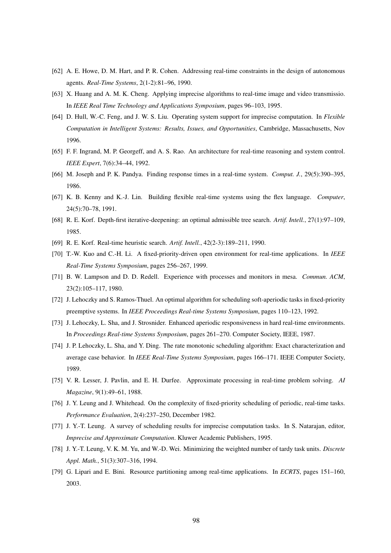- [62] A. E. Howe, D. M. Hart, and P. R. Cohen. Addressing real-time constraints in the design of autonomous agents. *Real-Time Systems*, 2(1-2):81–96, 1990.
- [63] X. Huang and A. M. K. Cheng. Applying imprecise algorithms to real-time image and video transmissio. In *IEEE Real Time Technology and Applications Symposium*, pages 96–103, 1995.
- [64] D. Hull, W.-C. Feng, and J. W. S. Liu. Operating system support for imprecise computation. In *Flexible Computation in Intelligent Systems: Results, Issues, and Opportunities*, Cambridge, Massachusetts, Nov 1996.
- [65] F. F. Ingrand, M. P. Georgeff, and A. S. Rao. An architecture for real-time reasoning and system control. *IEEE Expert*, 7(6):34–44, 1992.
- [66] M. Joseph and P. K. Pandya. Finding response times in a real-time system. *Comput. J.*, 29(5):390–395, 1986.
- [67] K. B. Kenny and K.-J. Lin. Building flexible real-time systems using the flex language. *Computer*, 24(5):70–78, 1991.
- [68] R. E. Korf. Depth-first iterative-deepening: an optimal admissible tree search. *Artif. Intell.*, 27(1):97–109, 1985.
- [69] R. E. Korf. Real-time heuristic search. *Artif. Intell.*, 42(2-3):189–211, 1990.
- [70] T.-W. Kuo and C.-H. Li. A fixed-priority-driven open environment for real-time applications. In *IEEE Real-Time Systems Symposium*, pages 256–267, 1999.
- [71] B. W. Lampson and D. D. Redell. Experience with processes and monitors in mesa. *Commun. ACM*, 23(2):105–117, 1980.
- [72] J. Lehoczky and S. Ramos-Thuel. An optimal algorithm for scheduling soft-aperiodic tasks in fixed-priority preemptive systems. In *IEEE Proceedings Real-time Systems Symposium*, pages 110–123, 1992.
- [73] J. Lehoczky, L. Sha, and J. Strosnider. Enhanced aperiodic responsiveness in hard real-time environments. In *Proceedings Real-time Systems Symposium*, pages 261–270. Computer Society, IEEE, 1987.
- [74] J. P. Lehoczky, L. Sha, and Y. Ding. The rate monotonic scheduling algorithm: Exact characterization and average case behavior. In *IEEE Real-Time Systems Symposium*, pages 166–171. IEEE Computer Society, 1989.
- [75] V. R. Lesser, J. Pavlin, and E. H. Durfee. Approximate processing in real-time problem solving. *AI Magazine*, 9(1):49–61, 1988.
- [76] J. Y. Leung and J. Whitehead. On the complexity of fixed-priority scheduling of periodic, real-time tasks. *Performance Evaluation*, 2(4):237–250, December 1982.
- [77] J. Y.-T. Leung. A survey of scheduling results for imprecise computation tasks. In S. Natarajan, editor, *Imprecise and Approximate Computation*. Kluwer Academic Publishers, 1995.
- [78] J. Y.-T. Leung, V. K. M. Yu, and W.-D. Wei. Minimizing the weighted number of tardy task units. *Discrete Appl. Math.*, 51(3):307–316, 1994.
- [79] G. Lipari and E. Bini. Resource partitioning among real-time applications. In *ECRTS*, pages 151–160, 2003.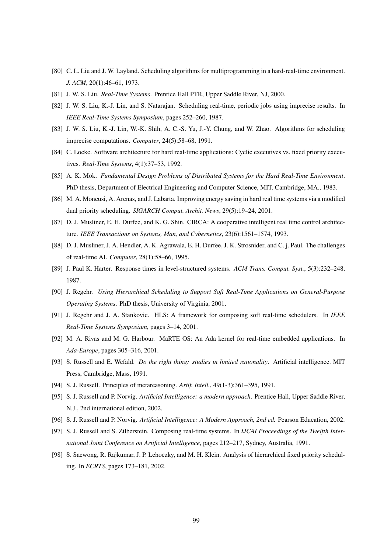- [80] C. L. Liu and J. W. Layland. Scheduling algorithms for multiprogramming in a hard-real-time environment. *J. ACM*, 20(1):46–61, 1973.
- [81] J. W. S. Liu. *Real-Time Systems*. Prentice Hall PTR, Upper Saddle River, NJ, 2000.
- [82] J. W. S. Liu, K.-J. Lin, and S. Natarajan. Scheduling real-time, periodic jobs using imprecise results. In *IEEE Real-Time Systems Symposium*, pages 252–260, 1987.
- [83] J. W. S. Liu, K.-J. Lin, W.-K. Shih, A. C.-S. Yu, J.-Y. Chung, and W. Zhao. Algorithms for scheduling imprecise computations. *Computer*, 24(5):58–68, 1991.
- [84] C. Locke. Software architecture for hard real-time applications: Cyclic executives vs. fixed priority executives. *Real-Time Systems*, 4(1):37–53, 1992.
- [85] A. K. Mok. *Fundamental Design Problems of Distributed Systems for the Hard Real-Time Environment*. PhD thesis, Department of Electrical Engineering and Computer Science, MIT, Cambridge, MA., 1983.
- [86] M. A. Moncusi, A. Arenas, and J. Labarta. Improving energy saving in hard real time systems via a modified dual priority scheduling. *SIGARCH Comput. Archit. News*, 29(5):19–24, 2001.
- [87] D. J. Musliner, E. H. Durfee, and K. G. Shin. CIRCA: A cooperative intelligent real time control architecture. *IEEE Transactions on Systems, Man, and Cybernetics*, 23(6):1561–1574, 1993.
- [88] D. J. Musliner, J. A. Hendler, A. K. Agrawala, E. H. Durfee, J. K. Strosnider, and C. j. Paul. The challenges of real-time AI. *Computer*, 28(1):58–66, 1995.
- [89] J. Paul K. Harter. Response times in level-structured systems. *ACM Trans. Comput. Syst.*, 5(3):232–248, 1987.
- [90] J. Regehr. *Using Hierarchical Scheduling to Support Soft Real-Time Applications on General-Purpose Operating Systems*. PhD thesis, University of Virginia, 2001.
- [91] J. Regehr and J. A. Stankovic. HLS: A framework for composing soft real-time schedulers. In *IEEE Real-Time Systems Symposium*, pages 3–14, 2001.
- [92] M. A. Rivas and M. G. Harbour. MaRTE OS: An Ada kernel for real-time embedded applications. In *Ada-Europe*, pages 305–316, 2001.
- [93] S. Russell and E. Wefald. *Do the right thing: studies in limited rationality*. Artificial intelligence. MIT Press, Cambridge, Mass, 1991.
- [94] S. J. Russell. Principles of metareasoning. *Artif. Intell.*, 49(1-3):361–395, 1991.
- [95] S. J. Russell and P. Norvig. *Artificial Intelligence: a modern approach*. Prentice Hall, Upper Saddle River, N.J., 2nd international edition, 2002.
- [96] S. J. Russell and P. Norvig. *Artificial Intelligence: A Modern Approach, 2nd ed.* Pearson Education, 2002.
- [97] S. J. Russell and S. Zilberstein. Composing real-time systems. In *IJCAI Proceedings of the Twelfth International Joint Conference on Artificial Intelligence*, pages 212–217, Sydney, Australia, 1991.
- [98] S. Saewong, R. Rajkumar, J. P. Lehoczky, and M. H. Klein. Analysis of hierarchical fixed priority scheduling. In *ECRTS*, pages 173–181, 2002.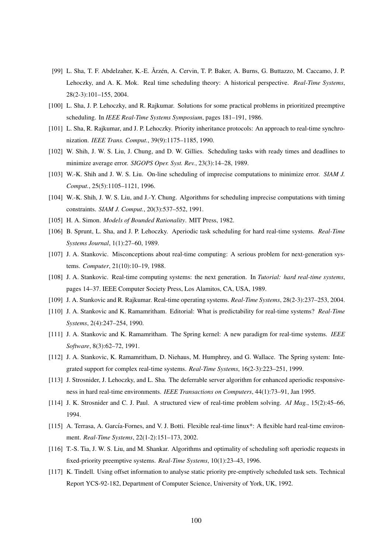- [99] L. Sha, T. F. Abdelzaher, K.-E. Årzén, A. Cervin, T. P. Baker, A. Burns, G. Buttazzo, M. Caccamo, J. P. Lehoczky, and A. K. Mok. Real time scheduling theory: A historical perspective. *Real-Time Systems*, 28(2-3):101–155, 2004.
- [100] L. Sha, J. P. Lehoczky, and R. Rajkumar. Solutions for some practical problems in prioritized preemptive scheduling. In *IEEE Real-Time Systems Symposium*, pages 181–191, 1986.
- [101] L. Sha, R. Rajkumar, and J. P. Lehoczky. Priority inheritance protocols: An approach to real-time synchronization. *IEEE Trans. Comput.*, 39(9):1175–1185, 1990.
- [102] W. Shih, J. W. S. Liu, J. Chung, and D. W. Gillies. Scheduling tasks with ready times and deadlines to minimize average error. *SIGOPS Oper. Syst. Rev.*, 23(3):14–28, 1989.
- [103] W.-K. Shih and J. W. S. Liu. On-line scheduling of imprecise computations to minimize error. *SIAM J. Comput.*, 25(5):1105–1121, 1996.
- [104] W.-K. Shih, J. W. S. Liu, and J.-Y. Chung. Algorithms for scheduling imprecise computations with timing constraints. *SIAM J. Comput.*, 20(3):537–552, 1991.
- [105] H. A. Simon. *Models of Bounded Rationality*. MIT Press, 1982.
- [106] B. Sprunt, L. Sha, and J. P. Lehoczky. Aperiodic task scheduling for hard real-time systems. *Real-Time Systems Journal*, 1(1):27–60, 1989.
- [107] J. A. Stankovic. Misconceptions about real-time computing: A serious problem for next-generation systems. *Computer*, 21(10):10–19, 1988.
- [108] J. A. Stankovic. Real-time computing systems: the next generation. In *Tutorial: hard real-time systems*, pages 14–37. IEEE Computer Society Press, Los Alamitos, CA, USA, 1989.
- [109] J. A. Stankovic and R. Rajkumar. Real-time operating systems. *Real-Time Systems*, 28(2-3):237–253, 2004.
- [110] J. A. Stankovic and K. Ramamritham. Editorial: What is predictability for real-time systems? *Real-Time Systems*, 2(4):247–254, 1990.
- [111] J. A. Stankovic and K. Ramamritham. The Spring kernel: A new paradigm for real-time systems. *IEEE Software*, 8(3):62–72, 1991.
- [112] J. A. Stankovic, K. Ramamritham, D. Niehaus, M. Humphrey, and G. Wallace. The Spring system: Integrated support for complex real-time systems. *Real-Time Systems*, 16(2-3):223–251, 1999.
- [113] J. Strosnider, J. Lehoczky, and L. Sha. The deferrable server algorithm for enhanced aperiodic responsiveness in hard real-time environments. *IEEE Transactions on Computers*, 44(1):73–91, Jan 1995.
- [114] J. K. Strosnider and C. J. Paul. A structured view of real-time problem solving. *AI Mag.*, 15(2):45–66, 1994.
- [115] A. Terrasa, A. García-Fornes, and V. J. Botti. Flexible real-time linux\*: A flexible hard real-time environment. *Real-Time Systems*, 22(1-2):151–173, 2002.
- [116] T.-S. Tia, J. W. S. Liu, and M. Shankar. Algorithms and optimality of scheduling soft aperiodic requests in fixed-priority preemptive systems. *Real-Time Systems*, 10(1):23–43, 1996.
- [117] K. Tindell. Using offset information to analyse static priority pre-emptively scheduled task sets. Technical Report YCS-92-182, Department of Computer Science, University of York, UK, 1992.